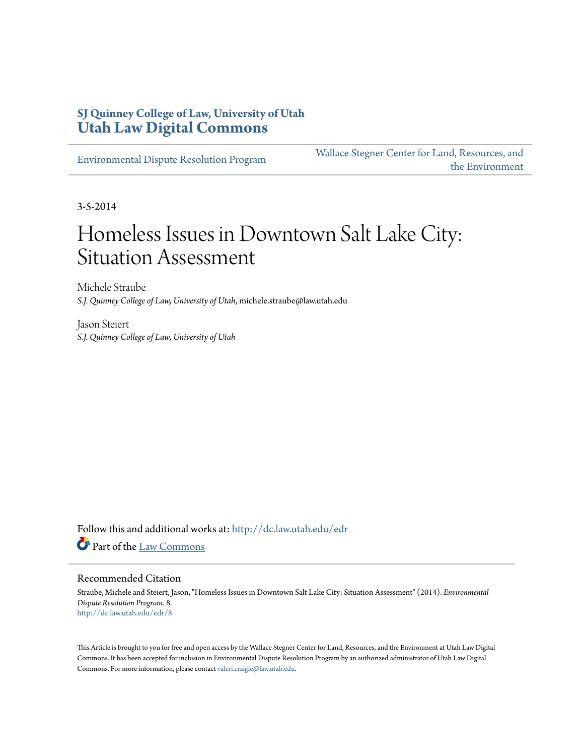## **SJ Quinney College of Law, University of Utah [Utah Law Digital Commons](http://dc.law.utah.edu?utm_source=dc.law.utah.edu%2Fedr%2F8&utm_medium=PDF&utm_campaign=PDFCoverPages)**

[Environmental Dispute Resolution Program](http://dc.law.utah.edu/edr?utm_source=dc.law.utah.edu%2Fedr%2F8&utm_medium=PDF&utm_campaign=PDFCoverPages)

[Wallace Stegner Center for Land, Resources, and](http://dc.law.utah.edu/stegner?utm_source=dc.law.utah.edu%2Fedr%2F8&utm_medium=PDF&utm_campaign=PDFCoverPages) [the Environment](http://dc.law.utah.edu/stegner?utm_source=dc.law.utah.edu%2Fedr%2F8&utm_medium=PDF&utm_campaign=PDFCoverPages)

3-5-2014

# Homeless Issues in Downtown Salt Lake City: Situation Assessment

Michele Straube *S.J. Quinney College of Law, University of Utah*, michele.straube@law.utah.edu

Jason Steiert *S.J. Quinney College of Law, University of Utah*

Follow this and additional works at: [http://dc.law.utah.edu/edr](http://dc.law.utah.edu/edr?utm_source=dc.law.utah.edu%2Fedr%2F8&utm_medium=PDF&utm_campaign=PDFCoverPages) Part of the [Law Commons](http://network.bepress.com/hgg/discipline/578?utm_source=dc.law.utah.edu%2Fedr%2F8&utm_medium=PDF&utm_campaign=PDFCoverPages)

#### Recommended Citation

Straube, Michele and Steiert, Jason, "Homeless Issues in Downtown Salt Lake City: Situation Assessment" (2014). *Environmental Dispute Resolution Program*. 8. [http://dc.law.utah.edu/edr/8](http://dc.law.utah.edu/edr/8?utm_source=dc.law.utah.edu%2Fedr%2F8&utm_medium=PDF&utm_campaign=PDFCoverPages)

This Article is brought to you for free and open access by the Wallace Stegner Center for Land, Resources, and the Environment at Utah Law Digital Commons. It has been accepted for inclusion in Environmental Dispute Resolution Program by an authorized administrator of Utah Law Digital Commons. For more information, please contact [valeri.craigle@law.utah.edu](mailto:valeri.craigle@law.utah.edu).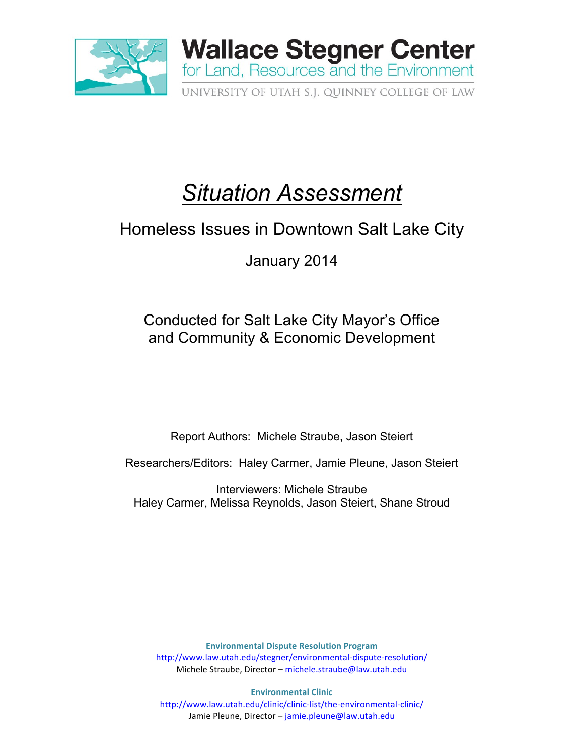

# *Situation Assessment*

# Homeless Issues in Downtown Salt Lake City

January 2014

Conducted for Salt Lake City Mayor's Office and Community & Economic Development

Report Authors: Michele Straube, Jason Steiert

Researchers/Editors: Haley Carmer, Jamie Pleune, Jason Steiert

Interviewers: Michele Straube Haley Carmer, Melissa Reynolds, Jason Steiert, Shane Stroud

**Environmental Dispute Resolution Program** http://www.law.utah.edu/stegner/environmental-dispute-resolution/ Michele Straube, Director - michele.straube@law.utah.edu

**Environmental Clinic** http://www.law.utah.edu/clinic/clinic-list/the-environmental-clinic/ Jamie Pleune, Director - jamie.pleune@law.utah.edu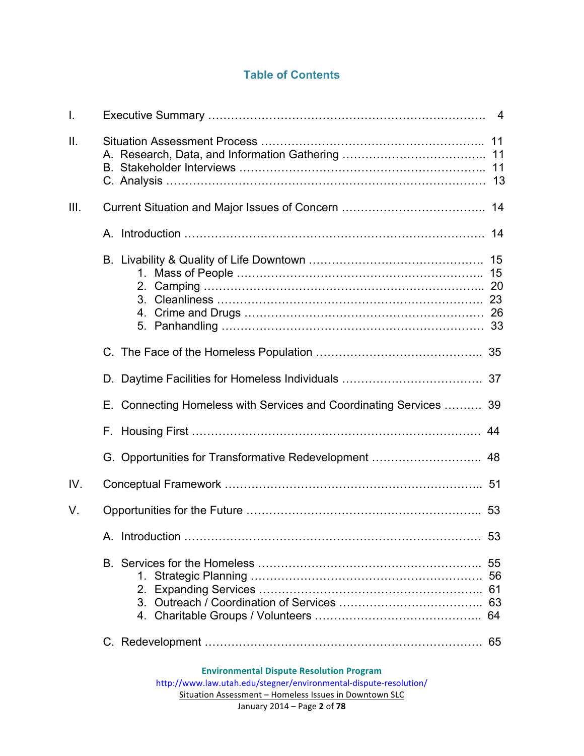# **Table of Contents**

| I.              |                                                                    |          |
|-----------------|--------------------------------------------------------------------|----------|
| $\mathbf{II}$ . |                                                                    |          |
| III.            |                                                                    |          |
|                 |                                                                    |          |
|                 |                                                                    |          |
|                 |                                                                    |          |
|                 | D.                                                                 |          |
|                 | E. Connecting Homeless with Services and Coordinating Services  39 |          |
|                 |                                                                    | 44       |
|                 |                                                                    |          |
| IV.             |                                                                    |          |
| V.              |                                                                    |          |
|                 |                                                                    | 53       |
|                 | 1.<br>2.                                                           | 56<br>61 |
|                 |                                                                    |          |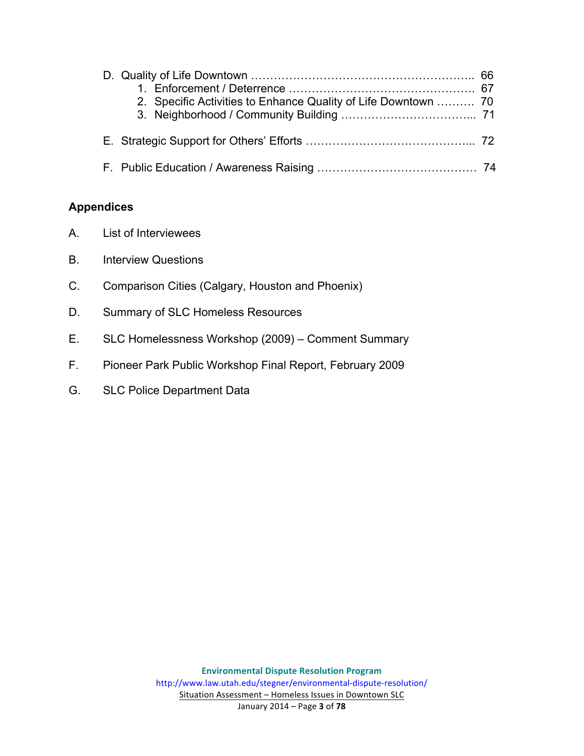| 2. Specific Activities to Enhance Quality of Life Downtown  70 |  |
|----------------------------------------------------------------|--|
|                                                                |  |
|                                                                |  |

#### **Appendices**

- A. List of Interviewees
- B. Interview Questions
- C. Comparison Cities (Calgary, Houston and Phoenix)
- D. Summary of SLC Homeless Resources
- E. SLC Homelessness Workshop (2009) Comment Summary
- F. Pioneer Park Public Workshop Final Report, February 2009
- G. SLC Police Department Data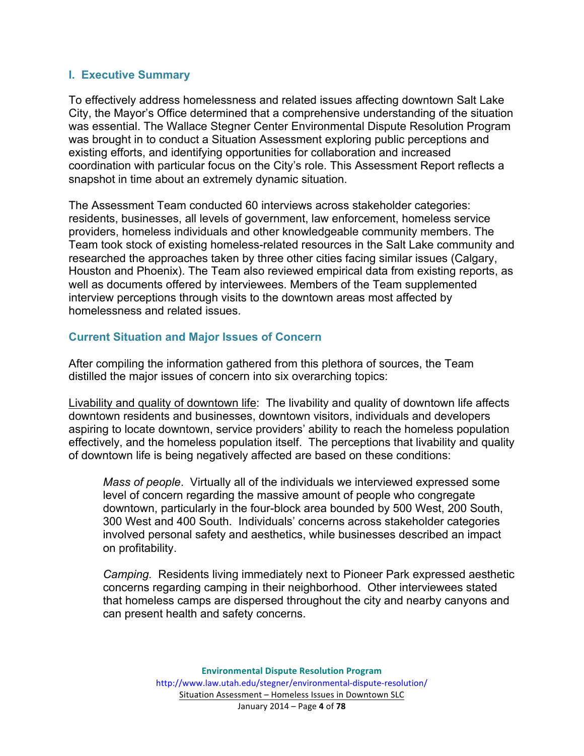#### **I. Executive Summary**

To effectively address homelessness and related issues affecting downtown Salt Lake City, the Mayor's Office determined that a comprehensive understanding of the situation was essential. The Wallace Stegner Center Environmental Dispute Resolution Program was brought in to conduct a Situation Assessment exploring public perceptions and existing efforts, and identifying opportunities for collaboration and increased coordination with particular focus on the City's role. This Assessment Report reflects a snapshot in time about an extremely dynamic situation.

The Assessment Team conducted 60 interviews across stakeholder categories: residents, businesses, all levels of government, law enforcement, homeless service providers, homeless individuals and other knowledgeable community members. The Team took stock of existing homeless-related resources in the Salt Lake community and researched the approaches taken by three other cities facing similar issues (Calgary, Houston and Phoenix). The Team also reviewed empirical data from existing reports, as well as documents offered by interviewees. Members of the Team supplemented interview perceptions through visits to the downtown areas most affected by homelessness and related issues.

#### **Current Situation and Major Issues of Concern**

After compiling the information gathered from this plethora of sources, the Team distilled the major issues of concern into six overarching topics:

Livability and quality of downtown life: The livability and quality of downtown life affects downtown residents and businesses, downtown visitors, individuals and developers aspiring to locate downtown, service providers' ability to reach the homeless population effectively, and the homeless population itself. The perceptions that livability and quality of downtown life is being negatively affected are based on these conditions:

*Mass of people*. Virtually all of the individuals we interviewed expressed some level of concern regarding the massive amount of people who congregate downtown, particularly in the four-block area bounded by 500 West, 200 South, 300 West and 400 South. Individuals' concerns across stakeholder categories involved personal safety and aesthetics, while businesses described an impact on profitability.

*Camping.* Residents living immediately next to Pioneer Park expressed aesthetic concerns regarding camping in their neighborhood. Other interviewees stated that homeless camps are dispersed throughout the city and nearby canyons and can present health and safety concerns.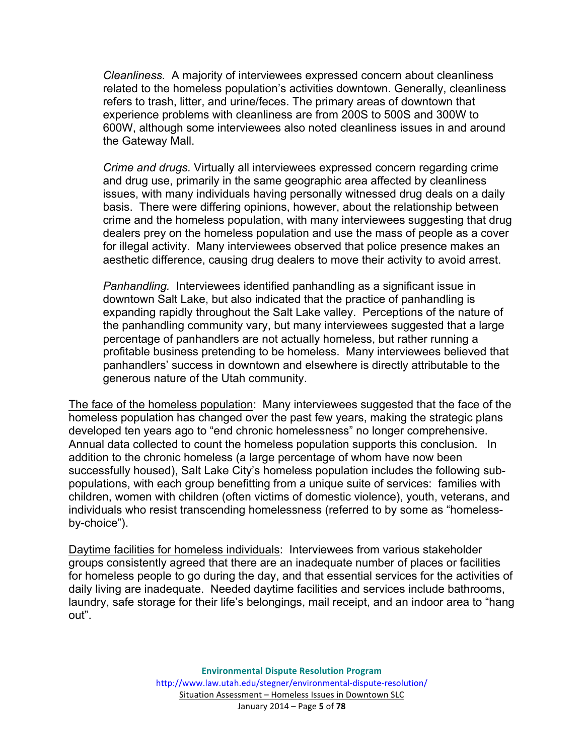*Cleanliness.* A majority of interviewees expressed concern about cleanliness related to the homeless population's activities downtown. Generally, cleanliness refers to trash, litter, and urine/feces. The primary areas of downtown that experience problems with cleanliness are from 200S to 500S and 300W to 600W, although some interviewees also noted cleanliness issues in and around the Gateway Mall.

*Crime and drugs.* Virtually all interviewees expressed concern regarding crime and drug use, primarily in the same geographic area affected by cleanliness issues, with many individuals having personally witnessed drug deals on a daily basis. There were differing opinions, however, about the relationship between crime and the homeless population, with many interviewees suggesting that drug dealers prey on the homeless population and use the mass of people as a cover for illegal activity. Many interviewees observed that police presence makes an aesthetic difference, causing drug dealers to move their activity to avoid arrest.

*Panhandling.* Interviewees identified panhandling as a significant issue in downtown Salt Lake, but also indicated that the practice of panhandling is expanding rapidly throughout the Salt Lake valley. Perceptions of the nature of the panhandling community vary, but many interviewees suggested that a large percentage of panhandlers are not actually homeless, but rather running a profitable business pretending to be homeless. Many interviewees believed that panhandlers' success in downtown and elsewhere is directly attributable to the generous nature of the Utah community.

The face of the homeless population: Many interviewees suggested that the face of the homeless population has changed over the past few years, making the strategic plans developed ten years ago to "end chronic homelessness" no longer comprehensive. Annual data collected to count the homeless population supports this conclusion. In addition to the chronic homeless (a large percentage of whom have now been successfully housed), Salt Lake City's homeless population includes the following subpopulations, with each group benefitting from a unique suite of services: families with children, women with children (often victims of domestic violence), youth, veterans, and individuals who resist transcending homelessness (referred to by some as "homelessby-choice").

Daytime facilities for homeless individuals: Interviewees from various stakeholder groups consistently agreed that there are an inadequate number of places or facilities for homeless people to go during the day, and that essential services for the activities of daily living are inadequate. Needed daytime facilities and services include bathrooms, laundry, safe storage for their life's belongings, mail receipt, and an indoor area to "hang out".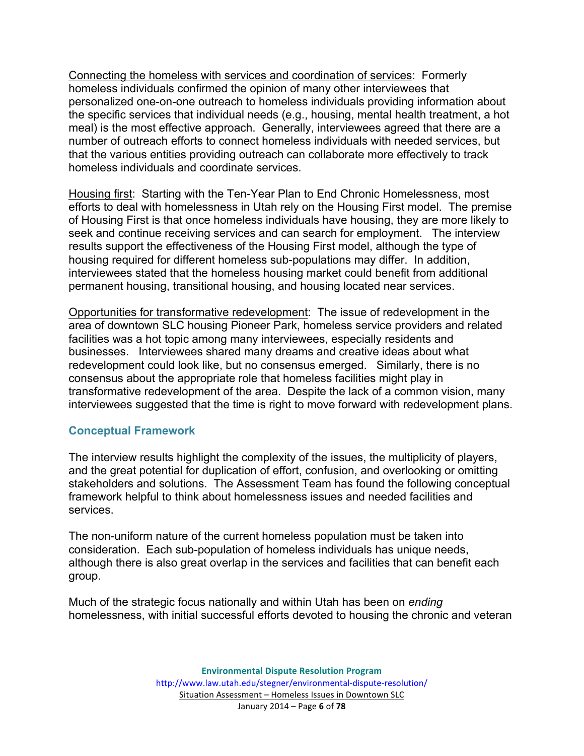Connecting the homeless with services and coordination of services: Formerly homeless individuals confirmed the opinion of many other interviewees that personalized one-on-one outreach to homeless individuals providing information about the specific services that individual needs (e.g., housing, mental health treatment, a hot meal) is the most effective approach. Generally, interviewees agreed that there are a number of outreach efforts to connect homeless individuals with needed services, but that the various entities providing outreach can collaborate more effectively to track homeless individuals and coordinate services.

Housing first: Starting with the Ten-Year Plan to End Chronic Homelessness, most efforts to deal with homelessness in Utah rely on the Housing First model. The premise of Housing First is that once homeless individuals have housing, they are more likely to seek and continue receiving services and can search for employment. The interview results support the effectiveness of the Housing First model, although the type of housing required for different homeless sub-populations may differ. In addition, interviewees stated that the homeless housing market could benefit from additional permanent housing, transitional housing, and housing located near services.

Opportunities for transformative redevelopment: The issue of redevelopment in the area of downtown SLC housing Pioneer Park, homeless service providers and related facilities was a hot topic among many interviewees, especially residents and businesses. Interviewees shared many dreams and creative ideas about what redevelopment could look like, but no consensus emerged. Similarly, there is no consensus about the appropriate role that homeless facilities might play in transformative redevelopment of the area. Despite the lack of a common vision, many interviewees suggested that the time is right to move forward with redevelopment plans.

#### **Conceptual Framework**

The interview results highlight the complexity of the issues, the multiplicity of players, and the great potential for duplication of effort, confusion, and overlooking or omitting stakeholders and solutions. The Assessment Team has found the following conceptual framework helpful to think about homelessness issues and needed facilities and services.

The non-uniform nature of the current homeless population must be taken into consideration. Each sub-population of homeless individuals has unique needs, although there is also great overlap in the services and facilities that can benefit each group.

Much of the strategic focus nationally and within Utah has been on *ending* homelessness, with initial successful efforts devoted to housing the chronic and veteran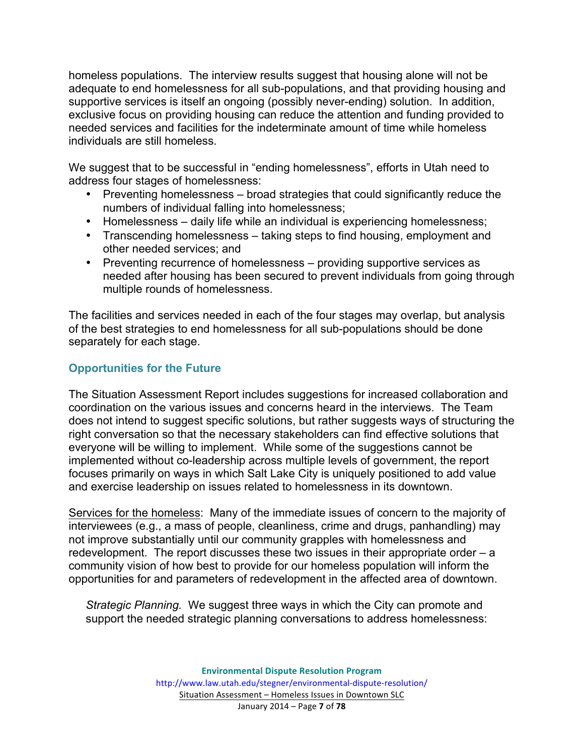homeless populations. The interview results suggest that housing alone will not be adequate to end homelessness for all sub-populations, and that providing housing and supportive services is itself an ongoing (possibly never-ending) solution. In addition, exclusive focus on providing housing can reduce the attention and funding provided to needed services and facilities for the indeterminate amount of time while homeless individuals are still homeless.

We suggest that to be successful in "ending homelessness", efforts in Utah need to address four stages of homelessness:

- Preventing homelessness broad strategies that could significantly reduce the numbers of individual falling into homelessness;
- Homelessness daily life while an individual is experiencing homelessness;
- Transcending homelessness taking steps to find housing, employment and other needed services; and
- Preventing recurrence of homelessness providing supportive services as needed after housing has been secured to prevent individuals from going through multiple rounds of homelessness.

The facilities and services needed in each of the four stages may overlap, but analysis of the best strategies to end homelessness for all sub-populations should be done separately for each stage.

# **Opportunities for the Future**

The Situation Assessment Report includes suggestions for increased collaboration and coordination on the various issues and concerns heard in the interviews. The Team does not intend to suggest specific solutions, but rather suggests ways of structuring the right conversation so that the necessary stakeholders can find effective solutions that everyone will be willing to implement. While some of the suggestions cannot be implemented without co-leadership across multiple levels of government, the report focuses primarily on ways in which Salt Lake City is uniquely positioned to add value and exercise leadership on issues related to homelessness in its downtown.

Services for the homeless: Many of the immediate issues of concern to the majority of interviewees (e.g., a mass of people, cleanliness, crime and drugs, panhandling) may not improve substantially until our community grapples with homelessness and redevelopment. The report discusses these two issues in their appropriate order – a community vision of how best to provide for our homeless population will inform the opportunities for and parameters of redevelopment in the affected area of downtown.

*Strategic Planning.* We suggest three ways in which the City can promote and support the needed strategic planning conversations to address homelessness: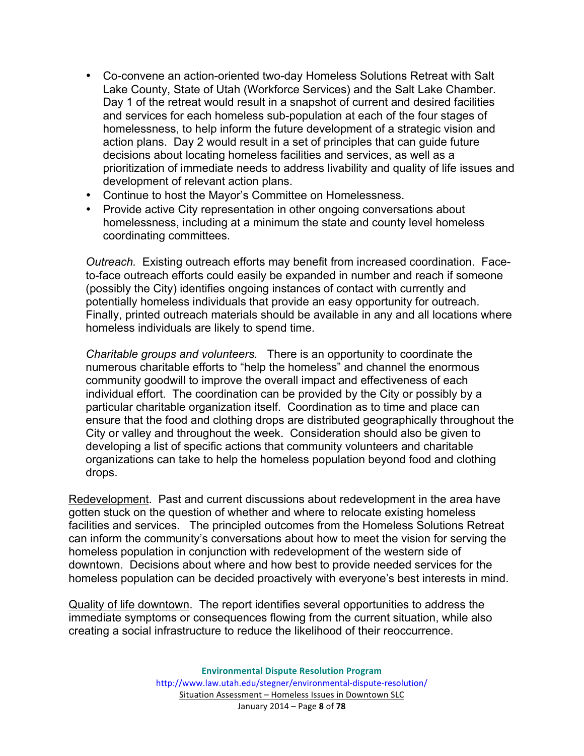- Co-convene an action-oriented two-day Homeless Solutions Retreat with Salt Lake County, State of Utah (Workforce Services) and the Salt Lake Chamber. Day 1 of the retreat would result in a snapshot of current and desired facilities and services for each homeless sub-population at each of the four stages of homelessness, to help inform the future development of a strategic vision and action plans. Day 2 would result in a set of principles that can guide future decisions about locating homeless facilities and services, as well as a prioritization of immediate needs to address livability and quality of life issues and development of relevant action plans.
- Continue to host the Mayor's Committee on Homelessness.
- Provide active City representation in other ongoing conversations about homelessness, including at a minimum the state and county level homeless coordinating committees.

*Outreach.* Existing outreach efforts may benefit from increased coordination. Faceto-face outreach efforts could easily be expanded in number and reach if someone (possibly the City) identifies ongoing instances of contact with currently and potentially homeless individuals that provide an easy opportunity for outreach. Finally, printed outreach materials should be available in any and all locations where homeless individuals are likely to spend time.

*Charitable groups and volunteers.* There is an opportunity to coordinate the numerous charitable efforts to "help the homeless" and channel the enormous community goodwill to improve the overall impact and effectiveness of each individual effort. The coordination can be provided by the City or possibly by a particular charitable organization itself. Coordination as to time and place can ensure that the food and clothing drops are distributed geographically throughout the City or valley and throughout the week. Consideration should also be given to developing a list of specific actions that community volunteers and charitable organizations can take to help the homeless population beyond food and clothing drops.

Redevelopment. Past and current discussions about redevelopment in the area have gotten stuck on the question of whether and where to relocate existing homeless facilities and services. The principled outcomes from the Homeless Solutions Retreat can inform the community's conversations about how to meet the vision for serving the homeless population in conjunction with redevelopment of the western side of downtown. Decisions about where and how best to provide needed services for the homeless population can be decided proactively with everyone's best interests in mind.

Quality of life downtown. The report identifies several opportunities to address the immediate symptoms or consequences flowing from the current situation, while also creating a social infrastructure to reduce the likelihood of their reoccurrence.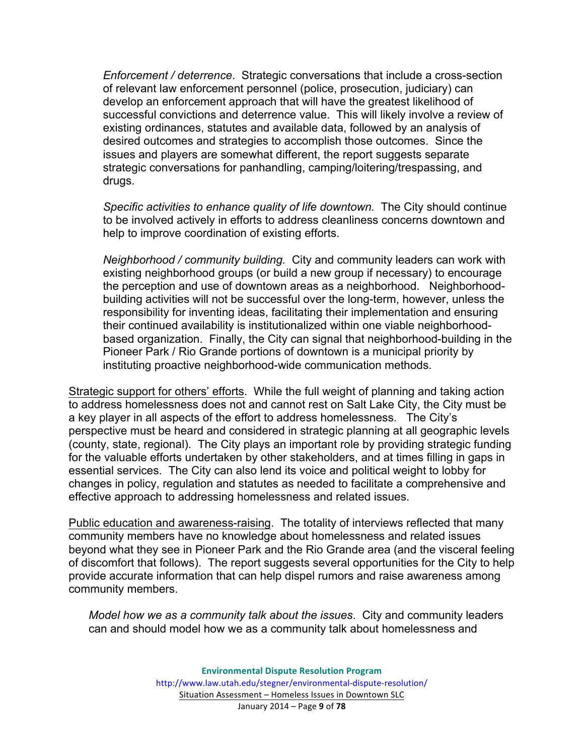*Enforcement / deterrence*. Strategic conversations that include a cross-section of relevant law enforcement personnel (police, prosecution, judiciary) can develop an enforcement approach that will have the greatest likelihood of successful convictions and deterrence value. This will likely involve a review of existing ordinances, statutes and available data, followed by an analysis of desired outcomes and strategies to accomplish those outcomes. Since the issues and players are somewhat different, the report suggests separate strategic conversations for panhandling, camping/loitering/trespassing, and drugs.

*Specific activities to enhance quality of life downtown.* The City should continue to be involved actively in efforts to address cleanliness concerns downtown and help to improve coordination of existing efforts.

*Neighborhood / community building.* City and community leaders can work with existing neighborhood groups (or build a new group if necessary) to encourage the perception and use of downtown areas as a neighborhood. Neighborhoodbuilding activities will not be successful over the long-term, however, unless the responsibility for inventing ideas, facilitating their implementation and ensuring their continued availability is institutionalized within one viable neighborhoodbased organization. Finally, the City can signal that neighborhood-building in the Pioneer Park / Rio Grande portions of downtown is a municipal priority by instituting proactive neighborhood-wide communication methods.

Strategic support for others' efforts. While the full weight of planning and taking action to address homelessness does not and cannot rest on Salt Lake City, the City must be a key player in all aspects of the effort to address homelessness. The City's perspective must be heard and considered in strategic planning at all geographic levels (county, state, regional). The City plays an important role by providing strategic funding for the valuable efforts undertaken by other stakeholders, and at times filling in gaps in essential services. The City can also lend its voice and political weight to lobby for changes in policy, regulation and statutes as needed to facilitate a comprehensive and effective approach to addressing homelessness and related issues.

Public education and awareness-raising. The totality of interviews reflected that many community members have no knowledge about homelessness and related issues beyond what they see in Pioneer Park and the Rio Grande area (and the visceral feeling of discomfort that follows). The report suggests several opportunities for the City to help provide accurate information that can help dispel rumors and raise awareness among community members.

*Model how we as a community talk about the issues*. City and community leaders can and should model how we as a community talk about homelessness and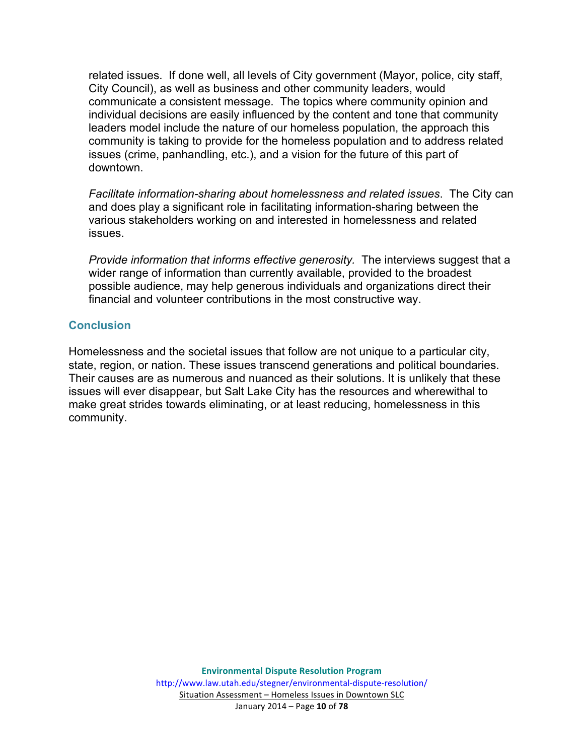related issues. If done well, all levels of City government (Mayor, police, city staff, City Council), as well as business and other community leaders, would communicate a consistent message. The topics where community opinion and individual decisions are easily influenced by the content and tone that community leaders model include the nature of our homeless population, the approach this community is taking to provide for the homeless population and to address related issues (crime, panhandling, etc.), and a vision for the future of this part of downtown.

*Facilitate information-sharing about homelessness and related issues*. The City can and does play a significant role in facilitating information-sharing between the various stakeholders working on and interested in homelessness and related issues.

*Provide information that informs effective generosity.* The interviews suggest that a wider range of information than currently available, provided to the broadest possible audience, may help generous individuals and organizations direct their financial and volunteer contributions in the most constructive way.

#### **Conclusion**

Homelessness and the societal issues that follow are not unique to a particular city, state, region, or nation. These issues transcend generations and political boundaries. Their causes are as numerous and nuanced as their solutions. It is unlikely that these issues will ever disappear, but Salt Lake City has the resources and wherewithal to make great strides towards eliminating, or at least reducing, homelessness in this community.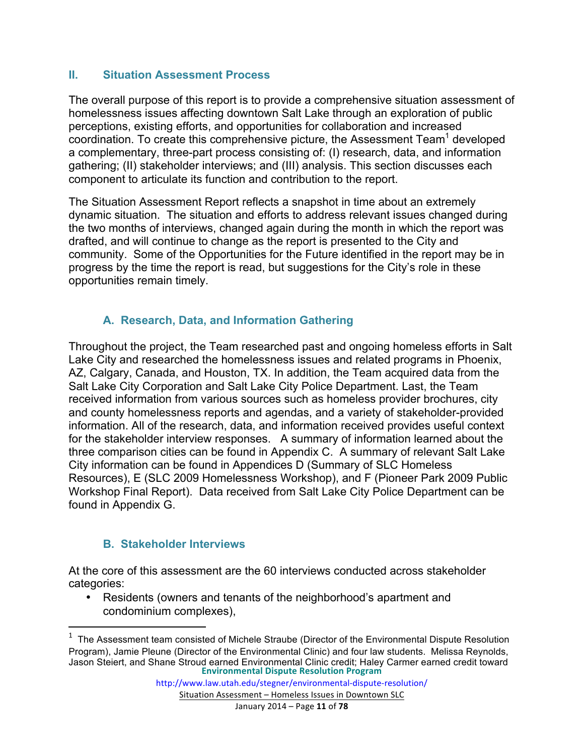#### **II. Situation Assessment Process**

The overall purpose of this report is to provide a comprehensive situation assessment of homelessness issues affecting downtown Salt Lake through an exploration of public perceptions, existing efforts, and opportunities for collaboration and increased coordination. To create this comprehensive picture, the Assessment Team<sup>1</sup> developed a complementary, three-part process consisting of: (I) research, data, and information gathering; (II) stakeholder interviews; and (III) analysis. This section discusses each component to articulate its function and contribution to the report.

The Situation Assessment Report reflects a snapshot in time about an extremely dynamic situation. The situation and efforts to address relevant issues changed during the two months of interviews, changed again during the month in which the report was drafted, and will continue to change as the report is presented to the City and community. Some of the Opportunities for the Future identified in the report may be in progress by the time the report is read, but suggestions for the City's role in these opportunities remain timely.

#### **A. Research, Data, and Information Gathering**

Throughout the project, the Team researched past and ongoing homeless efforts in Salt Lake City and researched the homelessness issues and related programs in Phoenix, AZ, Calgary, Canada, and Houston, TX. In addition, the Team acquired data from the Salt Lake City Corporation and Salt Lake City Police Department. Last, the Team received information from various sources such as homeless provider brochures, city and county homelessness reports and agendas, and a variety of stakeholder-provided information. All of the research, data, and information received provides useful context for the stakeholder interview responses. A summary of information learned about the three comparison cities can be found in Appendix C. A summary of relevant Salt Lake City information can be found in Appendices D (Summary of SLC Homeless Resources), E (SLC 2009 Homelessness Workshop), and F (Pioneer Park 2009 Public Workshop Final Report). Data received from Salt Lake City Police Department can be found in Appendix G.

#### **B. Stakeholder Interviews**

<u> 1989 - Johann Stein, markin film yn y breninn y breninn y breninn y breninn y breninn y breninn y breninn y b</u>

At the core of this assessment are the 60 interviews conducted across stakeholder categories:

• Residents (owners and tenants of the neighborhood's apartment and condominium complexes),

Situation Assessment - Homeless Issues in Downtown SLC

**Environmental Dispute Resolution Program**  $1$  The Assessment team consisted of Michele Straube (Director of the Environmental Dispute Resolution Program), Jamie Pleune (Director of the Environmental Clinic) and four law students. Melissa Reynolds, Jason Steiert, and Shane Stroud earned Environmental Clinic credit; Haley Carmer earned credit toward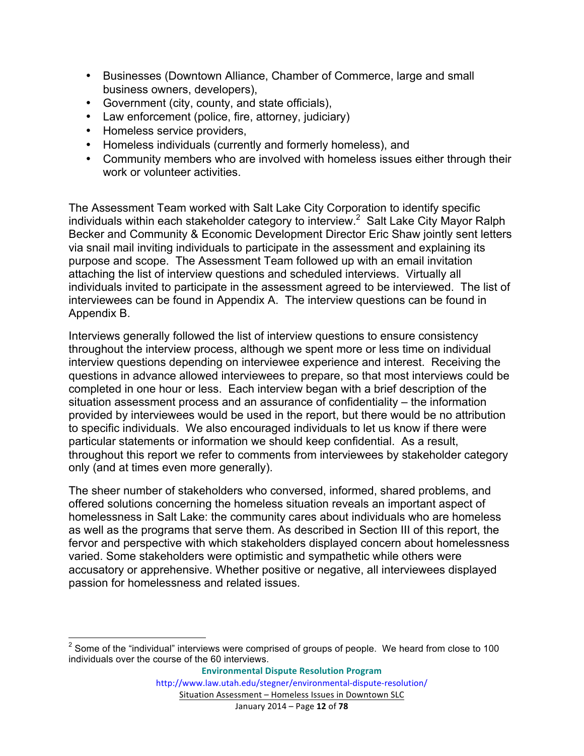- Businesses (Downtown Alliance, Chamber of Commerce, large and small business owners, developers),
- Government (city, county, and state officials),
- Law enforcement (police, fire, attorney, judiciary)
- Homeless service providers,
- Homeless individuals (currently and formerly homeless), and
- Community members who are involved with homeless issues either through their work or volunteer activities.

The Assessment Team worked with Salt Lake City Corporation to identify specific individuals within each stakeholder category to interview.<sup>2</sup> Salt Lake City Mayor Ralph Becker and Community & Economic Development Director Eric Shaw jointly sent letters via snail mail inviting individuals to participate in the assessment and explaining its purpose and scope. The Assessment Team followed up with an email invitation attaching the list of interview questions and scheduled interviews. Virtually all individuals invited to participate in the assessment agreed to be interviewed. The list of interviewees can be found in Appendix A. The interview questions can be found in Appendix B.

Interviews generally followed the list of interview questions to ensure consistency throughout the interview process, although we spent more or less time on individual interview questions depending on interviewee experience and interest. Receiving the questions in advance allowed interviewees to prepare, so that most interviews could be completed in one hour or less. Each interview began with a brief description of the situation assessment process and an assurance of confidentiality – the information provided by interviewees would be used in the report, but there would be no attribution to specific individuals. We also encouraged individuals to let us know if there were particular statements or information we should keep confidential. As a result, throughout this report we refer to comments from interviewees by stakeholder category only (and at times even more generally).

The sheer number of stakeholders who conversed, informed, shared problems, and offered solutions concerning the homeless situation reveals an important aspect of homelessness in Salt Lake: the community cares about individuals who are homeless as well as the programs that serve them. As described in Section III of this report, the fervor and perspective with which stakeholders displayed concern about homelessness varied. Some stakeholders were optimistic and sympathetic while others were accusatory or apprehensive. Whether positive or negative, all interviewees displayed passion for homelessness and related issues.

 $2$  Some of the "individual" interviews were comprised of groups of people. We heard from close to 100 individuals over the course of the 60 interviews.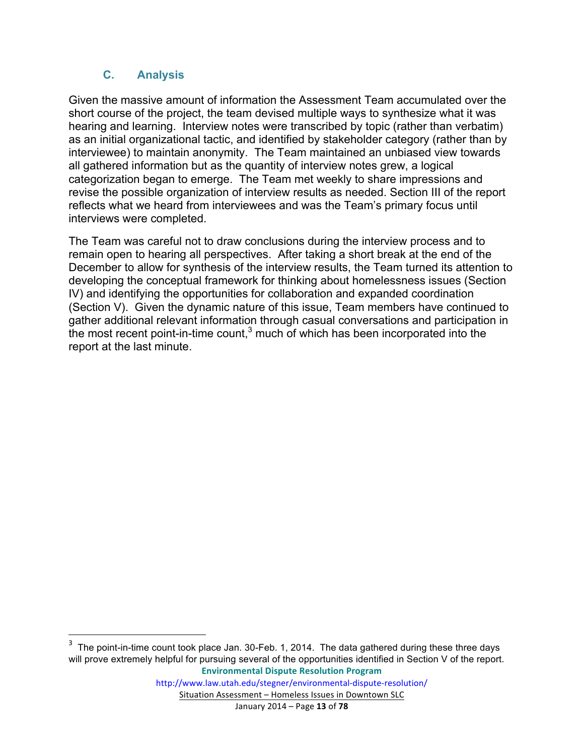# **C. Analysis**

<u> 1989 - Jan Stein Stein, fransk politiker (d. 1989)</u>

Given the massive amount of information the Assessment Team accumulated over the short course of the project, the team devised multiple ways to synthesize what it was hearing and learning. Interview notes were transcribed by topic (rather than verbatim) as an initial organizational tactic, and identified by stakeholder category (rather than by interviewee) to maintain anonymity. The Team maintained an unbiased view towards all gathered information but as the quantity of interview notes grew, a logical categorization began to emerge. The Team met weekly to share impressions and revise the possible organization of interview results as needed. Section III of the report reflects what we heard from interviewees and was the Team's primary focus until interviews were completed.

The Team was careful not to draw conclusions during the interview process and to remain open to hearing all perspectives. After taking a short break at the end of the December to allow for synthesis of the interview results, the Team turned its attention to developing the conceptual framework for thinking about homelessness issues (Section IV) and identifying the opportunities for collaboration and expanded coordination (Section V). Given the dynamic nature of this issue, Team members have continued to gather additional relevant information through casual conversations and participation in the most recent point-in-time count, $3$  much of which has been incorporated into the report at the last minute.

**Environmental Dispute Resolution Program**  $3$  The point-in-time count took place Jan. 30-Feb. 1, 2014. The data gathered during these three days will prove extremely helpful for pursuing several of the opportunities identified in Section V of the report.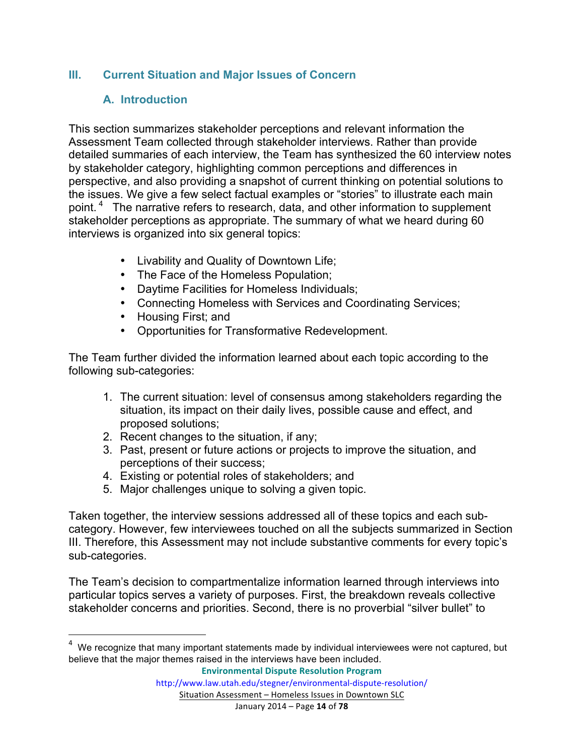#### **III. Current Situation and Major Issues of Concern**

#### **A. Introduction**

This section summarizes stakeholder perceptions and relevant information the Assessment Team collected through stakeholder interviews. Rather than provide detailed summaries of each interview, the Team has synthesized the 60 interview notes by stakeholder category, highlighting common perceptions and differences in perspective, and also providing a snapshot of current thinking on potential solutions to the issues. We give a few select factual examples or "stories" to illustrate each main point.<sup>4</sup> The narrative refers to research, data, and other information to supplement stakeholder perceptions as appropriate. The summary of what we heard during 60 interviews is organized into six general topics:

- Livability and Quality of Downtown Life;
- The Face of the Homeless Population;
- Daytime Facilities for Homeless Individuals;
- Connecting Homeless with Services and Coordinating Services;
- Housing First; and

<u> 1989 - Jan Stein Stein, fransk politiker (d. 1989)</u>

• Opportunities for Transformative Redevelopment.

The Team further divided the information learned about each topic according to the following sub-categories:

- 1. The current situation: level of consensus among stakeholders regarding the situation, its impact on their daily lives, possible cause and effect, and proposed solutions;
- 2. Recent changes to the situation, if any;
- 3. Past, present or future actions or projects to improve the situation, and perceptions of their success;
- 4. Existing or potential roles of stakeholders; and
- 5. Major challenges unique to solving a given topic.

Taken together, the interview sessions addressed all of these topics and each subcategory. However, few interviewees touched on all the subjects summarized in Section III. Therefore, this Assessment may not include substantive comments for every topic's sub-categories.

The Team's decision to compartmentalize information learned through interviews into particular topics serves a variety of purposes. First, the breakdown reveals collective stakeholder concerns and priorities. Second, there is no proverbial "silver bullet" to

**Environmental Dispute Resolution Program**

 $4$  We recognize that many important statements made by individual interviewees were not captured, but believe that the major themes raised in the interviews have been included.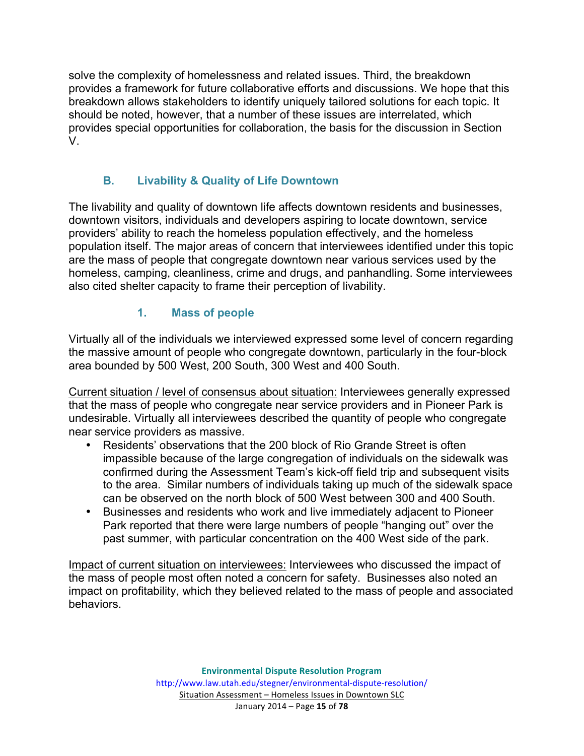solve the complexity of homelessness and related issues. Third, the breakdown provides a framework for future collaborative efforts and discussions. We hope that this breakdown allows stakeholders to identify uniquely tailored solutions for each topic. It should be noted, however, that a number of these issues are interrelated, which provides special opportunities for collaboration, the basis for the discussion in Section V.

# **B. Livability & Quality of Life Downtown**

The livability and quality of downtown life affects downtown residents and businesses, downtown visitors, individuals and developers aspiring to locate downtown, service providers' ability to reach the homeless population effectively, and the homeless population itself. The major areas of concern that interviewees identified under this topic are the mass of people that congregate downtown near various services used by the homeless, camping, cleanliness, crime and drugs, and panhandling. Some interviewees also cited shelter capacity to frame their perception of livability.

# **1. Mass of people**

Virtually all of the individuals we interviewed expressed some level of concern regarding the massive amount of people who congregate downtown, particularly in the four-block area bounded by 500 West, 200 South, 300 West and 400 South.

Current situation / level of consensus about situation: Interviewees generally expressed that the mass of people who congregate near service providers and in Pioneer Park is undesirable. Virtually all interviewees described the quantity of people who congregate near service providers as massive.

- Residents' observations that the 200 block of Rio Grande Street is often impassible because of the large congregation of individuals on the sidewalk was confirmed during the Assessment Team's kick-off field trip and subsequent visits to the area. Similar numbers of individuals taking up much of the sidewalk space can be observed on the north block of 500 West between 300 and 400 South.
- Businesses and residents who work and live immediately adjacent to Pioneer Park reported that there were large numbers of people "hanging out" over the past summer, with particular concentration on the 400 West side of the park.

Impact of current situation on interviewees: Interviewees who discussed the impact of the mass of people most often noted a concern for safety. Businesses also noted an impact on profitability, which they believed related to the mass of people and associated behaviors.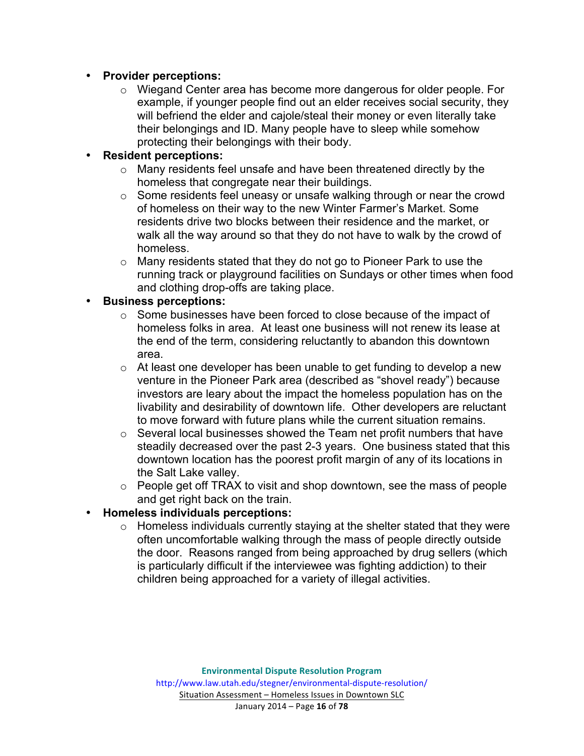#### • **Provider perceptions:**

o Wiegand Center area has become more dangerous for older people. For example, if younger people find out an elder receives social security, they will befriend the elder and cajole/steal their money or even literally take their belongings and ID. Many people have to sleep while somehow protecting their belongings with their body.

#### • **Resident perceptions:**

- o Many residents feel unsafe and have been threatened directly by the homeless that congregate near their buildings.
- o Some residents feel uneasy or unsafe walking through or near the crowd of homeless on their way to the new Winter Farmer's Market. Some residents drive two blocks between their residence and the market, or walk all the way around so that they do not have to walk by the crowd of homeless.
- $\circ$  Many residents stated that they do not go to Pioneer Park to use the running track or playground facilities on Sundays or other times when food and clothing drop-offs are taking place.

#### • **Business perceptions:**

- o Some businesses have been forced to close because of the impact of homeless folks in area. At least one business will not renew its lease at the end of the term, considering reluctantly to abandon this downtown area.
- $\circ$  At least one developer has been unable to get funding to develop a new venture in the Pioneer Park area (described as "shovel ready") because investors are leary about the impact the homeless population has on the livability and desirability of downtown life. Other developers are reluctant to move forward with future plans while the current situation remains.
- o Several local businesses showed the Team net profit numbers that have steadily decreased over the past 2-3 years. One business stated that this downtown location has the poorest profit margin of any of its locations in the Salt Lake valley.
- o People get off TRAX to visit and shop downtown, see the mass of people and get right back on the train.

# • **Homeless individuals perceptions:**

o Homeless individuals currently staying at the shelter stated that they were often uncomfortable walking through the mass of people directly outside the door. Reasons ranged from being approached by drug sellers (which is particularly difficult if the interviewee was fighting addiction) to their children being approached for a variety of illegal activities.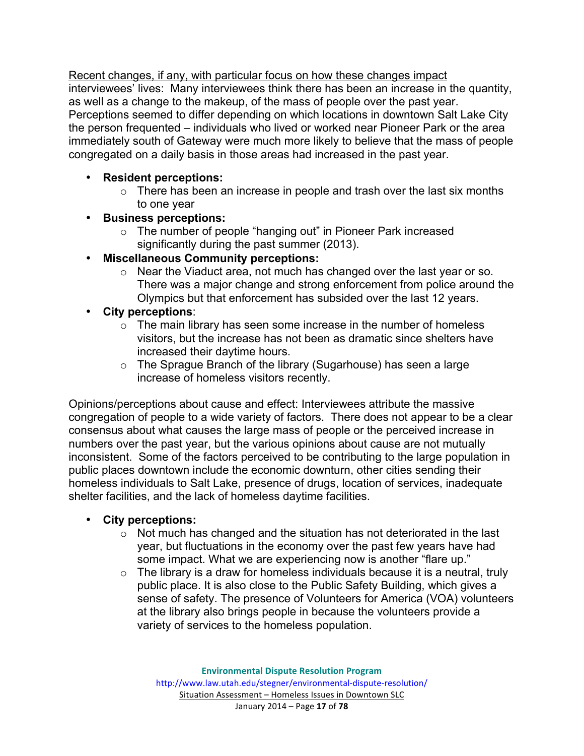Recent changes, if any, with particular focus on how these changes impact interviewees' lives: Many interviewees think there has been an increase in the quantity, as well as a change to the makeup, of the mass of people over the past year. Perceptions seemed to differ depending on which locations in downtown Salt Lake City the person frequented – individuals who lived or worked near Pioneer Park or the area immediately south of Gateway were much more likely to believe that the mass of people congregated on a daily basis in those areas had increased in the past year.

# • **Resident perceptions:**

- $\circ$  There has been an increase in people and trash over the last six months to one year
- **Business perceptions:**
	- o The number of people "hanging out" in Pioneer Park increased significantly during the past summer (2013).
- **Miscellaneous Community perceptions:**
	- o Near the Viaduct area, not much has changed over the last year or so. There was a major change and strong enforcement from police around the Olympics but that enforcement has subsided over the last 12 years.
- **City perceptions**:
	- $\circ$  The main library has seen some increase in the number of homeless visitors, but the increase has not been as dramatic since shelters have increased their daytime hours.
	- o The Sprague Branch of the library (Sugarhouse) has seen a large increase of homeless visitors recently.

Opinions/perceptions about cause and effect: Interviewees attribute the massive congregation of people to a wide variety of factors. There does not appear to be a clear consensus about what causes the large mass of people or the perceived increase in numbers over the past year, but the various opinions about cause are not mutually inconsistent. Some of the factors perceived to be contributing to the large population in public places downtown include the economic downturn, other cities sending their homeless individuals to Salt Lake, presence of drugs, location of services, inadequate shelter facilities, and the lack of homeless daytime facilities.

#### • **City perceptions:**

- o Not much has changed and the situation has not deteriorated in the last year, but fluctuations in the economy over the past few years have had some impact. What we are experiencing now is another "flare up."
- $\circ$  The library is a draw for homeless individuals because it is a neutral, truly public place. It is also close to the Public Safety Building, which gives a sense of safety. The presence of Volunteers for America (VOA) volunteers at the library also brings people in because the volunteers provide a variety of services to the homeless population.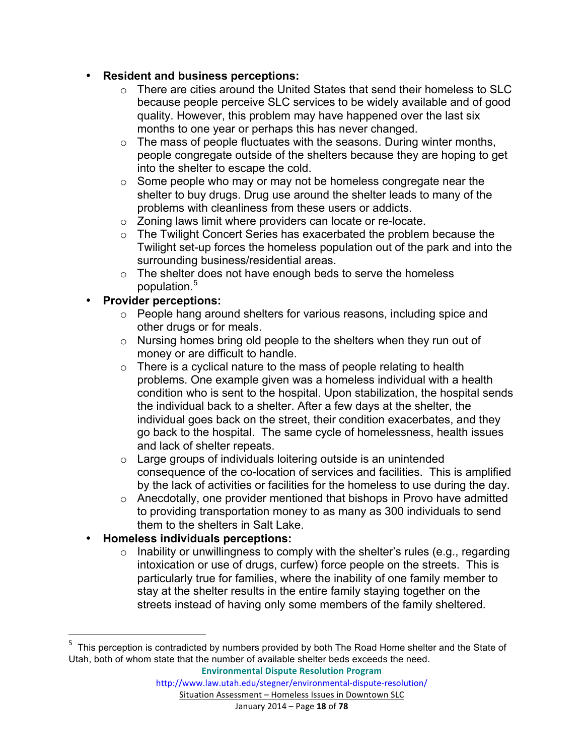#### • **Resident and business perceptions:**

- o There are cities around the United States that send their homeless to SLC because people perceive SLC services to be widely available and of good quality. However, this problem may have happened over the last six months to one year or perhaps this has never changed.
- $\circ$  The mass of people fluctuates with the seasons. During winter months, people congregate outside of the shelters because they are hoping to get into the shelter to escape the cold.
- o Some people who may or may not be homeless congregate near the shelter to buy drugs. Drug use around the shelter leads to many of the problems with cleanliness from these users or addicts.
- o Zoning laws limit where providers can locate or re-locate.
- o The Twilight Concert Series has exacerbated the problem because the Twilight set-up forces the homeless population out of the park and into the surrounding business/residential areas.
- $\circ$  The shelter does not have enough beds to serve the homeless population.<sup>5</sup>

# • **Provider perceptions:**

- o People hang around shelters for various reasons, including spice and other drugs or for meals.
- o Nursing homes bring old people to the shelters when they run out of money or are difficult to handle.
- $\circ$  There is a cyclical nature to the mass of people relating to health problems. One example given was a homeless individual with a health condition who is sent to the hospital. Upon stabilization, the hospital sends the individual back to a shelter. After a few days at the shelter, the individual goes back on the street, their condition exacerbates, and they go back to the hospital. The same cycle of homelessness, health issues and lack of shelter repeats.
- o Large groups of individuals loitering outside is an unintended consequence of the co-location of services and facilities. This is amplified by the lack of activities or facilities for the homeless to use during the day.
- o Anecdotally, one provider mentioned that bishops in Provo have admitted to providing transportation money to as many as 300 individuals to send them to the shelters in Salt Lake.

# • **Homeless individuals perceptions:**

<u> 1989 - Jan Stein Stein, fransk politiker (d. 1989)</u>

 $\circ$  Inability or unwillingness to comply with the shelter's rules (e.g., regarding intoxication or use of drugs, curfew) force people on the streets. This is particularly true for families, where the inability of one family member to stay at the shelter results in the entire family staying together on the streets instead of having only some members of the family sheltered.

<sup>&</sup>lt;sup>5</sup> This perception is contradicted by numbers provided by both The Road Home shelter and the State of Utah, both of whom state that the number of available shelter beds exceeds the need.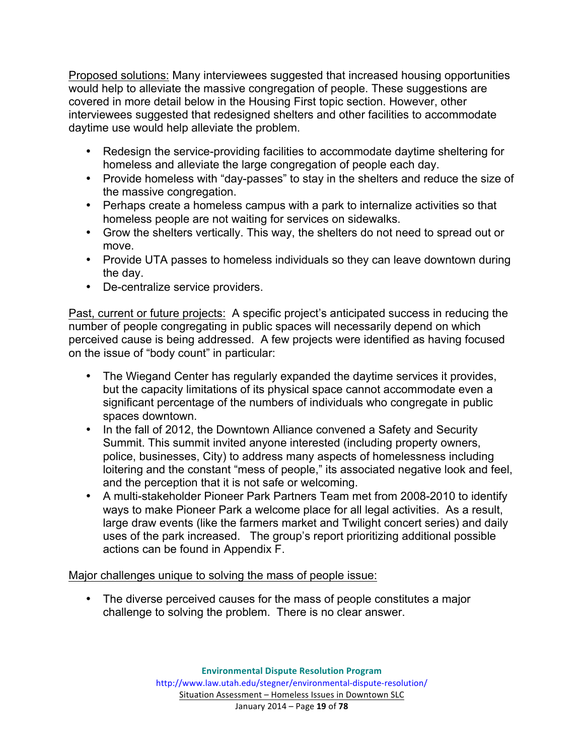Proposed solutions: Many interviewees suggested that increased housing opportunities would help to alleviate the massive congregation of people. These suggestions are covered in more detail below in the Housing First topic section. However, other interviewees suggested that redesigned shelters and other facilities to accommodate daytime use would help alleviate the problem.

- Redesign the service-providing facilities to accommodate daytime sheltering for homeless and alleviate the large congregation of people each day.
- Provide homeless with "day-passes" to stay in the shelters and reduce the size of the massive congregation.
- Perhaps create a homeless campus with a park to internalize activities so that homeless people are not waiting for services on sidewalks.
- Grow the shelters vertically. This way, the shelters do not need to spread out or move.
- Provide UTA passes to homeless individuals so they can leave downtown during the day.
- De-centralize service providers.

Past, current or future projects: A specific project's anticipated success in reducing the number of people congregating in public spaces will necessarily depend on which perceived cause is being addressed. A few projects were identified as having focused on the issue of "body count" in particular:

- The Wiegand Center has regularly expanded the daytime services it provides, but the capacity limitations of its physical space cannot accommodate even a significant percentage of the numbers of individuals who congregate in public spaces downtown.
- In the fall of 2012, the Downtown Alliance convened a Safety and Security Summit. This summit invited anyone interested (including property owners, police, businesses, City) to address many aspects of homelessness including loitering and the constant "mess of people," its associated negative look and feel, and the perception that it is not safe or welcoming.
- A multi-stakeholder Pioneer Park Partners Team met from 2008-2010 to identify ways to make Pioneer Park a welcome place for all legal activities. As a result, large draw events (like the farmers market and Twilight concert series) and daily uses of the park increased. The group's report prioritizing additional possible actions can be found in Appendix F.

Major challenges unique to solving the mass of people issue:

• The diverse perceived causes for the mass of people constitutes a major challenge to solving the problem. There is no clear answer.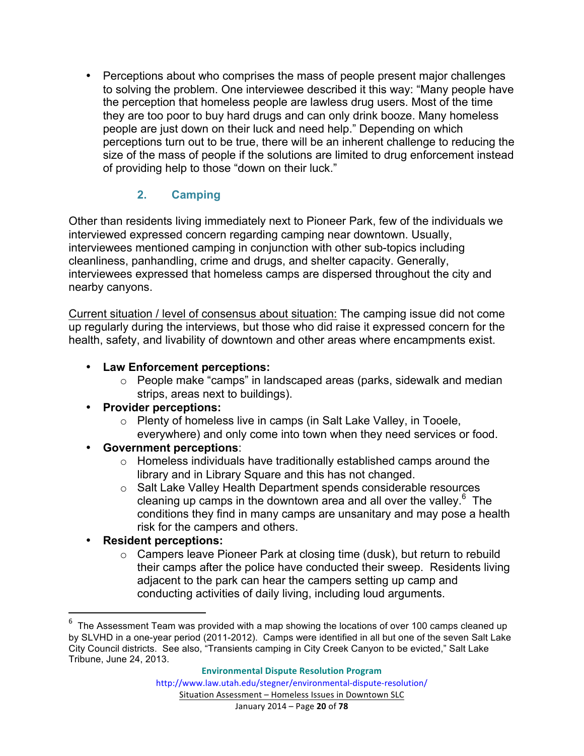• Perceptions about who comprises the mass of people present major challenges to solving the problem. One interviewee described it this way: "Many people have the perception that homeless people are lawless drug users. Most of the time they are too poor to buy hard drugs and can only drink booze. Many homeless people are just down on their luck and need help." Depending on which perceptions turn out to be true, there will be an inherent challenge to reducing the size of the mass of people if the solutions are limited to drug enforcement instead of providing help to those "down on their luck."

# **2. Camping**

Other than residents living immediately next to Pioneer Park, few of the individuals we interviewed expressed concern regarding camping near downtown. Usually, interviewees mentioned camping in conjunction with other sub-topics including cleanliness, panhandling, crime and drugs, and shelter capacity. Generally, interviewees expressed that homeless camps are dispersed throughout the city and nearby canyons.

Current situation / level of consensus about situation: The camping issue did not come up regularly during the interviews, but those who did raise it expressed concern for the health, safety, and livability of downtown and other areas where encampments exist.

# • **Law Enforcement perceptions:**

o People make "camps" in landscaped areas (parks, sidewalk and median strips, areas next to buildings).

#### • **Provider perceptions:**

- o Plenty of homeless live in camps (in Salt Lake Valley, in Tooele, everywhere) and only come into town when they need services or food.
- **Government perceptions**:
	- $\circ$  Homeless individuals have traditionally established camps around the library and in Library Square and this has not changed.
	- o Salt Lake Valley Health Department spends considerable resources cleaning up camps in the downtown area and all over the valley. $6$  The conditions they find in many camps are unsanitary and may pose a health risk for the campers and others.

# • **Resident perceptions:**

<u> 1989 - Jan Stein Stein, fransk politiker (d. 1989)</u>

o Campers leave Pioneer Park at closing time (dusk), but return to rebuild their camps after the police have conducted their sweep. Residents living adjacent to the park can hear the campers setting up camp and conducting activities of daily living, including loud arguments.

<sup>6</sup> The Assessment Team was provided with a map showing the locations of over 100 camps cleaned up by SLVHD in a one-year period (2011-2012). Camps were identified in all but one of the seven Salt Lake City Council districts. See also, "Transients camping in City Creek Canyon to be evicted," Salt Lake Tribune, June 24, 2013.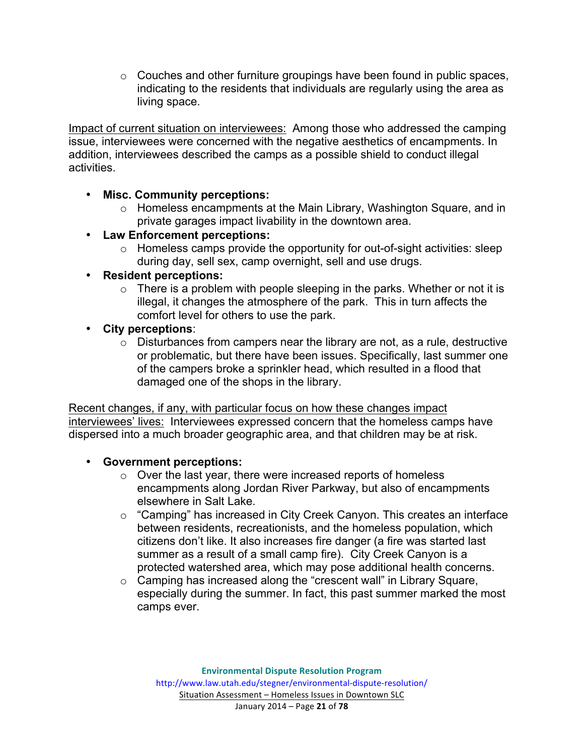$\circ$  Couches and other furniture groupings have been found in public spaces, indicating to the residents that individuals are regularly using the area as living space.

Impact of current situation on interviewees: Among those who addressed the camping issue, interviewees were concerned with the negative aesthetics of encampments. In addition, interviewees described the camps as a possible shield to conduct illegal activities.

#### • **Misc. Community perceptions:**

- o Homeless encampments at the Main Library, Washington Square, and in private garages impact livability in the downtown area.
- **Law Enforcement perceptions:**
	- o Homeless camps provide the opportunity for out-of-sight activities: sleep during day, sell sex, camp overnight, sell and use drugs.

#### • **Resident perceptions:**

- $\circ$  There is a problem with people sleeping in the parks. Whether or not it is illegal, it changes the atmosphere of the park. This in turn affects the comfort level for others to use the park.
- **City perceptions**:
	- $\circ$  Disturbances from campers near the library are not, as a rule, destructive or problematic, but there have been issues. Specifically, last summer one of the campers broke a sprinkler head, which resulted in a flood that damaged one of the shops in the library.

Recent changes, if any, with particular focus on how these changes impact interviewees' lives: Interviewees expressed concern that the homeless camps have dispersed into a much broader geographic area, and that children may be at risk.

#### • **Government perceptions:**

- o Over the last year, there were increased reports of homeless encampments along Jordan River Parkway, but also of encampments elsewhere in Salt Lake.
- o "Camping" has increased in City Creek Canyon. This creates an interface between residents, recreationists, and the homeless population, which citizens don't like. It also increases fire danger (a fire was started last summer as a result of a small camp fire). City Creek Canyon is a protected watershed area, which may pose additional health concerns.
- o Camping has increased along the "crescent wall" in Library Square, especially during the summer. In fact, this past summer marked the most camps ever.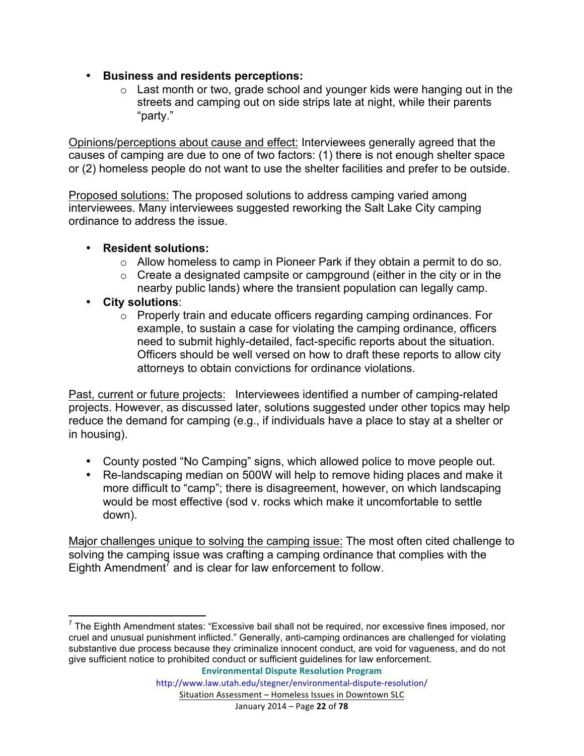- **Business and residents perceptions:**
	- $\circ$  Last month or two, grade school and younger kids were hanging out in the streets and camping out on side strips late at night, while their parents "party."

Opinions/perceptions about cause and effect: Interviewees generally agreed that the causes of camping are due to one of two factors: (1) there is not enough shelter space or (2) homeless people do not want to use the shelter facilities and prefer to be outside.

Proposed solutions: The proposed solutions to address camping varied among interviewees. Many interviewees suggested reworking the Salt Lake City camping ordinance to address the issue.

#### • **Resident solutions:**

- o Allow homeless to camp in Pioneer Park if they obtain a permit to do so.
- $\circ$  Create a designated campsite or campground (either in the city or in the nearby public lands) where the transient population can legally camp.
- **City solutions**:
	- o Properly train and educate officers regarding camping ordinances. For example, to sustain a case for violating the camping ordinance, officers need to submit highly-detailed, fact-specific reports about the situation. Officers should be well versed on how to draft these reports to allow city attorneys to obtain convictions for ordinance violations.

Past, current or future projects: Interviewees identified a number of camping-related projects. However, as discussed later, solutions suggested under other topics may help reduce the demand for camping (e.g., if individuals have a place to stay at a shelter or in housing).

- County posted "No Camping" signs, which allowed police to move people out.
- Re-landscaping median on 500W will help to remove hiding places and make it more difficult to "camp"; there is disagreement, however, on which landscaping would be most effective (sod v. rocks which make it uncomfortable to settle down).

Major challenges unique to solving the camping issue: The most often cited challenge to solving the camping issue was crafting a camping ordinance that complies with the Eighth Amendment<sup>7</sup> and is clear for law enforcement to follow.

 $<sup>7</sup>$  The Eighth Amendment states: "Excessive bail shall not be required, nor excessive fines imposed, nor</sup> cruel and unusual punishment inflicted." Generally, anti-camping ordinances are challenged for violating substantive due process because they criminalize innocent conduct, are void for vagueness, and do not give sufficient notice to prohibited conduct or sufficient guidelines for law enforcement.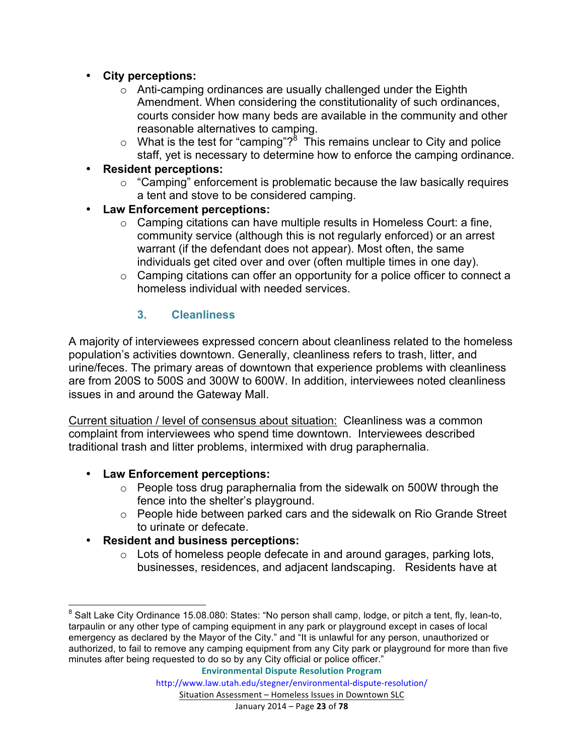- **City perceptions:**
	- o Anti-camping ordinances are usually challenged under the Eighth Amendment. When considering the constitutionality of such ordinances, courts consider how many beds are available in the community and other reasonable alternatives to camping.
	- $\circ$  What is the test for "camping"?<sup>8</sup> This remains unclear to City and police staff, yet is necessary to determine how to enforce the camping ordinance.
- **Resident perceptions:**
	- $\circ$  "Camping" enforcement is problematic because the law basically requires a tent and stove to be considered camping.
- **Law Enforcement perceptions:** 
	- o Camping citations can have multiple results in Homeless Court: a fine, community service (although this is not regularly enforced) or an arrest warrant (if the defendant does not appear). Most often, the same individuals get cited over and over (often multiple times in one day).
	- o Camping citations can offer an opportunity for a police officer to connect a homeless individual with needed services.

# **3. Cleanliness**

A majority of interviewees expressed concern about cleanliness related to the homeless population's activities downtown. Generally, cleanliness refers to trash, litter, and urine/feces. The primary areas of downtown that experience problems with cleanliness are from 200S to 500S and 300W to 600W. In addition, interviewees noted cleanliness issues in and around the Gateway Mall.

Current situation / level of consensus about situation: Cleanliness was a common complaint from interviewees who spend time downtown. Interviewees described traditional trash and litter problems, intermixed with drug paraphernalia.

- **Law Enforcement perceptions:**
	- o People toss drug paraphernalia from the sidewalk on 500W through the fence into the shelter's playground.
	- o People hide between parked cars and the sidewalk on Rio Grande Street to urinate or defecate.
- **Resident and business perceptions:**
	- o Lots of homeless people defecate in and around garages, parking lots, businesses, residences, and adjacent landscaping. Residents have at

<sup>&</sup>lt;sup>8</sup> Salt Lake City Ordinance 15.08.080: States: "No person shall camp, lodge, or pitch a tent, fly, lean-to, tarpaulin or any other type of camping equipment in any park or playground except in cases of local emergency as declared by the Mayor of the City." and "It is unlawful for any person, unauthorized or authorized, to fail to remove any camping equipment from any City park or playground for more than five minutes after being requested to do so by any City official or police officer."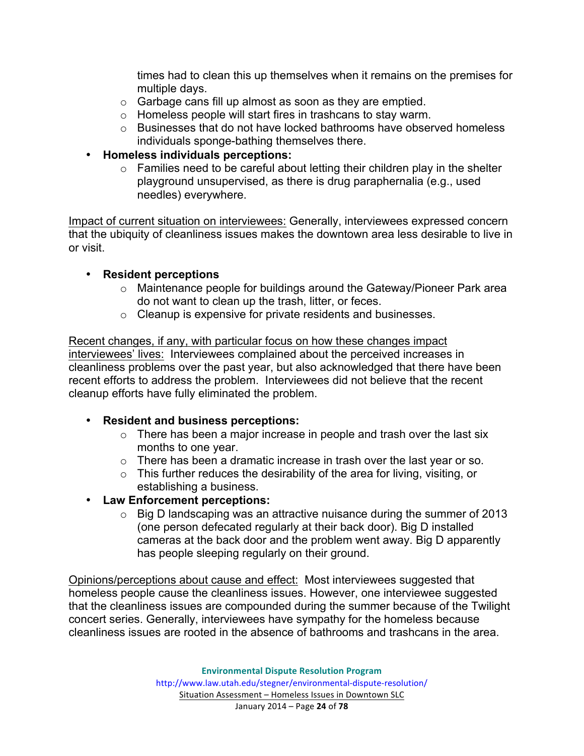times had to clean this up themselves when it remains on the premises for multiple days.

- o Garbage cans fill up almost as soon as they are emptied.
- o Homeless people will start fires in trashcans to stay warm.
- $\circ$  Businesses that do not have locked bathrooms have observed homeless individuals sponge-bathing themselves there.
- **Homeless individuals perceptions:**
	- o Families need to be careful about letting their children play in the shelter playground unsupervised, as there is drug paraphernalia (e.g., used needles) everywhere.

Impact of current situation on interviewees: Generally, interviewees expressed concern that the ubiquity of cleanliness issues makes the downtown area less desirable to live in or visit.

#### • **Resident perceptions**

- o Maintenance people for buildings around the Gateway/Pioneer Park area do not want to clean up the trash, litter, or feces.
- o Cleanup is expensive for private residents and businesses.

Recent changes, if any, with particular focus on how these changes impact interviewees' lives: Interviewees complained about the perceived increases in cleanliness problems over the past year, but also acknowledged that there have been recent efforts to address the problem. Interviewees did not believe that the recent cleanup efforts have fully eliminated the problem.

#### • **Resident and business perceptions:**

- $\circ$  There has been a major increase in people and trash over the last six months to one year.
- $\circ$  There has been a dramatic increase in trash over the last year or so.
- $\circ$  This further reduces the desirability of the area for living, visiting, or establishing a business.
- **Law Enforcement perceptions:**
	- o Big D landscaping was an attractive nuisance during the summer of 2013 (one person defecated regularly at their back door). Big D installed cameras at the back door and the problem went away. Big D apparently has people sleeping regularly on their ground.

Opinions/perceptions about cause and effect: Most interviewees suggested that homeless people cause the cleanliness issues. However, one interviewee suggested that the cleanliness issues are compounded during the summer because of the Twilight concert series. Generally, interviewees have sympathy for the homeless because cleanliness issues are rooted in the absence of bathrooms and trashcans in the area.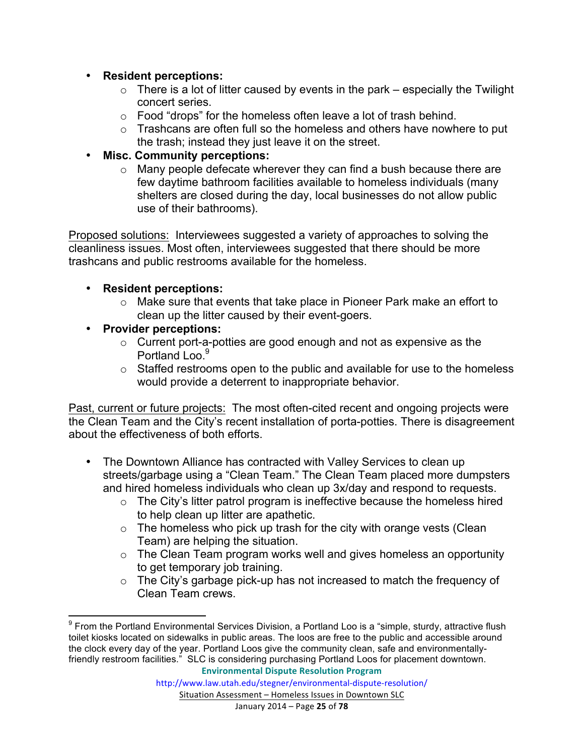#### • **Resident perceptions:**

- $\circ$  There is a lot of litter caused by events in the park especially the Twilight concert series.
- o Food "drops" for the homeless often leave a lot of trash behind.
- o Trashcans are often full so the homeless and others have nowhere to put the trash; instead they just leave it on the street.

#### • **Misc. Community perceptions:**

o Many people defecate wherever they can find a bush because there are few daytime bathroom facilities available to homeless individuals (many shelters are closed during the day, local businesses do not allow public use of their bathrooms).

Proposed solutions: Interviewees suggested a variety of approaches to solving the cleanliness issues. Most often, interviewees suggested that there should be more trashcans and public restrooms available for the homeless.

#### • **Resident perceptions:**

- o Make sure that events that take place in Pioneer Park make an effort to clean up the litter caused by their event-goers.
- **Provider perceptions:**
	- $\circ$  Current port-a-potties are good enough and not as expensive as the Portland Loo.<sup>9</sup>
	- $\circ$  Staffed restrooms open to the public and available for use to the homeless would provide a deterrent to inappropriate behavior.

Past, current or future projects: The most often-cited recent and ongoing projects were the Clean Team and the City's recent installation of porta-potties. There is disagreement about the effectiveness of both efforts.

- The Downtown Alliance has contracted with Valley Services to clean up streets/garbage using a "Clean Team." The Clean Team placed more dumpsters and hired homeless individuals who clean up 3x/day and respond to requests.
	- $\circ$  The City's litter patrol program is ineffective because the homeless hired to help clean up litter are apathetic.
	- $\circ$  The homeless who pick up trash for the city with orange vests (Clean Team) are helping the situation.
	- $\circ$  The Clean Team program works well and gives homeless an opportunity to get temporary job training.
	- o The City's garbage pick-up has not increased to match the frequency of Clean Team crews.

 $9$  From the Portland Environmental Services Division, a Portland Loo is a "simple, sturdy, attractive flush toilet kiosks located on sidewalks in public areas. The loos are free to the public and accessible around the clock every day of the year. Portland Loos give the community clean, safe and environmentallyfriendly restroom facilities." SLC is considering purchasing Portland Loos for placement downtown.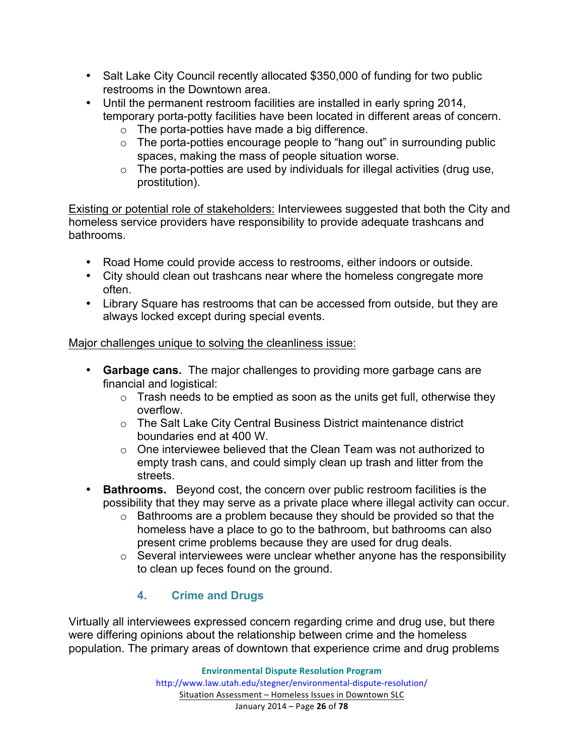- Salt Lake City Council recently allocated \$350,000 of funding for two public restrooms in the Downtown area.
- Until the permanent restroom facilities are installed in early spring 2014, temporary porta-potty facilities have been located in different areas of concern.
	- o The porta-potties have made a big difference.
	- $\circ$  The porta-potties encourage people to "hang out" in surrounding public spaces, making the mass of people situation worse.
	- $\circ$  The porta-potties are used by individuals for illegal activities (drug use, prostitution).

Existing or potential role of stakeholders: Interviewees suggested that both the City and homeless service providers have responsibility to provide adequate trashcans and bathrooms.

- Road Home could provide access to restrooms, either indoors or outside.
- City should clean out trashcans near where the homeless congregate more often.
- Library Square has restrooms that can be accessed from outside, but they are always locked except during special events.

# Major challenges unique to solving the cleanliness issue:

- **Garbage cans.** The major challenges to providing more garbage cans are financial and logistical:
	- $\circ$  Trash needs to be emptied as soon as the units get full, otherwise they overflow.
	- o The Salt Lake City Central Business District maintenance district boundaries end at 400 W.
	- $\circ$  One interviewee believed that the Clean Team was not authorized to empty trash cans, and could simply clean up trash and litter from the streets.
- **Bathrooms.** Beyond cost, the concern over public restroom facilities is the possibility that they may serve as a private place where illegal activity can occur.
	- o Bathrooms are a problem because they should be provided so that the homeless have a place to go to the bathroom, but bathrooms can also present crime problems because they are used for drug deals.
	- $\circ$  Several interviewees were unclear whether anyone has the responsibility to clean up feces found on the ground.

# **4. Crime and Drugs**

Virtually all interviewees expressed concern regarding crime and drug use, but there were differing opinions about the relationship between crime and the homeless population. The primary areas of downtown that experience crime and drug problems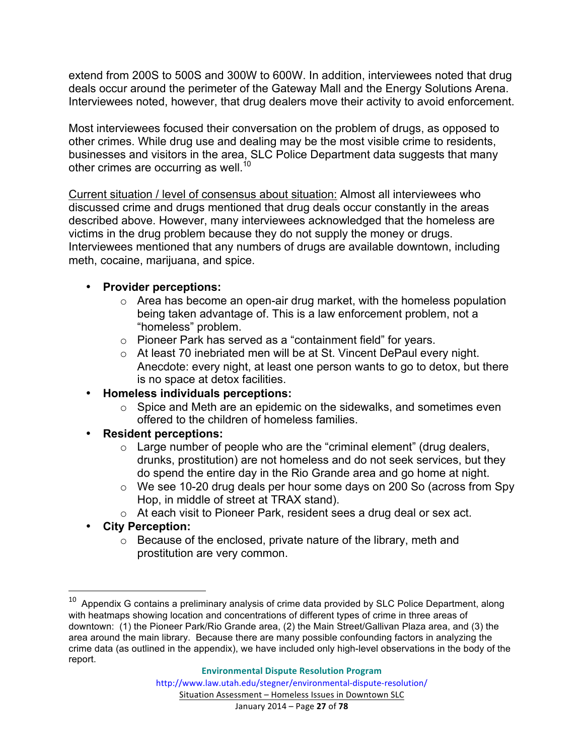extend from 200S to 500S and 300W to 600W. In addition, interviewees noted that drug deals occur around the perimeter of the Gateway Mall and the Energy Solutions Arena. Interviewees noted, however, that drug dealers move their activity to avoid enforcement.

Most interviewees focused their conversation on the problem of drugs, as opposed to other crimes. While drug use and dealing may be the most visible crime to residents, businesses and visitors in the area, SLC Police Department data suggests that many other crimes are occurring as well.<sup>10</sup>

Current situation / level of consensus about situation: Almost all interviewees who discussed crime and drugs mentioned that drug deals occur constantly in the areas described above. However, many interviewees acknowledged that the homeless are victims in the drug problem because they do not supply the money or drugs. Interviewees mentioned that any numbers of drugs are available downtown, including meth, cocaine, marijuana, and spice.

#### • **Provider perceptions:**

- $\circ$  Area has become an open-air drug market, with the homeless population being taken advantage of. This is a law enforcement problem, not a "homeless" problem.
- o Pioneer Park has served as a "containment field" for years.
- o At least 70 inebriated men will be at St. Vincent DePaul every night. Anecdote: every night, at least one person wants to go to detox, but there is no space at detox facilities.
- **Homeless individuals perceptions:**
	- o Spice and Meth are an epidemic on the sidewalks, and sometimes even offered to the children of homeless families.
- **Resident perceptions:**
	- $\circ$  Large number of people who are the "criminal element" (drug dealers, drunks, prostitution) are not homeless and do not seek services, but they do spend the entire day in the Rio Grande area and go home at night.
	- o We see 10-20 drug deals per hour some days on 200 So (across from Spy Hop, in middle of street at TRAX stand).
	- o At each visit to Pioneer Park, resident sees a drug deal or sex act.
- **City Perception:**

<u> 1989 - Jan Stein Stein, fransk politiker (d. 1989)</u>

o Because of the enclosed, private nature of the library, meth and prostitution are very common.

Appendix G contains a preliminary analysis of crime data provided by SLC Police Department, along with heatmaps showing location and concentrations of different types of crime in three areas of downtown: (1) the Pioneer Park/Rio Grande area, (2) the Main Street/Gallivan Plaza area, and (3) the area around the main library. Because there are many possible confounding factors in analyzing the crime data (as outlined in the appendix), we have included only high-level observations in the body of the report.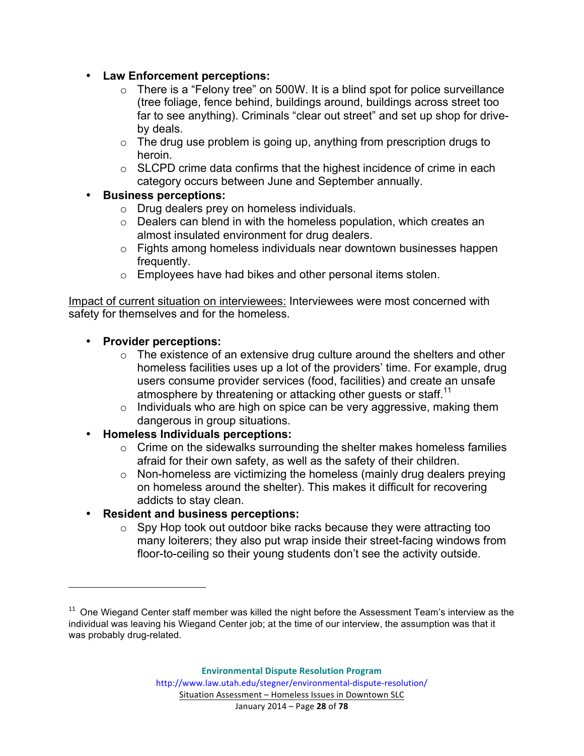- **Law Enforcement perceptions:**
	- $\circ$  There is a "Felony tree" on 500W. It is a blind spot for police surveillance (tree foliage, fence behind, buildings around, buildings across street too far to see anything). Criminals "clear out street" and set up shop for driveby deals.
	- $\circ$  The drug use problem is going up, anything from prescription drugs to heroin.
	- $\circ$  SLCPD crime data confirms that the highest incidence of crime in each category occurs between June and September annually.
- **Business perceptions:**
	- o Drug dealers prey on homeless individuals.
	- o Dealers can blend in with the homeless population, which creates an almost insulated environment for drug dealers.
	- o Fights among homeless individuals near downtown businesses happen frequently.
	- o Employees have had bikes and other personal items stolen.

Impact of current situation on interviewees: Interviewees were most concerned with safety for themselves and for the homeless.

#### • **Provider perceptions:**

<u> 1989 - Jan Stein Stein, fransk politiker (d. 1989)</u>

- $\circ$  The existence of an extensive drug culture around the shelters and other homeless facilities uses up a lot of the providers' time. For example, drug users consume provider services (food, facilities) and create an unsafe atmosphere by threatening or attacking other guests or staff.<sup>11</sup>
- $\circ$  Individuals who are high on spice can be very aggressive, making them dangerous in group situations.
- **Homeless Individuals perceptions:**
	- o Crime on the sidewalks surrounding the shelter makes homeless families afraid for their own safety, as well as the safety of their children.
	- o Non-homeless are victimizing the homeless (mainly drug dealers preying on homeless around the shelter). This makes it difficult for recovering addicts to stay clean.
- **Resident and business perceptions:**
	- o Spy Hop took out outdoor bike racks because they were attracting too many loiterers; they also put wrap inside their street-facing windows from floor-to-ceiling so their young students don't see the activity outside.

 $11$  One Wiegand Center staff member was killed the night before the Assessment Team's interview as the individual was leaving his Wiegand Center job; at the time of our interview, the assumption was that it was probably drug-related.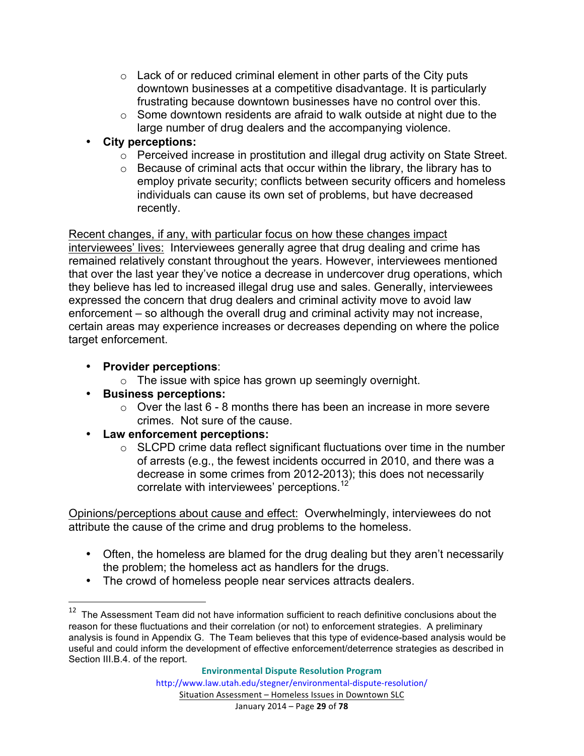- $\circ$  Lack of or reduced criminal element in other parts of the City puts downtown businesses at a competitive disadvantage. It is particularly frustrating because downtown businesses have no control over this.
- o Some downtown residents are afraid to walk outside at night due to the large number of drug dealers and the accompanying violence.
- **City perceptions:**
	- o Perceived increase in prostitution and illegal drug activity on State Street.
	- o Because of criminal acts that occur within the library, the library has to employ private security; conflicts between security officers and homeless individuals can cause its own set of problems, but have decreased recently.

Recent changes, if any, with particular focus on how these changes impact interviewees' lives: Interviewees generally agree that drug dealing and crime has remained relatively constant throughout the years. However, interviewees mentioned that over the last year they've notice a decrease in undercover drug operations, which they believe has led to increased illegal drug use and sales. Generally, interviewees expressed the concern that drug dealers and criminal activity move to avoid law enforcement – so although the overall drug and criminal activity may not increase, certain areas may experience increases or decreases depending on where the police target enforcement.

- **Provider perceptions**:
	- $\circ$  The issue with spice has grown up seemingly overnight.
- **Business perceptions:**

<u> 1989 - Jan Stein Stein, fransk politiker (d. 1989)</u>

- $\circ$  Over the last 6 8 months there has been an increase in more severe crimes. Not sure of the cause.
- **Law enforcement perceptions:**
	- o SLCPD crime data reflect significant fluctuations over time in the number of arrests (e.g., the fewest incidents occurred in 2010, and there was a decrease in some crimes from 2012-2013); this does not necessarily correlate with interviewees' perceptions.<sup>12</sup>

Opinions/perceptions about cause and effect: Overwhelmingly, interviewees do not attribute the cause of the crime and drug problems to the homeless.

- Often, the homeless are blamed for the drug dealing but they aren't necessarily the problem; the homeless act as handlers for the drugs.
- The crowd of homeless people near services attracts dealers.

 $12$  The Assessment Team did not have information sufficient to reach definitive conclusions about the reason for these fluctuations and their correlation (or not) to enforcement strategies. A preliminary analysis is found in Appendix G. The Team believes that this type of evidence-based analysis would be useful and could inform the development of effective enforcement/deterrence strategies as described in Section III.B.4. of the report.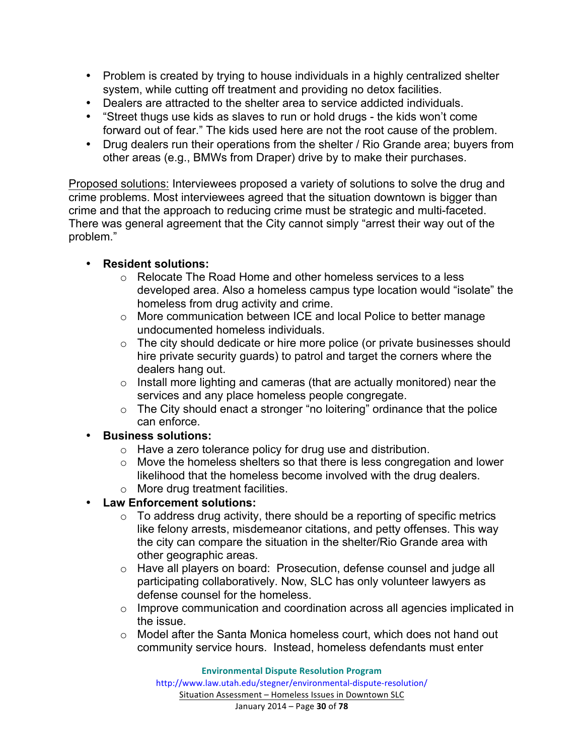- Problem is created by trying to house individuals in a highly centralized shelter system, while cutting off treatment and providing no detox facilities.
- Dealers are attracted to the shelter area to service addicted individuals.
- "Street thugs use kids as slaves to run or hold drugs the kids won't come forward out of fear." The kids used here are not the root cause of the problem.
- Drug dealers run their operations from the shelter / Rio Grande area; buyers from other areas (e.g., BMWs from Draper) drive by to make their purchases.

Proposed solutions: Interviewees proposed a variety of solutions to solve the drug and crime problems. Most interviewees agreed that the situation downtown is bigger than crime and that the approach to reducing crime must be strategic and multi-faceted. There was general agreement that the City cannot simply "arrest their way out of the problem."

#### • **Resident solutions:**

- o Relocate The Road Home and other homeless services to a less developed area. Also a homeless campus type location would "isolate" the homeless from drug activity and crime.
- o More communication between ICE and local Police to better manage undocumented homeless individuals.
- o The city should dedicate or hire more police (or private businesses should hire private security guards) to patrol and target the corners where the dealers hang out.
- $\circ$  Install more lighting and cameras (that are actually monitored) near the services and any place homeless people congregate.
- $\circ$  The City should enact a stronger "no loitering" ordinance that the police can enforce.
- **Business solutions:**
	- o Have a zero tolerance policy for drug use and distribution.
	- o Move the homeless shelters so that there is less congregation and lower likelihood that the homeless become involved with the drug dealers.
	- o More drug treatment facilities.

#### • **Law Enforcement solutions:**

- $\circ$  To address drug activity, there should be a reporting of specific metrics like felony arrests, misdemeanor citations, and petty offenses. This way the city can compare the situation in the shelter/Rio Grande area with other geographic areas.
- o Have all players on board: Prosecution, defense counsel and judge all participating collaboratively. Now, SLC has only volunteer lawyers as defense counsel for the homeless.
- o Improve communication and coordination across all agencies implicated in the issue.
- o Model after the Santa Monica homeless court, which does not hand out community service hours. Instead, homeless defendants must enter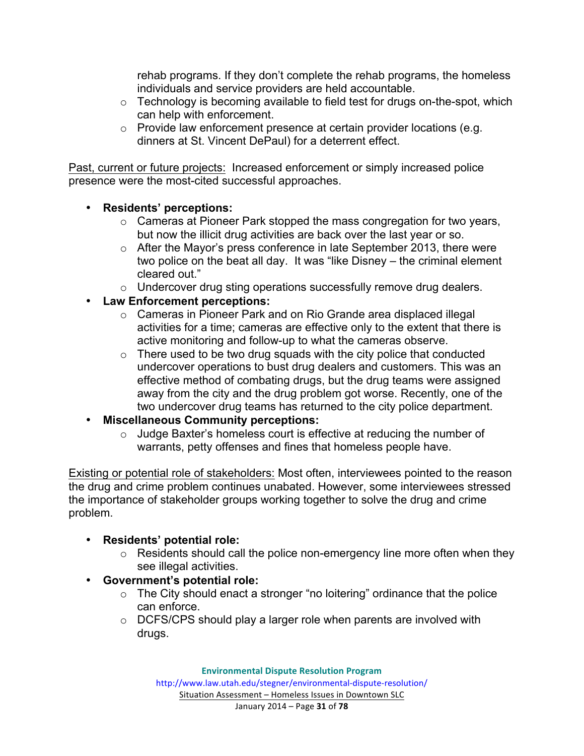rehab programs. If they don't complete the rehab programs, the homeless individuals and service providers are held accountable.

- o Technology is becoming available to field test for drugs on-the-spot, which can help with enforcement.
- o Provide law enforcement presence at certain provider locations (e.g. dinners at St. Vincent DePaul) for a deterrent effect.

Past, current or future projects: Increased enforcement or simply increased police presence were the most-cited successful approaches.

#### • **Residents' perceptions:**

- o Cameras at Pioneer Park stopped the mass congregation for two years, but now the illicit drug activities are back over the last year or so.
- o After the Mayor's press conference in late September 2013, there were two police on the beat all day. It was "like Disney – the criminal element cleared out."
- o Undercover drug sting operations successfully remove drug dealers.

#### • **Law Enforcement perceptions:**

- o Cameras in Pioneer Park and on Rio Grande area displaced illegal activities for a time; cameras are effective only to the extent that there is active monitoring and follow-up to what the cameras observe.
- $\circ$  There used to be two drug squads with the city police that conducted undercover operations to bust drug dealers and customers. This was an effective method of combating drugs, but the drug teams were assigned away from the city and the drug problem got worse. Recently, one of the two undercover drug teams has returned to the city police department.
- **Miscellaneous Community perceptions:**
	- $\circ$  Judge Baxter's homeless court is effective at reducing the number of warrants, petty offenses and fines that homeless people have.

Existing or potential role of stakeholders: Most often, interviewees pointed to the reason the drug and crime problem continues unabated. However, some interviewees stressed the importance of stakeholder groups working together to solve the drug and crime problem.

# • **Residents' potential role:**

- $\circ$  Residents should call the police non-emergency line more often when they see illegal activities.
- **Government's potential role:**
	- $\circ$  The City should enact a stronger "no loitering" ordinance that the police can enforce.
	- o DCFS/CPS should play a larger role when parents are involved with drugs.

Situation Assessment - Homeless Issues in Downtown SLC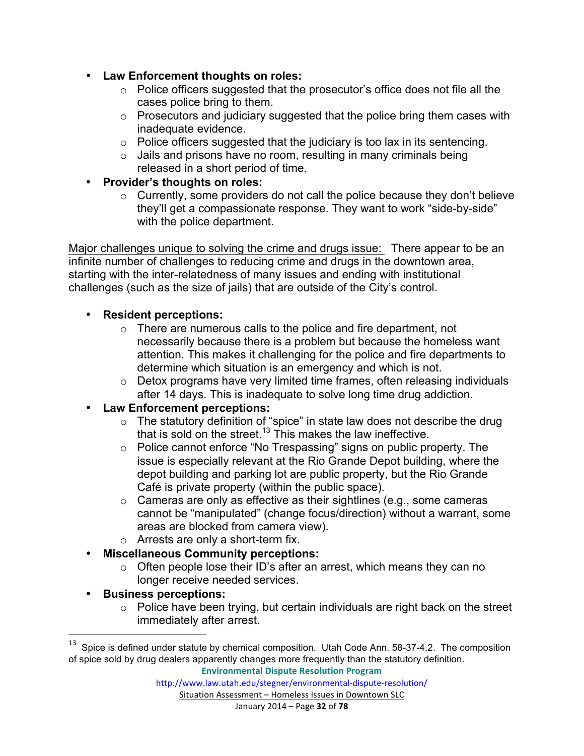- **Law Enforcement thoughts on roles:**
	- o Police officers suggested that the prosecutor's office does not file all the cases police bring to them.
	- o Prosecutors and judiciary suggested that the police bring them cases with inadequate evidence.
	- $\circ$  Police officers suggested that the judiciary is too lax in its sentencing.
	- $\circ$  Jails and prisons have no room, resulting in many criminals being released in a short period of time.
- **Provider's thoughts on roles:**
	- $\circ$  Currently, some providers do not call the police because they don't believe they'll get a compassionate response. They want to work "side-by-side" with the police department.

Major challenges unique to solving the crime and drugs issue: There appear to be an infinite number of challenges to reducing crime and drugs in the downtown area, starting with the inter-relatedness of many issues and ending with institutional challenges (such as the size of jails) that are outside of the City's control.

# • **Resident perceptions:**

- o There are numerous calls to the police and fire department, not necessarily because there is a problem but because the homeless want attention. This makes it challenging for the police and fire departments to determine which situation is an emergency and which is not.
- o Detox programs have very limited time frames, often releasing individuals after 14 days. This is inadequate to solve long time drug addiction.
- **Law Enforcement perceptions:**
	- o The statutory definition of "spice" in state law does not describe the drug that is sold on the street.<sup>13</sup> This makes the law ineffective.
	- o Police cannot enforce "No Trespassing" signs on public property. The issue is especially relevant at the Rio Grande Depot building, where the depot building and parking lot are public property, but the Rio Grande Café is private property (within the public space).
	- o Cameras are only as effective as their sightlines (e.g., some cameras cannot be "manipulated" (change focus/direction) without a warrant, some areas are blocked from camera view).
	- o Arrests are only a short-term fix.
- **Miscellaneous Community perceptions:**
	- $\circ$  Often people lose their ID's after an arrest, which means they can no longer receive needed services.
- **Business perceptions:**

<u> 1989 - Jan Stein Stein, fransk politiker (d. 1989)</u>

 $\circ$  Police have been trying, but certain individuals are right back on the street immediately after arrest.

**Environmental Dispute Resolution Program**

 $13$  Spice is defined under statute by chemical composition. Utah Code Ann. 58-37-4.2. The composition of spice sold by drug dealers apparently changes more frequently than the statutory definition.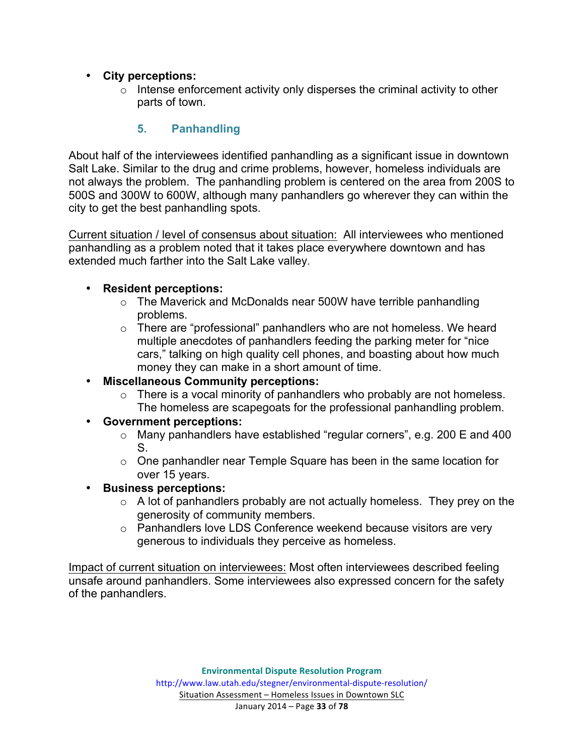#### • **City perceptions:**

 $\circ$  Intense enforcement activity only disperses the criminal activity to other parts of town.

#### **5. Panhandling**

About half of the interviewees identified panhandling as a significant issue in downtown Salt Lake. Similar to the drug and crime problems, however, homeless individuals are not always the problem. The panhandling problem is centered on the area from 200S to 500S and 300W to 600W, although many panhandlers go wherever they can within the city to get the best panhandling spots.

Current situation / level of consensus about situation: All interviewees who mentioned panhandling as a problem noted that it takes place everywhere downtown and has extended much farther into the Salt Lake valley.

#### • **Resident perceptions:**

- o The Maverick and McDonalds near 500W have terrible panhandling problems.
- o There are "professional" panhandlers who are not homeless. We heard multiple anecdotes of panhandlers feeding the parking meter for "nice cars," talking on high quality cell phones, and boasting about how much money they can make in a short amount of time.
- **Miscellaneous Community perceptions:**
	- o There is a vocal minority of panhandlers who probably are not homeless. The homeless are scapegoats for the professional panhandling problem.
- **Government perceptions:**
	- o Many panhandlers have established "regular corners", e.g. 200 E and 400 S.
	- o One panhandler near Temple Square has been in the same location for over 15 years.
- **Business perceptions:**
	- $\circ$  A lot of panhandlers probably are not actually homeless. They prey on the generosity of community members.
	- o Panhandlers love LDS Conference weekend because visitors are very generous to individuals they perceive as homeless.

Impact of current situation on interviewees: Most often interviewees described feeling unsafe around panhandlers. Some interviewees also expressed concern for the safety of the panhandlers.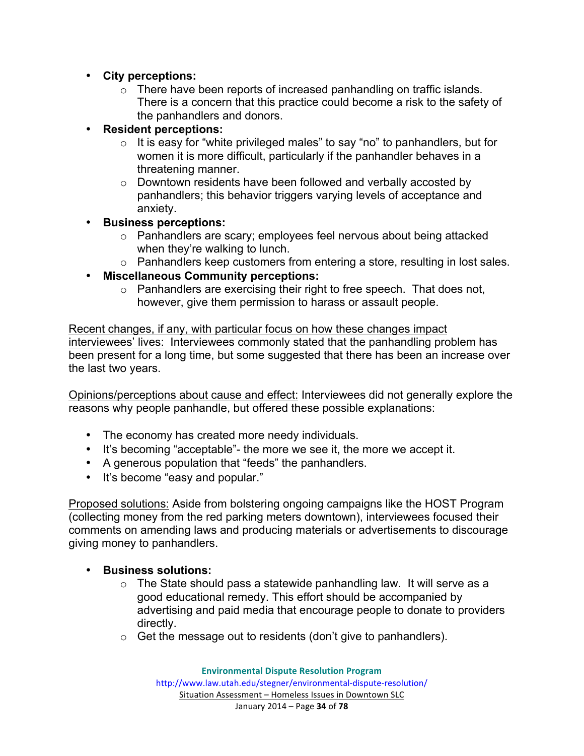- **City perceptions:**
	- o There have been reports of increased panhandling on traffic islands. There is a concern that this practice could become a risk to the safety of the panhandlers and donors.
- **Resident perceptions:**
	- $\circ$  It is easy for "white privileged males" to say "no" to panhandlers, but for women it is more difficult, particularly if the panhandler behaves in a threatening manner.
	- o Downtown residents have been followed and verbally accosted by panhandlers; this behavior triggers varying levels of acceptance and anxiety.
- **Business perceptions:**
	- o Panhandlers are scary; employees feel nervous about being attacked when they're walking to lunch.
	- o Panhandlers keep customers from entering a store, resulting in lost sales.
- **Miscellaneous Community perceptions:**
	- o Panhandlers are exercising their right to free speech. That does not, however, give them permission to harass or assault people.

Recent changes, if any, with particular focus on how these changes impact interviewees' lives: Interviewees commonly stated that the panhandling problem has been present for a long time, but some suggested that there has been an increase over the last two years.

Opinions/perceptions about cause and effect: Interviewees did not generally explore the reasons why people panhandle, but offered these possible explanations:

- The economy has created more needy individuals.
- It's becoming "acceptable"- the more we see it, the more we accept it.
- A generous population that "feeds" the panhandlers.
- It's become "easy and popular."

Proposed solutions: Aside from bolstering ongoing campaigns like the HOST Program (collecting money from the red parking meters downtown), interviewees focused their comments on amending laws and producing materials or advertisements to discourage giving money to panhandlers.

- **Business solutions:** 
	- $\circ$  The State should pass a statewide panhandling law. It will serve as a good educational remedy. This effort should be accompanied by advertising and paid media that encourage people to donate to providers directly.
	- $\circ$  Get the message out to residents (don't give to panhandlers).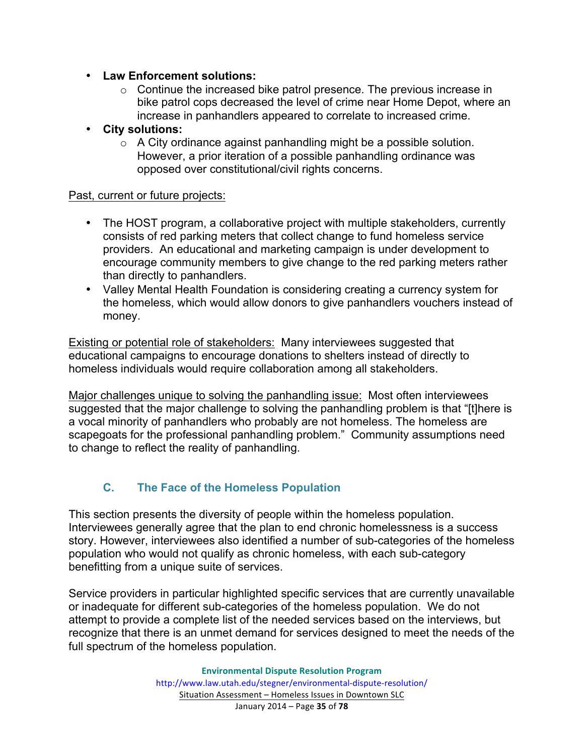- **Law Enforcement solutions:**
	- o Continue the increased bike patrol presence. The previous increase in bike patrol cops decreased the level of crime near Home Depot, where an increase in panhandlers appeared to correlate to increased crime.
- **City solutions:**
	- $\circ$  A City ordinance against panhandling might be a possible solution. However, a prior iteration of a possible panhandling ordinance was opposed over constitutional/civil rights concerns.

#### Past, current or future projects:

- The HOST program, a collaborative project with multiple stakeholders, currently consists of red parking meters that collect change to fund homeless service providers. An educational and marketing campaign is under development to encourage community members to give change to the red parking meters rather than directly to panhandlers.
- Valley Mental Health Foundation is considering creating a currency system for the homeless, which would allow donors to give panhandlers vouchers instead of money.

Existing or potential role of stakeholders: Many interviewees suggested that educational campaigns to encourage donations to shelters instead of directly to homeless individuals would require collaboration among all stakeholders.

Major challenges unique to solving the panhandling issue: Most often interviewees suggested that the major challenge to solving the panhandling problem is that "[t]here is a vocal minority of panhandlers who probably are not homeless. The homeless are scapegoats for the professional panhandling problem." Community assumptions need to change to reflect the reality of panhandling.

# **C. The Face of the Homeless Population**

This section presents the diversity of people within the homeless population. Interviewees generally agree that the plan to end chronic homelessness is a success story. However, interviewees also identified a number of sub-categories of the homeless population who would not qualify as chronic homeless, with each sub-category benefitting from a unique suite of services.

Service providers in particular highlighted specific services that are currently unavailable or inadequate for different sub-categories of the homeless population. We do not attempt to provide a complete list of the needed services based on the interviews, but recognize that there is an unmet demand for services designed to meet the needs of the full spectrum of the homeless population.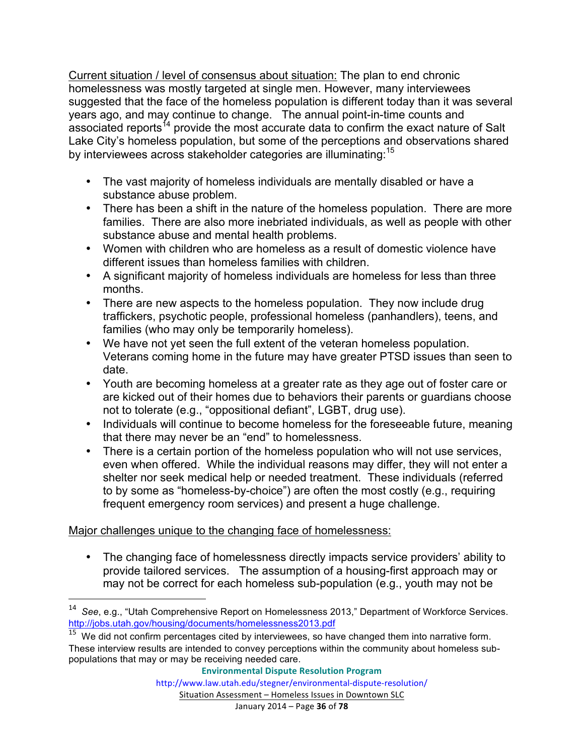Current situation / level of consensus about situation: The plan to end chronic homelessness was mostly targeted at single men. However, many interviewees suggested that the face of the homeless population is different today than it was several years ago, and may continue to change. The annual point-in-time counts and associated reports<sup>14</sup> provide the most accurate data to confirm the exact nature of Salt Lake City's homeless population, but some of the perceptions and observations shared by interviewees across stakeholder categories are illuminating:<sup>15</sup>

- The vast majority of homeless individuals are mentally disabled or have a substance abuse problem.
- There has been a shift in the nature of the homeless population. There are more families. There are also more inebriated individuals, as well as people with other substance abuse and mental health problems.
- Women with children who are homeless as a result of domestic violence have different issues than homeless families with children.
- A significant majority of homeless individuals are homeless for less than three months.
- There are new aspects to the homeless population. They now include drug traffickers, psychotic people, professional homeless (panhandlers), teens, and families (who may only be temporarily homeless).
- We have not yet seen the full extent of the veteran homeless population. Veterans coming home in the future may have greater PTSD issues than seen to date.
- Youth are becoming homeless at a greater rate as they age out of foster care or are kicked out of their homes due to behaviors their parents or guardians choose not to tolerate (e.g., "oppositional defiant", LGBT, drug use).
- Individuals will continue to become homeless for the foreseeable future, meaning that there may never be an "end" to homelessness.
- There is a certain portion of the homeless population who will not use services, even when offered. While the individual reasons may differ, they will not enter a shelter nor seek medical help or needed treatment. These individuals (referred to by some as "homeless-by-choice") are often the most costly (e.g., requiring frequent emergency room services) and present a huge challenge.

# Major challenges unique to the changing face of homelessness:

<u> 1989 - Johann Stein, markin film yn y breninn y breninn y breninn y breninn y breninn y breninn y breninn y b</u>

• The changing face of homelessness directly impacts service providers' ability to provide tailored services. The assumption of a housing-first approach may or may not be correct for each homeless sub-population (e.g., youth may not be

<sup>&</sup>lt;sup>14</sup> See, e.g., "Utah Comprehensive Report on Homelessness 2013," Department of Workforce Services. http://jobs.utah.gov/housing/documents/homelessness2013.pdf

 $15$  We did not confirm percentages cited by interviewees, so have changed them into narrative form. These interview results are intended to convey perceptions within the community about homeless subpopulations that may or may be receiving needed care.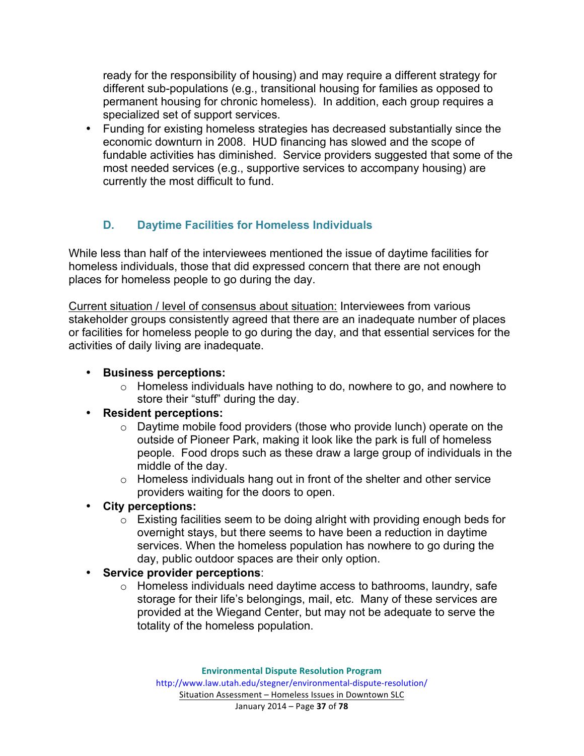ready for the responsibility of housing) and may require a different strategy for different sub-populations (e.g., transitional housing for families as opposed to permanent housing for chronic homeless). In addition, each group requires a specialized set of support services.

• Funding for existing homeless strategies has decreased substantially since the economic downturn in 2008. HUD financing has slowed and the scope of fundable activities has diminished. Service providers suggested that some of the most needed services (e.g., supportive services to accompany housing) are currently the most difficult to fund.

# **D. Daytime Facilities for Homeless Individuals**

While less than half of the interviewees mentioned the issue of daytime facilities for homeless individuals, those that did expressed concern that there are not enough places for homeless people to go during the day.

Current situation / level of consensus about situation: Interviewees from various stakeholder groups consistently agreed that there are an inadequate number of places or facilities for homeless people to go during the day, and that essential services for the activities of daily living are inadequate.

## • **Business perceptions:**

o Homeless individuals have nothing to do, nowhere to go, and nowhere to store their "stuff" during the day.

#### • **Resident perceptions:**

- o Daytime mobile food providers (those who provide lunch) operate on the outside of Pioneer Park, making it look like the park is full of homeless people. Food drops such as these draw a large group of individuals in the middle of the day.
- o Homeless individuals hang out in front of the shelter and other service providers waiting for the doors to open.
- **City perceptions:**
	- $\circ$  Existing facilities seem to be doing alright with providing enough beds for overnight stays, but there seems to have been a reduction in daytime services. When the homeless population has nowhere to go during the day, public outdoor spaces are their only option.
- **Service provider perceptions**:
	- o Homeless individuals need daytime access to bathrooms, laundry, safe storage for their life's belongings, mail, etc. Many of these services are provided at the Wiegand Center, but may not be adequate to serve the totality of the homeless population.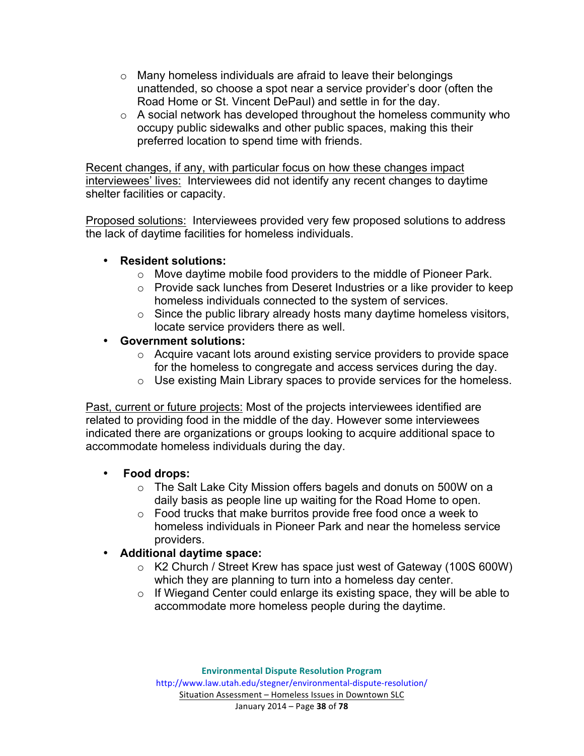- o Many homeless individuals are afraid to leave their belongings unattended, so choose a spot near a service provider's door (often the Road Home or St. Vincent DePaul) and settle in for the day.
- $\circ$  A social network has developed throughout the homeless community who occupy public sidewalks and other public spaces, making this their preferred location to spend time with friends.

Recent changes, if any, with particular focus on how these changes impact interviewees' lives: Interviewees did not identify any recent changes to daytime shelter facilities or capacity.

Proposed solutions: Interviewees provided very few proposed solutions to address the lack of daytime facilities for homeless individuals.

#### • **Resident solutions:**

- o Move daytime mobile food providers to the middle of Pioneer Park.
- o Provide sack lunches from Deseret Industries or a like provider to keep homeless individuals connected to the system of services.
- $\circ$  Since the public library already hosts many daytime homeless visitors, locate service providers there as well.
- **Government solutions:**
	- o Acquire vacant lots around existing service providers to provide space for the homeless to congregate and access services during the day.
	- o Use existing Main Library spaces to provide services for the homeless.

Past, current or future projects: Most of the projects interviewees identified are related to providing food in the middle of the day. However some interviewees indicated there are organizations or groups looking to acquire additional space to accommodate homeless individuals during the day.

# • **Food drops:**

- o The Salt Lake City Mission offers bagels and donuts on 500W on a daily basis as people line up waiting for the Road Home to open.
- o Food trucks that make burritos provide free food once a week to homeless individuals in Pioneer Park and near the homeless service providers.

# • **Additional daytime space:**

- o K2 Church / Street Krew has space just west of Gateway (100S 600W) which they are planning to turn into a homeless day center.
- o If Wiegand Center could enlarge its existing space, they will be able to accommodate more homeless people during the daytime.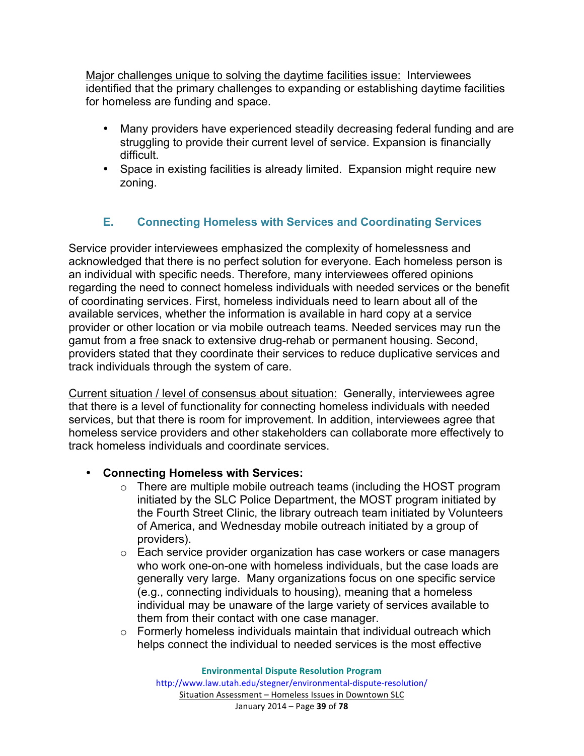Major challenges unique to solving the daytime facilities issue: Interviewees identified that the primary challenges to expanding or establishing daytime facilities for homeless are funding and space.

- Many providers have experienced steadily decreasing federal funding and are struggling to provide their current level of service. Expansion is financially difficult.
- Space in existing facilities is already limited. Expansion might require new zoning.

# **E. Connecting Homeless with Services and Coordinating Services**

Service provider interviewees emphasized the complexity of homelessness and acknowledged that there is no perfect solution for everyone. Each homeless person is an individual with specific needs. Therefore, many interviewees offered opinions regarding the need to connect homeless individuals with needed services or the benefit of coordinating services. First, homeless individuals need to learn about all of the available services, whether the information is available in hard copy at a service provider or other location or via mobile outreach teams. Needed services may run the gamut from a free snack to extensive drug-rehab or permanent housing. Second, providers stated that they coordinate their services to reduce duplicative services and track individuals through the system of care.

Current situation / level of consensus about situation: Generally, interviewees agree that there is a level of functionality for connecting homeless individuals with needed services, but that there is room for improvement. In addition, interviewees agree that homeless service providers and other stakeholders can collaborate more effectively to track homeless individuals and coordinate services.

#### • **Connecting Homeless with Services:**

- o There are multiple mobile outreach teams (including the HOST program initiated by the SLC Police Department, the MOST program initiated by the Fourth Street Clinic, the library outreach team initiated by Volunteers of America, and Wednesday mobile outreach initiated by a group of providers).
- o Each service provider organization has case workers or case managers who work one-on-one with homeless individuals, but the case loads are generally very large. Many organizations focus on one specific service (e.g., connecting individuals to housing), meaning that a homeless individual may be unaware of the large variety of services available to them from their contact with one case manager.
- $\circ$  Formerly homeless individuals maintain that individual outreach which helps connect the individual to needed services is the most effective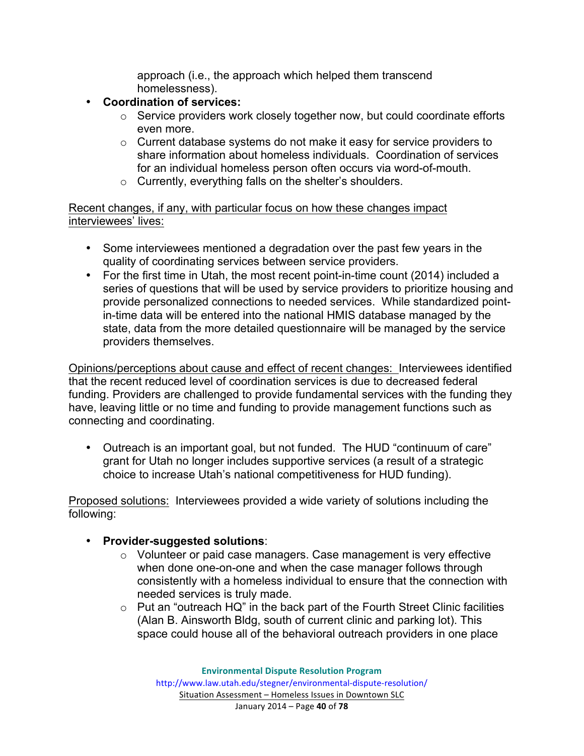approach (i.e., the approach which helped them transcend homelessness).

- **Coordination of services:**
	- o Service providers work closely together now, but could coordinate efforts even more.
	- o Current database systems do not make it easy for service providers to share information about homeless individuals. Coordination of services for an individual homeless person often occurs via word-of-mouth.
	- o Currently, everything falls on the shelter's shoulders.

Recent changes, if any, with particular focus on how these changes impact interviewees' lives:

- Some interviewees mentioned a degradation over the past few years in the quality of coordinating services between service providers.
- For the first time in Utah, the most recent point-in-time count (2014) included a series of questions that will be used by service providers to prioritize housing and provide personalized connections to needed services. While standardized pointin-time data will be entered into the national HMIS database managed by the state, data from the more detailed questionnaire will be managed by the service providers themselves.

Opinions/perceptions about cause and effect of recent changes: Interviewees identified that the recent reduced level of coordination services is due to decreased federal funding. Providers are challenged to provide fundamental services with the funding they have, leaving little or no time and funding to provide management functions such as connecting and coordinating.

• Outreach is an important goal, but not funded. The HUD "continuum of care" grant for Utah no longer includes supportive services (a result of a strategic choice to increase Utah's national competitiveness for HUD funding).

Proposed solutions: Interviewees provided a wide variety of solutions including the following:

#### • **Provider-suggested solutions**:

- o Volunteer or paid case managers. Case management is very effective when done one-on-one and when the case manager follows through consistently with a homeless individual to ensure that the connection with needed services is truly made.
- o Put an "outreach HQ" in the back part of the Fourth Street Clinic facilities (Alan B. Ainsworth Bldg, south of current clinic and parking lot). This space could house all of the behavioral outreach providers in one place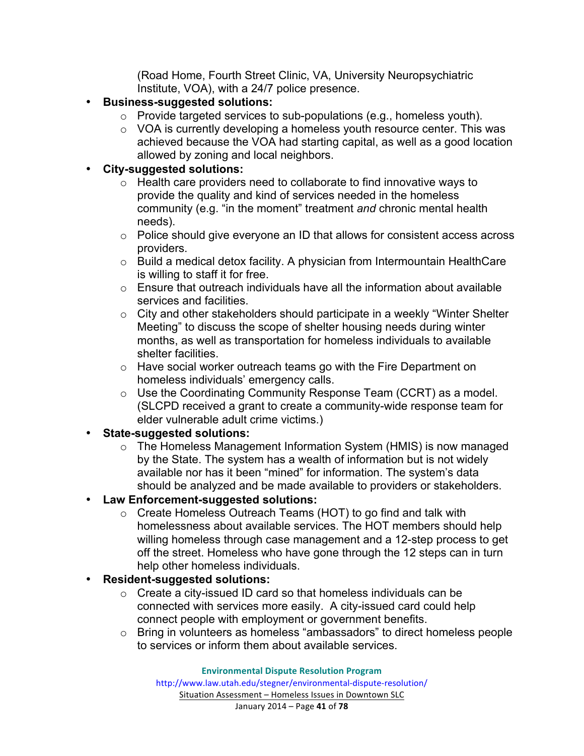(Road Home, Fourth Street Clinic, VA, University Neuropsychiatric Institute, VOA), with a 24/7 police presence.

- **Business-suggested solutions:**
	- $\circ$  Provide targeted services to sub-populations (e.g., homeless youth).
	- o VOA is currently developing a homeless youth resource center. This was achieved because the VOA had starting capital, as well as a good location allowed by zoning and local neighbors.

#### • **City-suggested solutions:**

- $\circ$  Health care providers need to collaborate to find innovative ways to provide the quality and kind of services needed in the homeless community (e.g. "in the moment" treatment *and* chronic mental health needs).
- o Police should give everyone an ID that allows for consistent access across providers.
- $\circ$  Build a medical detox facility. A physician from Intermountain HealthCare is willing to staff it for free.
- $\circ$  Ensure that outreach individuals have all the information about available services and facilities.
- o City and other stakeholders should participate in a weekly "Winter Shelter Meeting" to discuss the scope of shelter housing needs during winter months, as well as transportation for homeless individuals to available shelter facilities.
- o Have social worker outreach teams go with the Fire Department on homeless individuals' emergency calls.
- o Use the Coordinating Community Response Team (CCRT) as a model. (SLCPD received a grant to create a community-wide response team for elder vulnerable adult crime victims.)

#### • **State-suggested solutions:**

- o The Homeless Management Information System (HMIS) is now managed by the State. The system has a wealth of information but is not widely available nor has it been "mined" for information. The system's data should be analyzed and be made available to providers or stakeholders.
- **Law Enforcement-suggested solutions:**
	- o Create Homeless Outreach Teams (HOT) to go find and talk with homelessness about available services. The HOT members should help willing homeless through case management and a 12-step process to get off the street. Homeless who have gone through the 12 steps can in turn help other homeless individuals.

# • **Resident-suggested solutions:**

- $\circ$  Create a city-issued ID card so that homeless individuals can be connected with services more easily. A city-issued card could help connect people with employment or government benefits.
- o Bring in volunteers as homeless "ambassadors" to direct homeless people to services or inform them about available services.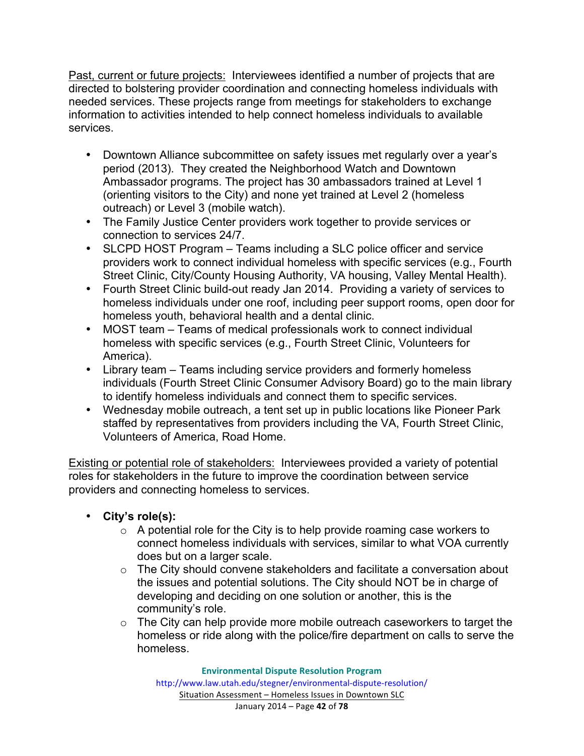Past, current or future projects: Interviewees identified a number of projects that are directed to bolstering provider coordination and connecting homeless individuals with needed services. These projects range from meetings for stakeholders to exchange information to activities intended to help connect homeless individuals to available services.

- Downtown Alliance subcommittee on safety issues met regularly over a year's period (2013). They created the Neighborhood Watch and Downtown Ambassador programs. The project has 30 ambassadors trained at Level 1 (orienting visitors to the City) and none yet trained at Level 2 (homeless outreach) or Level 3 (mobile watch).
- The Family Justice Center providers work together to provide services or connection to services 24/7.
- SLCPD HOST Program Teams including a SLC police officer and service providers work to connect individual homeless with specific services (e.g., Fourth Street Clinic, City/County Housing Authority, VA housing, Valley Mental Health).
- Fourth Street Clinic build-out ready Jan 2014. Providing a variety of services to homeless individuals under one roof, including peer support rooms, open door for homeless youth, behavioral health and a dental clinic.
- MOST team Teams of medical professionals work to connect individual homeless with specific services (e.g., Fourth Street Clinic, Volunteers for America).
- Library team Teams including service providers and formerly homeless individuals (Fourth Street Clinic Consumer Advisory Board) go to the main library to identify homeless individuals and connect them to specific services.
- Wednesday mobile outreach, a tent set up in public locations like Pioneer Park staffed by representatives from providers including the VA, Fourth Street Clinic, Volunteers of America, Road Home.

Existing or potential role of stakeholders: Interviewees provided a variety of potential roles for stakeholders in the future to improve the coordination between service providers and connecting homeless to services.

- **City's role(s):**
	- $\circ$  A potential role for the City is to help provide roaming case workers to connect homeless individuals with services, similar to what VOA currently does but on a larger scale.
	- o The City should convene stakeholders and facilitate a conversation about the issues and potential solutions. The City should NOT be in charge of developing and deciding on one solution or another, this is the community's role.
	- $\circ$  The City can help provide more mobile outreach caseworkers to target the homeless or ride along with the police/fire department on calls to serve the homeless.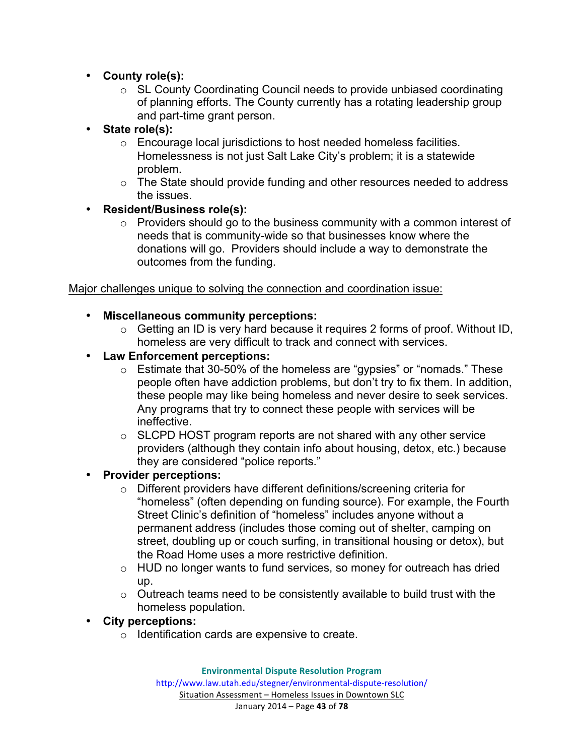- **County role(s):**
	- o SL County Coordinating Council needs to provide unbiased coordinating of planning efforts. The County currently has a rotating leadership group and part-time grant person.
- **State role(s):**
	- o Encourage local jurisdictions to host needed homeless facilities. Homelessness is not just Salt Lake City's problem; it is a statewide problem.
	- $\circ$  The State should provide funding and other resources needed to address the issues.

#### • **Resident/Business role(s):**

o Providers should go to the business community with a common interest of needs that is community-wide so that businesses know where the donations will go. Providers should include a way to demonstrate the outcomes from the funding.

#### Major challenges unique to solving the connection and coordination issue:

#### • **Miscellaneous community perceptions:**

- $\circ$  Getting an ID is very hard because it requires 2 forms of proof. Without ID, homeless are very difficult to track and connect with services.
- **Law Enforcement perceptions:**
	- o Estimate that 30-50% of the homeless are "gypsies" or "nomads." These people often have addiction problems, but don't try to fix them. In addition, these people may like being homeless and never desire to seek services. Any programs that try to connect these people with services will be ineffective.
	- $\circ$  SLCPD HOST program reports are not shared with any other service providers (although they contain info about housing, detox, etc.) because they are considered "police reports."

#### • **Provider perceptions:**

- o Different providers have different definitions/screening criteria for "homeless" (often depending on funding source). For example, the Fourth Street Clinic's definition of "homeless" includes anyone without a permanent address (includes those coming out of shelter, camping on street, doubling up or couch surfing, in transitional housing or detox), but the Road Home uses a more restrictive definition.
- o HUD no longer wants to fund services, so money for outreach has dried up.
- $\circ$  Outreach teams need to be consistently available to build trust with the homeless population.

#### • **City perceptions:**

o Identification cards are expensive to create.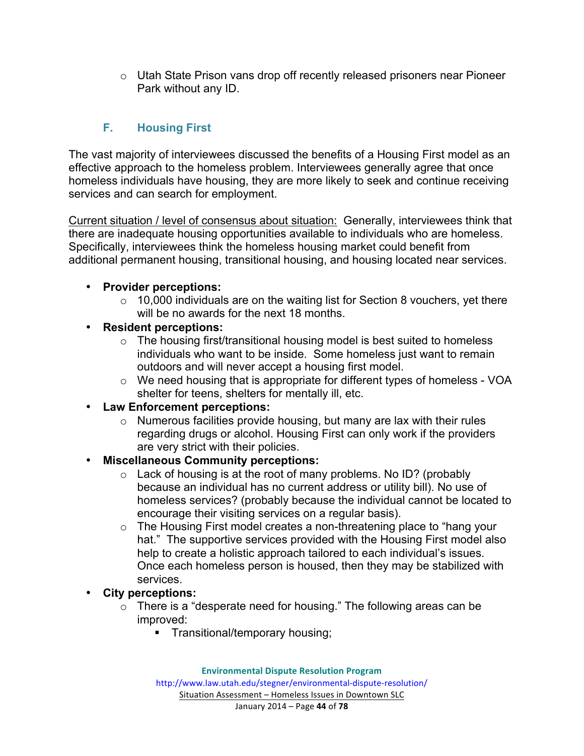$\circ$  Utah State Prison vans drop off recently released prisoners near Pioneer Park without any ID.

# **F. Housing First**

The vast majority of interviewees discussed the benefits of a Housing First model as an effective approach to the homeless problem. Interviewees generally agree that once homeless individuals have housing, they are more likely to seek and continue receiving services and can search for employment.

Current situation / level of consensus about situation: Generally, interviewees think that there are inadequate housing opportunities available to individuals who are homeless. Specifically, interviewees think the homeless housing market could benefit from additional permanent housing, transitional housing, and housing located near services.

# • **Provider perceptions:**

- $\circ$  10,000 individuals are on the waiting list for Section 8 vouchers, yet there will be no awards for the next 18 months.
- **Resident perceptions:**
	- $\circ$  The housing first/transitional housing model is best suited to homeless individuals who want to be inside. Some homeless just want to remain outdoors and will never accept a housing first model.
	- o We need housing that is appropriate for different types of homeless VOA shelter for teens, shelters for mentally ill, etc.

# • **Law Enforcement perceptions:**

o Numerous facilities provide housing, but many are lax with their rules regarding drugs or alcohol. Housing First can only work if the providers are very strict with their policies.

# • **Miscellaneous Community perceptions:**

- o Lack of housing is at the root of many problems. No ID? (probably because an individual has no current address or utility bill). No use of homeless services? (probably because the individual cannot be located to encourage their visiting services on a regular basis).
- o The Housing First model creates a non-threatening place to "hang your hat." The supportive services provided with the Housing First model also help to create a holistic approach tailored to each individual's issues. Once each homeless person is housed, then they may be stabilized with services.
- **City perceptions:**
	- $\circ$  There is a "desperate need for housing." The following areas can be improved:
		- Transitional/temporary housing;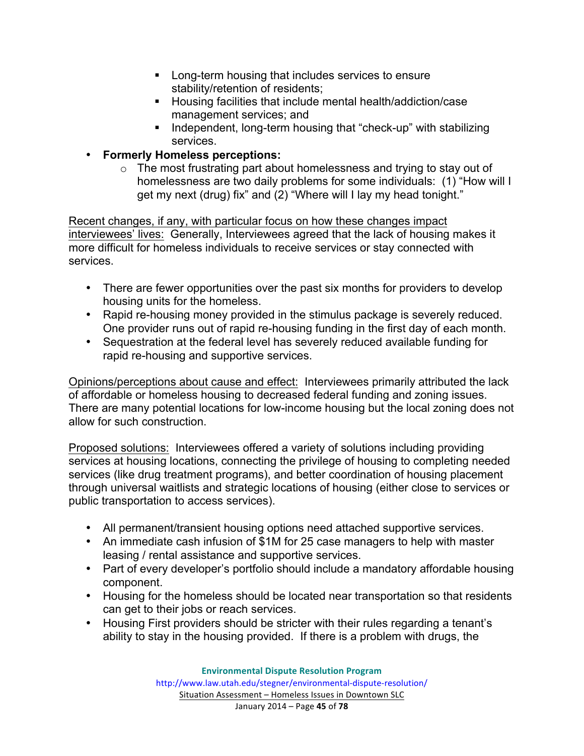- Long-term housing that includes services to ensure stability/retention of residents;
- Housing facilities that include mental health/addiction/case management services; and
- Independent, long-term housing that "check-up" with stabilizing services.
- **Formerly Homeless perceptions:**
	- o The most frustrating part about homelessness and trying to stay out of homelessness are two daily problems for some individuals: (1) "How will I get my next (drug) fix" and (2) "Where will I lay my head tonight."

Recent changes, if any, with particular focus on how these changes impact interviewees' lives: Generally, Interviewees agreed that the lack of housing makes it more difficult for homeless individuals to receive services or stay connected with services.

- There are fewer opportunities over the past six months for providers to develop housing units for the homeless.
- Rapid re-housing money provided in the stimulus package is severely reduced. One provider runs out of rapid re-housing funding in the first day of each month.
- Sequestration at the federal level has severely reduced available funding for rapid re-housing and supportive services.

Opinions/perceptions about cause and effect: Interviewees primarily attributed the lack of affordable or homeless housing to decreased federal funding and zoning issues. There are many potential locations for low-income housing but the local zoning does not allow for such construction.

Proposed solutions: Interviewees offered a variety of solutions including providing services at housing locations, connecting the privilege of housing to completing needed services (like drug treatment programs), and better coordination of housing placement through universal waitlists and strategic locations of housing (either close to services or public transportation to access services).

- All permanent/transient housing options need attached supportive services.
- An immediate cash infusion of \$1M for 25 case managers to help with master leasing / rental assistance and supportive services.
- Part of every developer's portfolio should include a mandatory affordable housing component.
- Housing for the homeless should be located near transportation so that residents can get to their jobs or reach services.
- Housing First providers should be stricter with their rules regarding a tenant's ability to stay in the housing provided. If there is a problem with drugs, the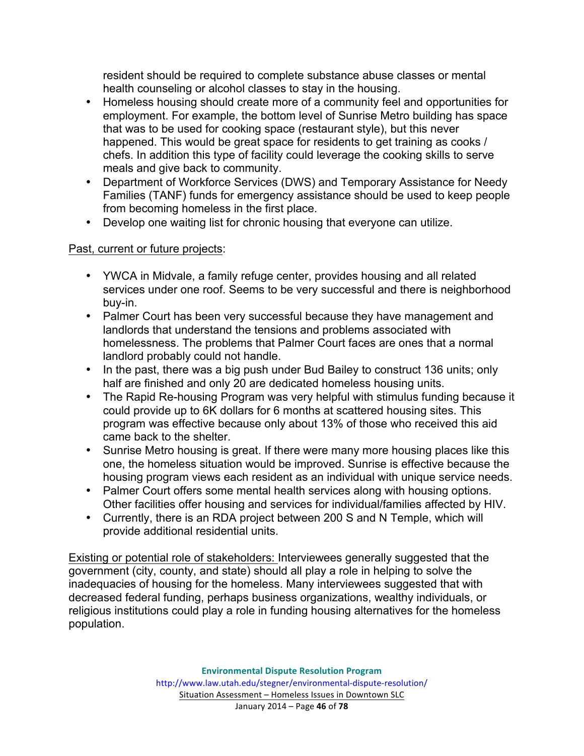resident should be required to complete substance abuse classes or mental health counseling or alcohol classes to stay in the housing.

- Homeless housing should create more of a community feel and opportunities for employment. For example, the bottom level of Sunrise Metro building has space that was to be used for cooking space (restaurant style), but this never happened. This would be great space for residents to get training as cooks / chefs. In addition this type of facility could leverage the cooking skills to serve meals and give back to community.
- Department of Workforce Services (DWS) and Temporary Assistance for Needy Families (TANF) funds for emergency assistance should be used to keep people from becoming homeless in the first place.
- Develop one waiting list for chronic housing that everyone can utilize.

#### Past, current or future projects:

- YWCA in Midvale, a family refuge center, provides housing and all related services under one roof. Seems to be very successful and there is neighborhood buy-in.
- Palmer Court has been very successful because they have management and landlords that understand the tensions and problems associated with homelessness. The problems that Palmer Court faces are ones that a normal landlord probably could not handle.
- In the past, there was a big push under Bud Bailey to construct 136 units; only half are finished and only 20 are dedicated homeless housing units.
- The Rapid Re-housing Program was very helpful with stimulus funding because it could provide up to 6K dollars for 6 months at scattered housing sites. This program was effective because only about 13% of those who received this aid came back to the shelter.
- Sunrise Metro housing is great. If there were many more housing places like this one, the homeless situation would be improved. Sunrise is effective because the housing program views each resident as an individual with unique service needs.
- Palmer Court offers some mental health services along with housing options. Other facilities offer housing and services for individual/families affected by HIV.
- Currently, there is an RDA project between 200 S and N Temple, which will provide additional residential units.

Existing or potential role of stakeholders: Interviewees generally suggested that the government (city, county, and state) should all play a role in helping to solve the inadequacies of housing for the homeless. Many interviewees suggested that with decreased federal funding, perhaps business organizations, wealthy individuals, or religious institutions could play a role in funding housing alternatives for the homeless population.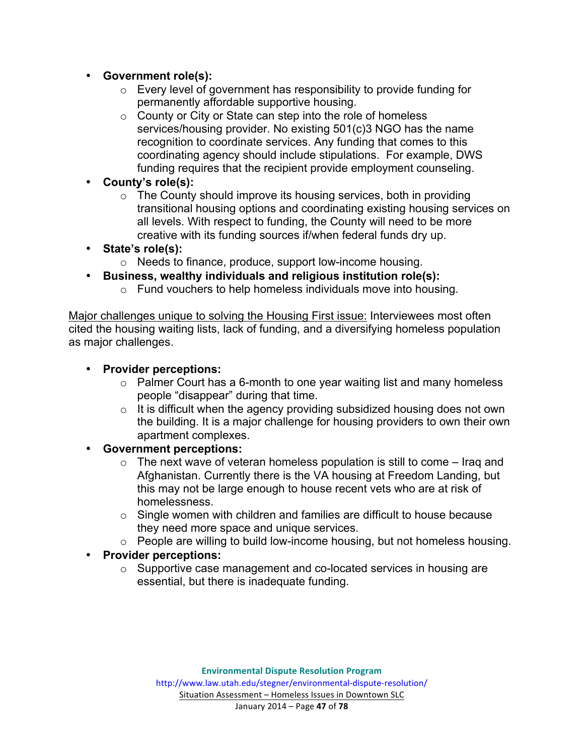- **Government role(s):**
	- o Every level of government has responsibility to provide funding for permanently affordable supportive housing.
	- $\circ$  County or City or State can step into the role of homeless services/housing provider. No existing 501(c)3 NGO has the name recognition to coordinate services. Any funding that comes to this coordinating agency should include stipulations. For example, DWS funding requires that the recipient provide employment counseling.
- **County's role(s):**
	- $\circ$  The County should improve its housing services, both in providing transitional housing options and coordinating existing housing services on all levels. With respect to funding, the County will need to be more creative with its funding sources if/when federal funds dry up.
- **State's role(s):**
	- o Needs to finance, produce, support low-income housing.
- **Business, wealthy individuals and religious institution role(s):**
	- o Fund vouchers to help homeless individuals move into housing.

Major challenges unique to solving the Housing First issue: Interviewees most often cited the housing waiting lists, lack of funding, and a diversifying homeless population as major challenges.

#### • **Provider perceptions:**

- o Palmer Court has a 6-month to one year waiting list and many homeless people "disappear" during that time.
- $\circ$  It is difficult when the agency providing subsidized housing does not own the building. It is a major challenge for housing providers to own their own apartment complexes.
- **Government perceptions:**
	- $\circ$  The next wave of veteran homeless population is still to come Iraq and Afghanistan. Currently there is the VA housing at Freedom Landing, but this may not be large enough to house recent vets who are at risk of homelessness.
	- o Single women with children and families are difficult to house because they need more space and unique services.
	- o People are willing to build low-income housing, but not homeless housing.

# • **Provider perceptions:**

o Supportive case management and co-located services in housing are essential, but there is inadequate funding.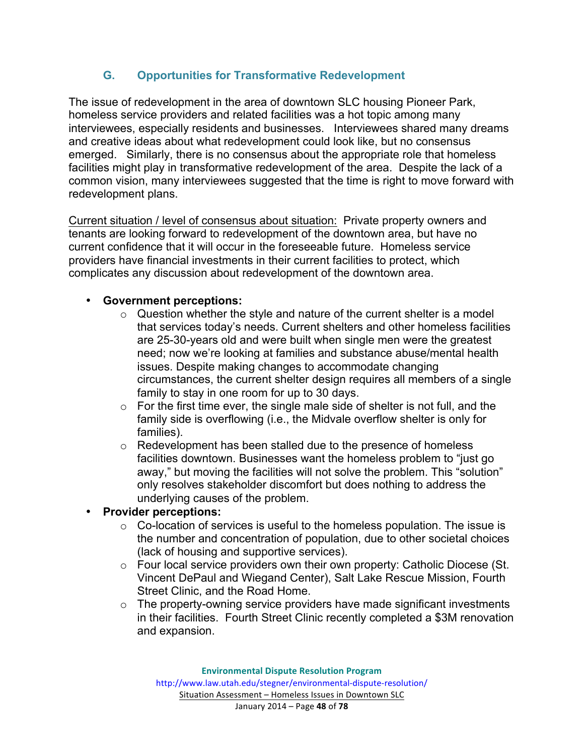# **G. Opportunities for Transformative Redevelopment**

The issue of redevelopment in the area of downtown SLC housing Pioneer Park, homeless service providers and related facilities was a hot topic among many interviewees, especially residents and businesses. Interviewees shared many dreams and creative ideas about what redevelopment could look like, but no consensus emerged. Similarly, there is no consensus about the appropriate role that homeless facilities might play in transformative redevelopment of the area. Despite the lack of a common vision, many interviewees suggested that the time is right to move forward with redevelopment plans.

Current situation / level of consensus about situation: Private property owners and tenants are looking forward to redevelopment of the downtown area, but have no current confidence that it will occur in the foreseeable future. Homeless service providers have financial investments in their current facilities to protect, which complicates any discussion about redevelopment of the downtown area.

#### • **Government perceptions:**

- $\circ$  Question whether the style and nature of the current shelter is a model that services today's needs. Current shelters and other homeless facilities are 25-30-years old and were built when single men were the greatest need; now we're looking at families and substance abuse/mental health issues. Despite making changes to accommodate changing circumstances, the current shelter design requires all members of a single family to stay in one room for up to 30 days.
- $\circ$  For the first time ever, the single male side of shelter is not full, and the family side is overflowing (i.e., the Midvale overflow shelter is only for families).
- o Redevelopment has been stalled due to the presence of homeless facilities downtown. Businesses want the homeless problem to "just go away," but moving the facilities will not solve the problem. This "solution" only resolves stakeholder discomfort but does nothing to address the underlying causes of the problem.

• **Provider perceptions:**

- $\circ$  Co-location of services is useful to the homeless population. The issue is the number and concentration of population, due to other societal choices (lack of housing and supportive services).
- o Four local service providers own their own property: Catholic Diocese (St. Vincent DePaul and Wiegand Center), Salt Lake Rescue Mission, Fourth Street Clinic, and the Road Home.
- o The property-owning service providers have made significant investments in their facilities. Fourth Street Clinic recently completed a \$3M renovation and expansion.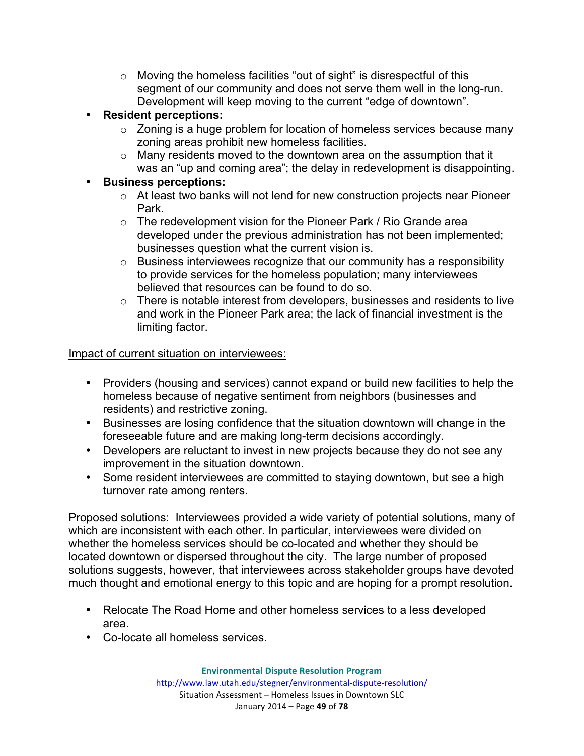- $\circ$  Moving the homeless facilities "out of sight" is disrespectful of this segment of our community and does not serve them well in the long-run. Development will keep moving to the current "edge of downtown".
- **Resident perceptions:**
	- o Zoning is a huge problem for location of homeless services because many zoning areas prohibit new homeless facilities.
	- $\circ$  Many residents moved to the downtown area on the assumption that it was an "up and coming area"; the delay in redevelopment is disappointing.
- **Business perceptions:**
	- o At least two banks will not lend for new construction projects near Pioneer Park.
	- o The redevelopment vision for the Pioneer Park / Rio Grande area developed under the previous administration has not been implemented; businesses question what the current vision is.
	- o Business interviewees recognize that our community has a responsibility to provide services for the homeless population; many interviewees believed that resources can be found to do so.
	- $\circ$  There is notable interest from developers, businesses and residents to live and work in the Pioneer Park area; the lack of financial investment is the limiting factor.

#### Impact of current situation on interviewees:

- Providers (housing and services) cannot expand or build new facilities to help the homeless because of negative sentiment from neighbors (businesses and residents) and restrictive zoning.
- Businesses are losing confidence that the situation downtown will change in the foreseeable future and are making long-term decisions accordingly.
- Developers are reluctant to invest in new projects because they do not see any improvement in the situation downtown.
- Some resident interviewees are committed to staying downtown, but see a high turnover rate among renters.

Proposed solutions: Interviewees provided a wide variety of potential solutions, many of which are inconsistent with each other. In particular, interviewees were divided on whether the homeless services should be co-located and whether they should be located downtown or dispersed throughout the city. The large number of proposed solutions suggests, however, that interviewees across stakeholder groups have devoted much thought and emotional energy to this topic and are hoping for a prompt resolution.

- Relocate The Road Home and other homeless services to a less developed area.
- Co-locate all homeless services.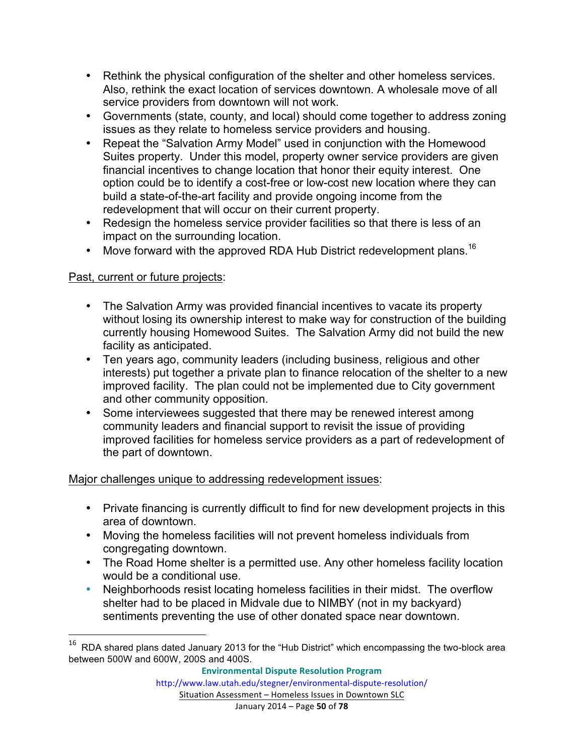- Rethink the physical configuration of the shelter and other homeless services. Also, rethink the exact location of services downtown. A wholesale move of all service providers from downtown will not work.
- Governments (state, county, and local) should come together to address zoning issues as they relate to homeless service providers and housing.
- Repeat the "Salvation Army Model" used in conjunction with the Homewood Suites property. Under this model, property owner service providers are given financial incentives to change location that honor their equity interest. One option could be to identify a cost-free or low-cost new location where they can build a state-of-the-art facility and provide ongoing income from the redevelopment that will occur on their current property.
- Redesign the homeless service provider facilities so that there is less of an impact on the surrounding location.
- Move forward with the approved RDA Hub District redevelopment plans.<sup>16</sup>

# Past, current or future projects:

<u> 1989 - Johann Stein, markin film yn y breninn y breninn y breninn y breninn y breninn y breninn y breninn y b</u>

- The Salvation Army was provided financial incentives to vacate its property without losing its ownership interest to make way for construction of the building currently housing Homewood Suites. The Salvation Army did not build the new facility as anticipated.
- Ten years ago, community leaders (including business, religious and other interests) put together a private plan to finance relocation of the shelter to a new improved facility. The plan could not be implemented due to City government and other community opposition.
- Some interviewees suggested that there may be renewed interest among community leaders and financial support to revisit the issue of providing improved facilities for homeless service providers as a part of redevelopment of the part of downtown.

# Major challenges unique to addressing redevelopment issues:

- Private financing is currently difficult to find for new development projects in this area of downtown.
- Moving the homeless facilities will not prevent homeless individuals from congregating downtown.
- The Road Home shelter is a permitted use. Any other homeless facility location would be a conditional use.
- Neighborhoods resist locating homeless facilities in their midst. The overflow shelter had to be placed in Midvale due to NIMBY (not in my backyard) sentiments preventing the use of other donated space near downtown.

 $16$  RDA shared plans dated January 2013 for the "Hub District" which encompassing the two-block area between 500W and 600W, 200S and 400S.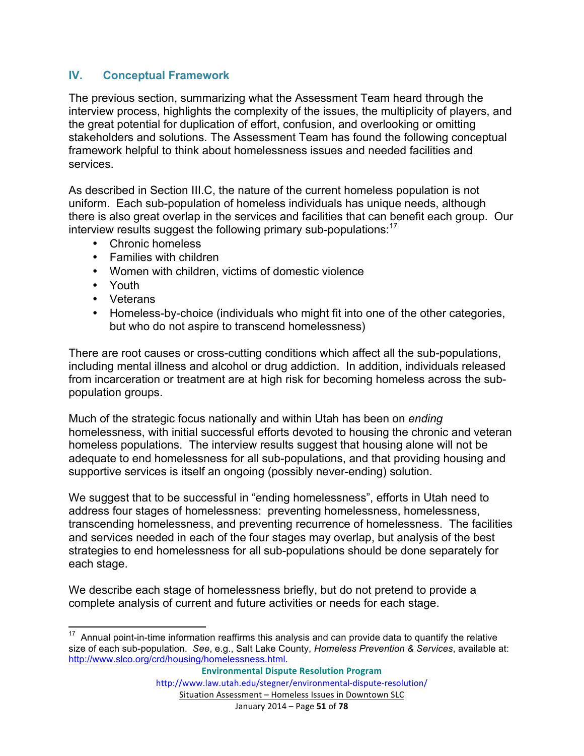#### **IV. Conceptual Framework**

The previous section, summarizing what the Assessment Team heard through the interview process, highlights the complexity of the issues, the multiplicity of players, and the great potential for duplication of effort, confusion, and overlooking or omitting stakeholders and solutions. The Assessment Team has found the following conceptual framework helpful to think about homelessness issues and needed facilities and services.

As described in Section III.C, the nature of the current homeless population is not uniform. Each sub-population of homeless individuals has unique needs, although there is also great overlap in the services and facilities that can benefit each group. Our interview results suggest the following primary sub-populations:<sup>17</sup>

- Chronic homeless
- Families with children
- Women with children, victims of domestic violence
- Youth
- Veterans
- Homeless-by-choice (individuals who might fit into one of the other categories, but who do not aspire to transcend homelessness)

There are root causes or cross-cutting conditions which affect all the sub-populations, including mental illness and alcohol or drug addiction. In addition, individuals released from incarceration or treatment are at high risk for becoming homeless across the subpopulation groups.

Much of the strategic focus nationally and within Utah has been on *ending* homelessness, with initial successful efforts devoted to housing the chronic and veteran homeless populations. The interview results suggest that housing alone will not be adequate to end homelessness for all sub-populations, and that providing housing and supportive services is itself an ongoing (possibly never-ending) solution.

We suggest that to be successful in "ending homelessness", efforts in Utah need to address four stages of homelessness: preventing homelessness, homelessness, transcending homelessness, and preventing recurrence of homelessness. The facilities and services needed in each of the four stages may overlap, but analysis of the best strategies to end homelessness for all sub-populations should be done separately for each stage.

We describe each stage of homelessness briefly, but do not pretend to provide a complete analysis of current and future activities or needs for each stage.

 $17$  Annual point-in-time information reaffirms this analysis and can provide data to quantify the relative size of each sub-population. *See*, e.g., Salt Lake County, *Homeless Prevention & Services*, available at: http://www.slco.org/crd/housing/homelessness.html.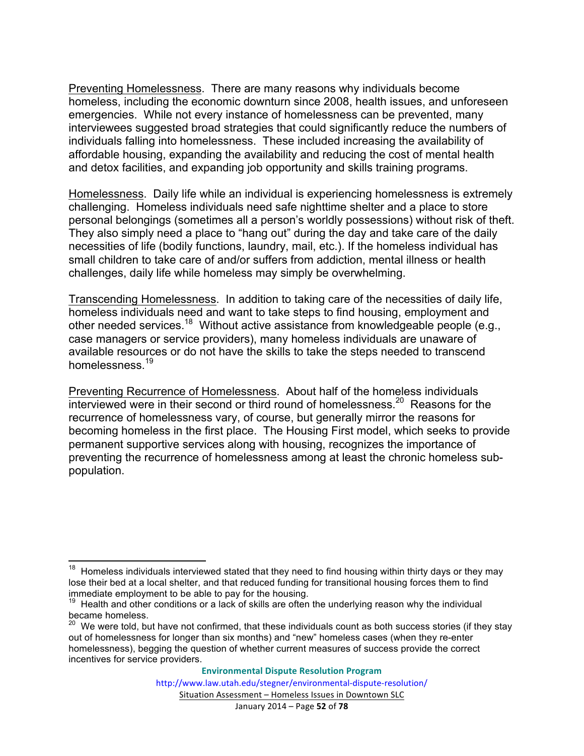Preventing Homelessness. There are many reasons why individuals become homeless, including the economic downturn since 2008, health issues, and unforeseen emergencies. While not every instance of homelessness can be prevented, many interviewees suggested broad strategies that could significantly reduce the numbers of individuals falling into homelessness. These included increasing the availability of affordable housing, expanding the availability and reducing the cost of mental health and detox facilities, and expanding job opportunity and skills training programs.

Homelessness. Daily life while an individual is experiencing homelessness is extremely challenging. Homeless individuals need safe nighttime shelter and a place to store personal belongings (sometimes all a person's worldly possessions) without risk of theft. They also simply need a place to "hang out" during the day and take care of the daily necessities of life (bodily functions, laundry, mail, etc.). If the homeless individual has small children to take care of and/or suffers from addiction, mental illness or health challenges, daily life while homeless may simply be overwhelming.

Transcending Homelessness. In addition to taking care of the necessities of daily life, homeless individuals need and want to take steps to find housing, employment and other needed services.18 Without active assistance from knowledgeable people (e.g., case managers or service providers), many homeless individuals are unaware of available resources or do not have the skills to take the steps needed to transcend homelessness.<sup>19</sup>

Preventing Recurrence of Homelessness. About half of the homeless individuals interviewed were in their second or third round of homelessness.<sup>20</sup> Reasons for the recurrence of homelessness vary, of course, but generally mirror the reasons for becoming homeless in the first place. The Housing First model, which seeks to provide permanent supportive services along with housing, recognizes the importance of preventing the recurrence of homelessness among at least the chronic homeless subpopulation.

 $18$  Homeless individuals interviewed stated that they need to find housing within thirty days or they may lose their bed at a local shelter, and that reduced funding for transitional housing forces them to find immediate employment to be able to pay for the housing.

Health and other conditions or a lack of skills are often the underlying reason why the individual became homeless.

<sup>&</sup>lt;sup>20</sup> We were told, but have not confirmed, that these individuals count as both success stories (if they stay out of homelessness for longer than six months) and "new" homeless cases (when they re-enter homelessness), begging the question of whether current measures of success provide the correct incentives for service providers.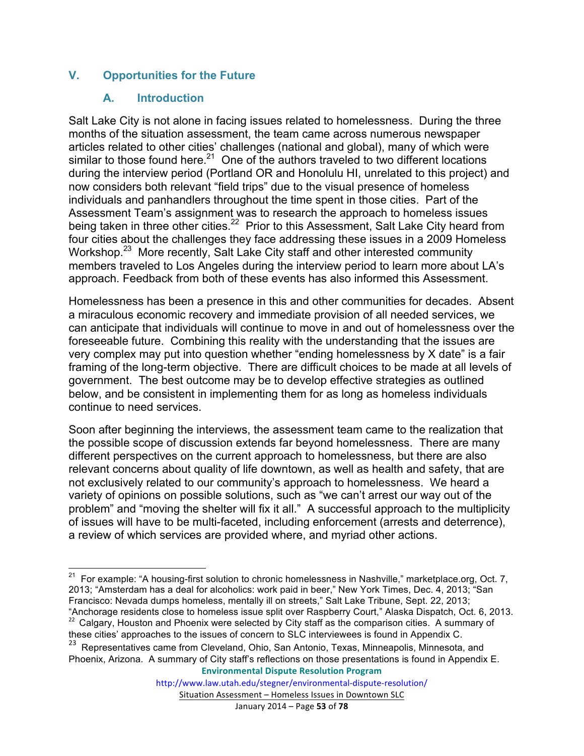### **V. Opportunities for the Future**

#### **A. Introduction**

Salt Lake City is not alone in facing issues related to homelessness. During the three months of the situation assessment, the team came across numerous newspaper articles related to other cities' challenges (national and global), many of which were similar to those found here.<sup>21</sup> One of the authors traveled to two different locations during the interview period (Portland OR and Honolulu HI, unrelated to this project) and now considers both relevant "field trips" due to the visual presence of homeless individuals and panhandlers throughout the time spent in those cities. Part of the Assessment Team's assignment was to research the approach to homeless issues being taken in three other cities.<sup>22</sup> Prior to this Assessment, Salt Lake City heard from four cities about the challenges they face addressing these issues in a 2009 Homeless Workshop.<sup>23</sup> More recently, Salt Lake City staff and other interested community members traveled to Los Angeles during the interview period to learn more about LA's approach. Feedback from both of these events has also informed this Assessment.

Homelessness has been a presence in this and other communities for decades. Absent a miraculous economic recovery and immediate provision of all needed services, we can anticipate that individuals will continue to move in and out of homelessness over the foreseeable future. Combining this reality with the understanding that the issues are very complex may put into question whether "ending homelessness by X date" is a fair framing of the long-term objective. There are difficult choices to be made at all levels of government. The best outcome may be to develop effective strategies as outlined below, and be consistent in implementing them for as long as homeless individuals continue to need services.

Soon after beginning the interviews, the assessment team came to the realization that the possible scope of discussion extends far beyond homelessness. There are many different perspectives on the current approach to homelessness, but there are also relevant concerns about quality of life downtown, as well as health and safety, that are not exclusively related to our community's approach to homelessness. We heard a variety of opinions on possible solutions, such as "we can't arrest our way out of the problem" and "moving the shelter will fix it all." A successful approach to the multiplicity of issues will have to be multi-faceted, including enforcement (arrests and deterrence), a review of which services are provided where, and myriad other actions.

**Environmental Dispute Resolution Program**

 $21$  For example: "A housing-first solution to chronic homelessness in Nashville," marketplace.org, Oct. 7, 2013; "Amsterdam has a deal for alcoholics: work paid in beer," New York Times, Dec. 4, 2013; "San Francisco: Nevada dumps homeless, mentally ill on streets," Salt Lake Tribune, Sept. 22, 2013;<br>"Anchorage residents close to homeless issue split over Raspberry Court," Alaska Dispatch, Oct. 6, 2013.

<sup>&</sup>lt;sup>22</sup> Calgary, Houston and Phoenix were selected by City staff as the comparison cities. A summary of these cities' approaches to the issues of concern to SLC interviewees is found in Appendix C.

<sup>&</sup>lt;sup>23</sup> Representatives came from Cleveland, Ohio, San Antonio, Texas, Minneapolis, Minnesota, and Phoenix, Arizona. A summary of City staff's reflections on those presentations is found in Appendix E.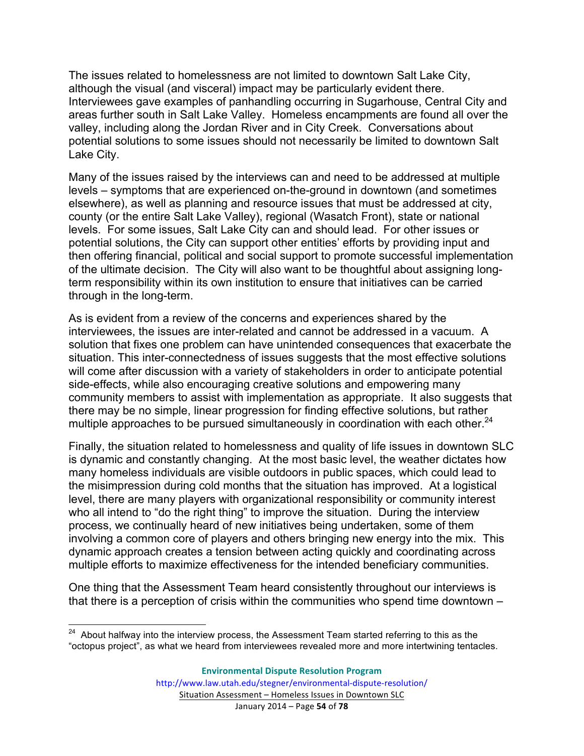The issues related to homelessness are not limited to downtown Salt Lake City, although the visual (and visceral) impact may be particularly evident there. Interviewees gave examples of panhandling occurring in Sugarhouse, Central City and areas further south in Salt Lake Valley. Homeless encampments are found all over the valley, including along the Jordan River and in City Creek. Conversations about potential solutions to some issues should not necessarily be limited to downtown Salt Lake City.

Many of the issues raised by the interviews can and need to be addressed at multiple levels – symptoms that are experienced on-the-ground in downtown (and sometimes elsewhere), as well as planning and resource issues that must be addressed at city, county (or the entire Salt Lake Valley), regional (Wasatch Front), state or national levels. For some issues, Salt Lake City can and should lead. For other issues or potential solutions, the City can support other entities' efforts by providing input and then offering financial, political and social support to promote successful implementation of the ultimate decision. The City will also want to be thoughtful about assigning longterm responsibility within its own institution to ensure that initiatives can be carried through in the long-term.

As is evident from a review of the concerns and experiences shared by the interviewees, the issues are inter-related and cannot be addressed in a vacuum. A solution that fixes one problem can have unintended consequences that exacerbate the situation. This inter-connectedness of issues suggests that the most effective solutions will come after discussion with a variety of stakeholders in order to anticipate potential side-effects, while also encouraging creative solutions and empowering many community members to assist with implementation as appropriate. It also suggests that there may be no simple, linear progression for finding effective solutions, but rather multiple approaches to be pursued simultaneously in coordination with each other. $^{24}$ 

Finally, the situation related to homelessness and quality of life issues in downtown SLC is dynamic and constantly changing. At the most basic level, the weather dictates how many homeless individuals are visible outdoors in public spaces, which could lead to the misimpression during cold months that the situation has improved. At a logistical level, there are many players with organizational responsibility or community interest who all intend to "do the right thing" to improve the situation. During the interview process, we continually heard of new initiatives being undertaken, some of them involving a common core of players and others bringing new energy into the mix. This dynamic approach creates a tension between acting quickly and coordinating across multiple efforts to maximize effectiveness for the intended beneficiary communities.

One thing that the Assessment Team heard consistently throughout our interviews is that there is a perception of crisis within the communities who spend time downtown –

<sup>&</sup>lt;sup>24</sup> About halfway into the interview process, the Assessment Team started referring to this as the "octopus project", as what we heard from interviewees revealed more and more intertwining tentacles.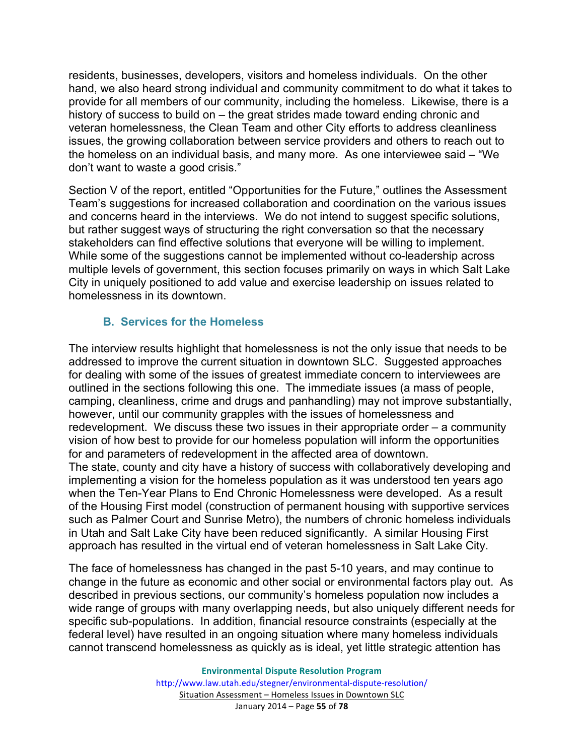residents, businesses, developers, visitors and homeless individuals. On the other hand, we also heard strong individual and community commitment to do what it takes to provide for all members of our community, including the homeless. Likewise, there is a history of success to build on – the great strides made toward ending chronic and veteran homelessness, the Clean Team and other City efforts to address cleanliness issues, the growing collaboration between service providers and others to reach out to the homeless on an individual basis, and many more. As one interviewee said – "We don't want to waste a good crisis."

Section V of the report, entitled "Opportunities for the Future," outlines the Assessment Team's suggestions for increased collaboration and coordination on the various issues and concerns heard in the interviews. We do not intend to suggest specific solutions, but rather suggest ways of structuring the right conversation so that the necessary stakeholders can find effective solutions that everyone will be willing to implement. While some of the suggestions cannot be implemented without co-leadership across multiple levels of government, this section focuses primarily on ways in which Salt Lake City in uniquely positioned to add value and exercise leadership on issues related to homelessness in its downtown.

#### **B. Services for the Homeless**

The interview results highlight that homelessness is not the only issue that needs to be addressed to improve the current situation in downtown SLC. Suggested approaches for dealing with some of the issues of greatest immediate concern to interviewees are outlined in the sections following this one. The immediate issues (a mass of people, camping, cleanliness, crime and drugs and panhandling) may not improve substantially, however, until our community grapples with the issues of homelessness and redevelopment. We discuss these two issues in their appropriate order – a community vision of how best to provide for our homeless population will inform the opportunities for and parameters of redevelopment in the affected area of downtown. The state, county and city have a history of success with collaboratively developing and implementing a vision for the homeless population as it was understood ten years ago when the Ten-Year Plans to End Chronic Homelessness were developed. As a result of the Housing First model (construction of permanent housing with supportive services such as Palmer Court and Sunrise Metro), the numbers of chronic homeless individuals in Utah and Salt Lake City have been reduced significantly. A similar Housing First approach has resulted in the virtual end of veteran homelessness in Salt Lake City.

The face of homelessness has changed in the past 5-10 years, and may continue to change in the future as economic and other social or environmental factors play out. As described in previous sections, our community's homeless population now includes a wide range of groups with many overlapping needs, but also uniquely different needs for specific sub-populations. In addition, financial resource constraints (especially at the federal level) have resulted in an ongoing situation where many homeless individuals cannot transcend homelessness as quickly as is ideal, yet little strategic attention has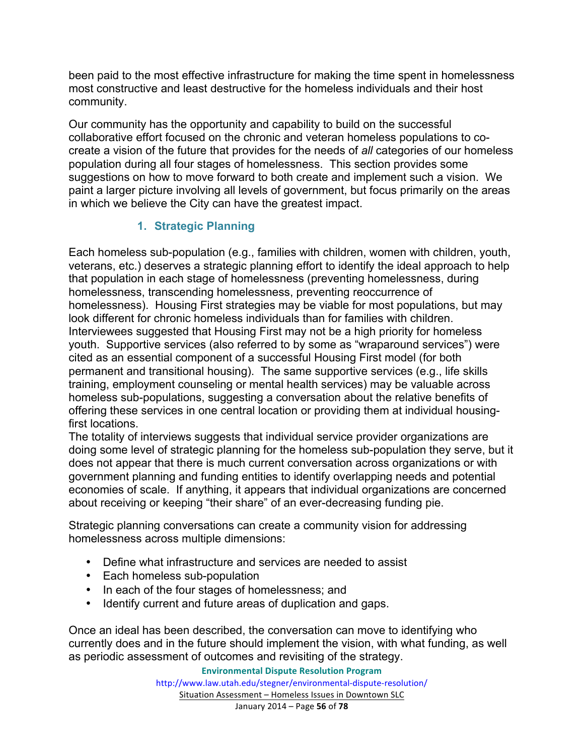been paid to the most effective infrastructure for making the time spent in homelessness most constructive and least destructive for the homeless individuals and their host community.

Our community has the opportunity and capability to build on the successful collaborative effort focused on the chronic and veteran homeless populations to cocreate a vision of the future that provides for the needs of *all* categories of our homeless population during all four stages of homelessness. This section provides some suggestions on how to move forward to both create and implement such a vision. We paint a larger picture involving all levels of government, but focus primarily on the areas in which we believe the City can have the greatest impact.

# **1. Strategic Planning**

Each homeless sub-population (e.g., families with children, women with children, youth, veterans, etc.) deserves a strategic planning effort to identify the ideal approach to help that population in each stage of homelessness (preventing homelessness, during homelessness, transcending homelessness, preventing reoccurrence of homelessness). Housing First strategies may be viable for most populations, but may look different for chronic homeless individuals than for families with children. Interviewees suggested that Housing First may not be a high priority for homeless youth. Supportive services (also referred to by some as "wraparound services") were cited as an essential component of a successful Housing First model (for both permanent and transitional housing). The same supportive services (e.g., life skills training, employment counseling or mental health services) may be valuable across homeless sub-populations, suggesting a conversation about the relative benefits of offering these services in one central location or providing them at individual housingfirst locations.

The totality of interviews suggests that individual service provider organizations are doing some level of strategic planning for the homeless sub-population they serve, but it does not appear that there is much current conversation across organizations or with government planning and funding entities to identify overlapping needs and potential economies of scale. If anything, it appears that individual organizations are concerned about receiving or keeping "their share" of an ever-decreasing funding pie.

Strategic planning conversations can create a community vision for addressing homelessness across multiple dimensions:

- Define what infrastructure and services are needed to assist
- Each homeless sub-population
- In each of the four stages of homelessness; and
- Identify current and future areas of duplication and gaps.

Once an ideal has been described, the conversation can move to identifying who currently does and in the future should implement the vision, with what funding, as well as periodic assessment of outcomes and revisiting of the strategy.

**Environmental Dispute Resolution Program**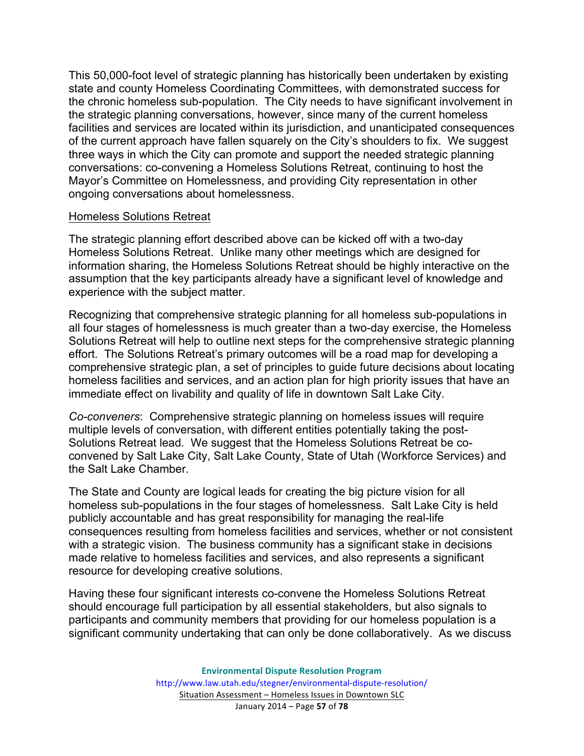This 50,000-foot level of strategic planning has historically been undertaken by existing state and county Homeless Coordinating Committees, with demonstrated success for the chronic homeless sub-population. The City needs to have significant involvement in the strategic planning conversations, however, since many of the current homeless facilities and services are located within its jurisdiction, and unanticipated consequences of the current approach have fallen squarely on the City's shoulders to fix. We suggest three ways in which the City can promote and support the needed strategic planning conversations: co-convening a Homeless Solutions Retreat, continuing to host the Mayor's Committee on Homelessness, and providing City representation in other ongoing conversations about homelessness.

#### Homeless Solutions Retreat

The strategic planning effort described above can be kicked off with a two-day Homeless Solutions Retreat. Unlike many other meetings which are designed for information sharing, the Homeless Solutions Retreat should be highly interactive on the assumption that the key participants already have a significant level of knowledge and experience with the subject matter.

Recognizing that comprehensive strategic planning for all homeless sub-populations in all four stages of homelessness is much greater than a two-day exercise, the Homeless Solutions Retreat will help to outline next steps for the comprehensive strategic planning effort. The Solutions Retreat's primary outcomes will be a road map for developing a comprehensive strategic plan, a set of principles to guide future decisions about locating homeless facilities and services, and an action plan for high priority issues that have an immediate effect on livability and quality of life in downtown Salt Lake City.

*Co-conveners*: Comprehensive strategic planning on homeless issues will require multiple levels of conversation, with different entities potentially taking the post-Solutions Retreat lead. We suggest that the Homeless Solutions Retreat be coconvened by Salt Lake City, Salt Lake County, State of Utah (Workforce Services) and the Salt Lake Chamber.

The State and County are logical leads for creating the big picture vision for all homeless sub-populations in the four stages of homelessness. Salt Lake City is held publicly accountable and has great responsibility for managing the real-life consequences resulting from homeless facilities and services, whether or not consistent with a strategic vision. The business community has a significant stake in decisions made relative to homeless facilities and services, and also represents a significant resource for developing creative solutions.

Having these four significant interests co-convene the Homeless Solutions Retreat should encourage full participation by all essential stakeholders, but also signals to participants and community members that providing for our homeless population is a significant community undertaking that can only be done collaboratively. As we discuss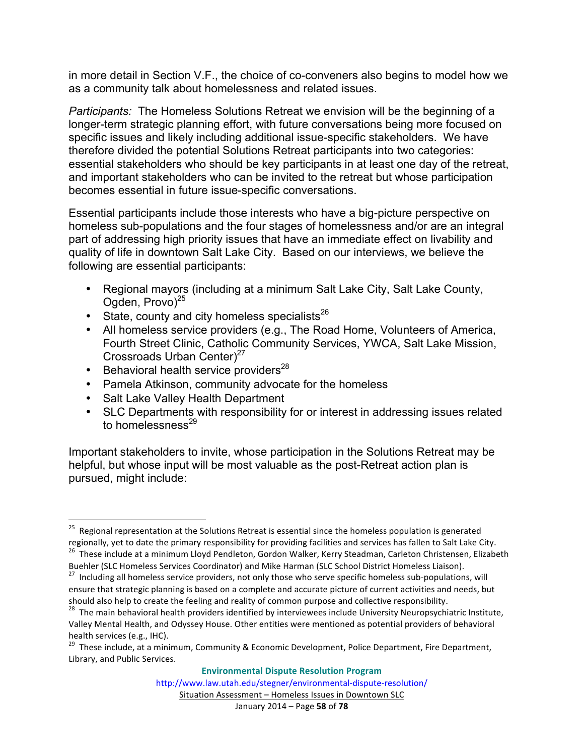in more detail in Section V.F., the choice of co-conveners also begins to model how we as a community talk about homelessness and related issues.

*Participants:* The Homeless Solutions Retreat we envision will be the beginning of a longer-term strategic planning effort, with future conversations being more focused on specific issues and likely including additional issue-specific stakeholders. We have therefore divided the potential Solutions Retreat participants into two categories: essential stakeholders who should be key participants in at least one day of the retreat, and important stakeholders who can be invited to the retreat but whose participation becomes essential in future issue-specific conversations.

Essential participants include those interests who have a big-picture perspective on homeless sub-populations and the four stages of homelessness and/or are an integral part of addressing high priority issues that have an immediate effect on livability and quality of life in downtown Salt Lake City. Based on our interviews, we believe the following are essential participants:

- Regional mayors (including at a minimum Salt Lake City, Salt Lake County, Ogden, Provo $^{25}$
- State, county and city homeless specialists $^{26}$
- All homeless service providers (e.g., The Road Home, Volunteers of America, Fourth Street Clinic, Catholic Community Services, YWCA, Salt Lake Mission, Crossroads Urban Center)<sup>27</sup>
- Behavioral health service providers $^{28}$
- Pamela Atkinson, community advocate for the homeless
- Salt Lake Valley Health Department

 

• SLC Departments with responsibility for or interest in addressing issues related to homelessness<sup>29</sup>

Important stakeholders to invite, whose participation in the Solutions Retreat may be helpful, but whose input will be most valuable as the post-Retreat action plan is pursued, might include:

<sup>&</sup>lt;sup>25</sup> Regional representation at the Solutions Retreat is essential since the homeless population is generated<br>regionally, yet to date the primary responsibility for providing facilities and services has fallen to Salt Lake <sup>26</sup> These include at a minimum Lloyd Pendleton, Gordon Walker, Kerry Steadman, Carleton Christensen, Elizabeth

Buehler (SLC Homeless Services Coordinator) and Mike Harman (SLC School District Homeless Liaison).<br><sup>27</sup> Including all homeless service providers, not only those who serve specific homeless sub-populations, will

ensure that strategic planning is based on a complete and accurate picture of current activities and needs, but<br>should also help to create the feeling and reality of common purpose and collective responsibility.

<sup>&</sup>lt;sup>28</sup> The main behavioral health providers identified by interviewees include University Neuropsychiatric Institute, Valley Mental Health, and Odyssey House. Other entities were mentioned as potential providers of behavioral health services (e.g., IHC).

<sup>&</sup>lt;sup>29</sup> These include, at a minimum, Community & Economic Development, Police Department, Fire Department, Library, and Public Services.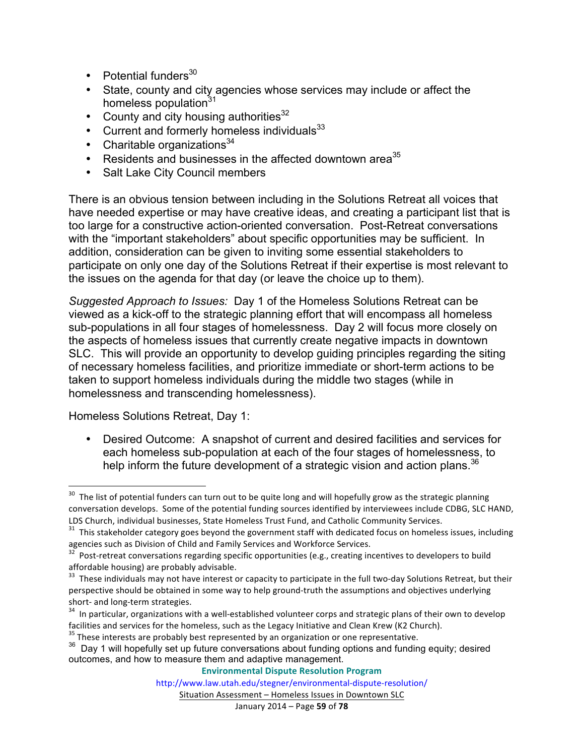- Potential funders $30$
- State, county and city agencies whose services may include or affect the homeless population<sup>31</sup>
- County and city housing authorities  $32$
- Current and formerly homeless individuals $33$
- Charitable organizations $34$
- Residents and businesses in the affected downtown area<sup>35</sup>
- Salt Lake City Council members

There is an obvious tension between including in the Solutions Retreat all voices that have needed expertise or may have creative ideas, and creating a participant list that is too large for a constructive action-oriented conversation. Post-Retreat conversations with the "important stakeholders" about specific opportunities may be sufficient. In addition, consideration can be given to inviting some essential stakeholders to participate on only one day of the Solutions Retreat if their expertise is most relevant to the issues on the agenda for that day (or leave the choice up to them).

*Suggested Approach to Issues:* Day 1 of the Homeless Solutions Retreat can be viewed as a kick-off to the strategic planning effort that will encompass all homeless sub-populations in all four stages of homelessness. Day 2 will focus more closely on the aspects of homeless issues that currently create negative impacts in downtown SLC. This will provide an opportunity to develop guiding principles regarding the siting of necessary homeless facilities, and prioritize immediate or short-term actions to be taken to support homeless individuals during the middle two stages (while in homelessness and transcending homelessness).

Homeless Solutions Retreat, Day 1:

 

• Desired Outcome: A snapshot of current and desired facilities and services for each homeless sub-population at each of the four stages of homelessness, to help inform the future development of a strategic vision and action plans.  $36$ 

 $35$  These interests are probably best represented by an organization or one representative.

**Environmental Dispute Resolution Program**

http://www.law.utah.edu/stegner/environmental-dispute-resolution/

 $30$  The list of potential funders can turn out to be quite long and will hopefully grow as the strategic planning conversation develops. Some of the potential funding sources identified by interviewees include CDBG, SLC HAND,

LDS Church, individual businesses, State Homeless Trust Fund, and Catholic Community Services.<br><sup>31</sup> This stakeholder category goes beyond the government staff with dedicated focus on homeless issues, including agencies such as Division of Child and Family Services and Workforce Services.<br><sup>32</sup> Post-retreat conversations regarding specific opportunities (e.g., creating incentives to developers to build

affordable housing) are probably advisable.

<sup>&</sup>lt;sup>33</sup> These individuals may not have interest or capacity to participate in the full two-day Solutions Retreat, but their perspective should be obtained in some way to help ground-truth the assumptions and objectives underlying

short- and long-term strategies.<br><sup>34</sup> In particular, organizations with a well-established volunteer corps and strategic plans of their own to develop facilities and services for the homeless, such as the Legacy Initiative and Clean Krew (K2 Church).

 $36$  Day 1 will hopefully set up future conversations about funding options and funding equity; desired outcomes, and how to measure them and adaptive management.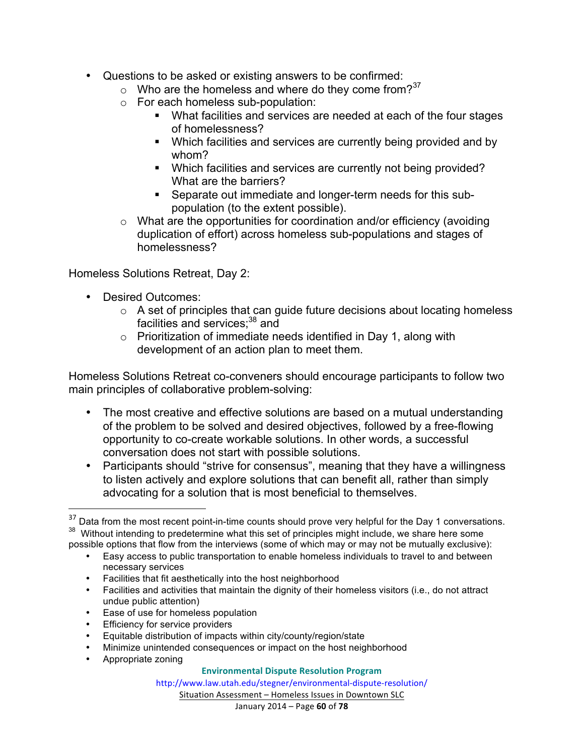- Questions to be asked or existing answers to be confirmed:
	- $\circ$  Who are the homeless and where do they come from?<sup>37</sup>
	- o For each homeless sub-population:
		- § What facilities and services are needed at each of the four stages of homelessness?
		- Which facilities and services are currently being provided and by whom?
		- Which facilities and services are currently not being provided? What are the barriers?
		- Separate out immediate and longer-term needs for this subpopulation (to the extent possible).
	- o What are the opportunities for coordination and/or efficiency (avoiding duplication of effort) across homeless sub-populations and stages of homelessness?

Homeless Solutions Retreat, Day 2:

- Desired Outcomes:
	- $\circ$  A set of principles that can guide future decisions about locating homeless facilities and services;<sup>38</sup> and
	- $\circ$  Prioritization of immediate needs identified in Day 1, along with development of an action plan to meet them.

Homeless Solutions Retreat co-conveners should encourage participants to follow two main principles of collaborative problem-solving:

- The most creative and effective solutions are based on a mutual understanding of the problem to be solved and desired objectives, followed by a free-flowing opportunity to co-create workable solutions. In other words, a successful conversation does not start with possible solutions.
- Participants should "strive for consensus", meaning that they have a willingness to listen actively and explore solutions that can benefit all, rather than simply advocating for a solution that is most beneficial to themselves.

- Easy access to public transportation to enable homeless individuals to travel to and between necessary services
- Facilities that fit aesthetically into the host neighborhood
- Facilities and activities that maintain the dignity of their homeless visitors (i.e., do not attract undue public attention)
- Ease of use for homeless population
- Efficiency for service providers
- Equitable distribution of impacts within city/county/region/state
- Minimize unintended consequences or impact on the host neighborhood
- Appropriate zoning

<u> 1989 - Johann Stein, markin film yn y breninn y breninn y breninn y breninn y breninn y breninn y breninn y b</u>

#### **Environmental Dispute Resolution Program**

http://www.law.utah.edu/stegner/environmental-dispute-resolution/

 $37$  Data from the most recent point-in-time counts should prove very helpful for the Day 1 conversations.  $38$  Without intending to predetermine what this set of principles might include, we share here some possible options that flow from the interviews (some of which may or may not be mutually exclusive):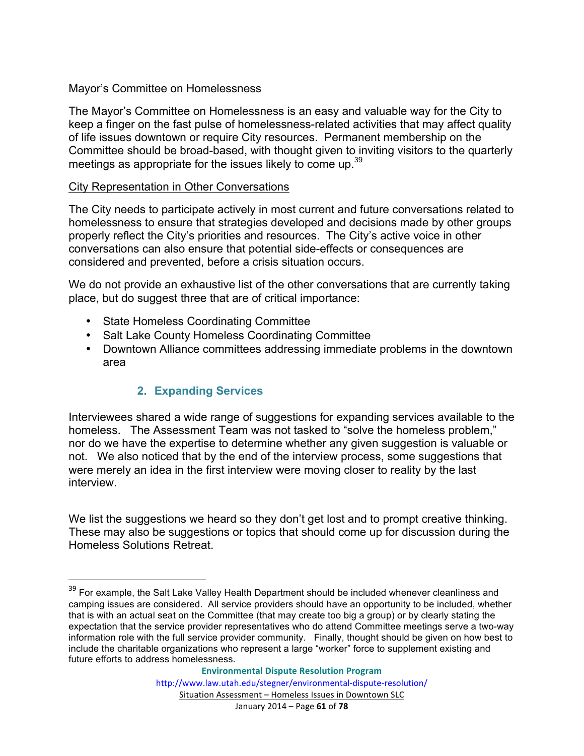#### Mayor's Committee on Homelessness

The Mayor's Committee on Homelessness is an easy and valuable way for the City to keep a finger on the fast pulse of homelessness-related activities that may affect quality of life issues downtown or require City resources. Permanent membership on the Committee should be broad-based, with thought given to inviting visitors to the quarterly meetings as appropriate for the issues likely to come up.<sup>39</sup>

#### City Representation in Other Conversations

The City needs to participate actively in most current and future conversations related to homelessness to ensure that strategies developed and decisions made by other groups properly reflect the City's priorities and resources. The City's active voice in other conversations can also ensure that potential side-effects or consequences are considered and prevented, before a crisis situation occurs.

We do not provide an exhaustive list of the other conversations that are currently taking place, but do suggest three that are of critical importance:

- State Homeless Coordinating Committee
- Salt Lake County Homeless Coordinating Committee
- Downtown Alliance committees addressing immediate problems in the downtown area

#### **2. Expanding Services**

<u> 1989 - Johann Stein, markin film yn y breninn y breninn y breninn y breninn y breninn y breninn y breninn y b</u>

Interviewees shared a wide range of suggestions for expanding services available to the homeless. The Assessment Team was not tasked to "solve the homeless problem," nor do we have the expertise to determine whether any given suggestion is valuable or not. We also noticed that by the end of the interview process, some suggestions that were merely an idea in the first interview were moving closer to reality by the last interview.

We list the suggestions we heard so they don't get lost and to prompt creative thinking. These may also be suggestions or topics that should come up for discussion during the Homeless Solutions Retreat.

 $39$  For example, the Salt Lake Valley Health Department should be included whenever cleanliness and camping issues are considered. All service providers should have an opportunity to be included, whether that is with an actual seat on the Committee (that may create too big a group) or by clearly stating the expectation that the service provider representatives who do attend Committee meetings serve a two-way information role with the full service provider community. Finally, thought should be given on how best to include the charitable organizations who represent a large "worker" force to supplement existing and future efforts to address homelessness.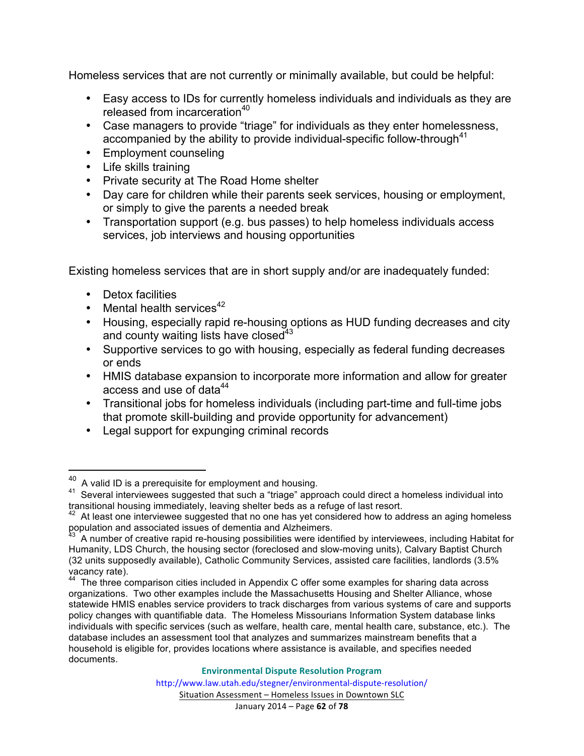Homeless services that are not currently or minimally available, but could be helpful:

- Easy access to IDs for currently homeless individuals and individuals as they are released from incarceration<sup>40</sup>
- Case managers to provide "triage" for individuals as they enter homelessness, accompanied by the ability to provide individual-specific follow-through<sup>41</sup>
- Employment counseling
- Life skills training
- Private security at The Road Home shelter
- Day care for children while their parents seek services, housing or employment, or simply to give the parents a needed break
- Transportation support (e.g. bus passes) to help homeless individuals access services, job interviews and housing opportunities

Existing homeless services that are in short supply and/or are inadequately funded:

• Detox facilities

<u> 1989 - Johann Stein, markin film yn y breninn y breninn y breninn y breninn y breninn y breninn y breninn y b</u>

- Mental health services $42$
- Housing, especially rapid re-housing options as HUD funding decreases and city and county waiting lists have closed $43$
- Supportive services to go with housing, especially as federal funding decreases or ends
- HMIS database expansion to incorporate more information and allow for greater access and use of data<sup>44</sup>
- Transitional jobs for homeless individuals (including part-time and full-time jobs that promote skill-building and provide opportunity for advancement)
- Legal support for expunging criminal records

 $40$  A valid ID is a prerequisite for employment and housing.

<sup>&</sup>lt;sup>41</sup> Several interviewees suggested that such a "triage" approach could direct a homeless individual into transitional housing immediately, leaving shelter beds as a refuge of last resort.

 $42$  At least one interviewee suggested that no one has yet considered how to address an aging homeless population and associated issues of dementia and Alzheimers.

<sup>43</sup> A number of creative rapid re-housing possibilities were identified by interviewees, including Habitat for Humanity, LDS Church, the housing sector (foreclosed and slow-moving units), Calvary Baptist Church (32 units supposedly available), Catholic Community Services, assisted care facilities, landlords (3.5% vacancy rate).

<sup>&</sup>lt;sup>44</sup> The three comparison cities included in Appendix C offer some examples for sharing data across organizations. Two other examples include the Massachusetts Housing and Shelter Alliance, whose statewide HMIS enables service providers to track discharges from various systems of care and supports policy changes with quantifiable data. The Homeless Missourians Information System database links individuals with specific services (such as welfare, health care, mental health care, substance, etc.). The database includes an assessment tool that analyzes and summarizes mainstream benefits that a household is eligible for, provides locations where assistance is available, and specifies needed documents.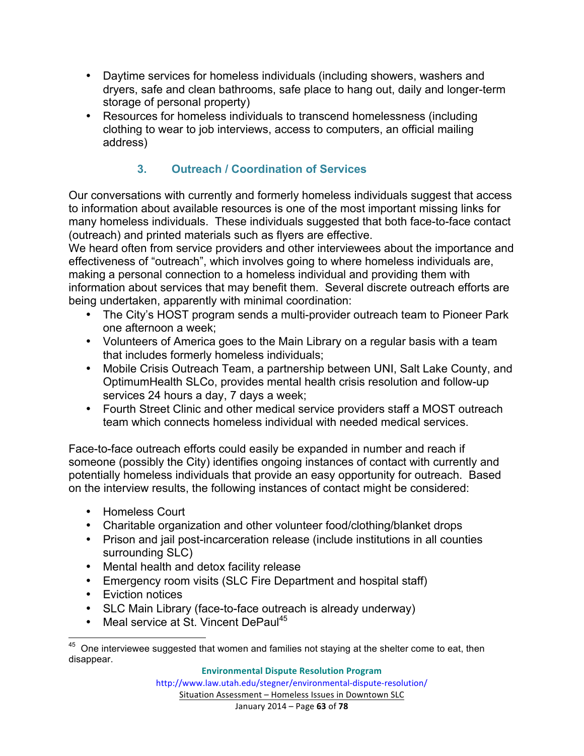- Daytime services for homeless individuals (including showers, washers and dryers, safe and clean bathrooms, safe place to hang out, daily and longer-term storage of personal property)
- Resources for homeless individuals to transcend homelessness (including clothing to wear to job interviews, access to computers, an official mailing address)

# **3. Outreach / Coordination of Services**

Our conversations with currently and formerly homeless individuals suggest that access to information about available resources is one of the most important missing links for many homeless individuals. These individuals suggested that both face-to-face contact (outreach) and printed materials such as flyers are effective.

We heard often from service providers and other interviewees about the importance and effectiveness of "outreach", which involves going to where homeless individuals are, making a personal connection to a homeless individual and providing them with information about services that may benefit them. Several discrete outreach efforts are being undertaken, apparently with minimal coordination:

- The City's HOST program sends a multi-provider outreach team to Pioneer Park one afternoon a week;
- Volunteers of America goes to the Main Library on a regular basis with a team that includes formerly homeless individuals;
- Mobile Crisis Outreach Team, a partnership between UNI, Salt Lake County, and OptimumHealth SLCo, provides mental health crisis resolution and follow-up services 24 hours a day, 7 days a week;
- Fourth Street Clinic and other medical service providers staff a MOST outreach team which connects homeless individual with needed medical services.

Face-to-face outreach efforts could easily be expanded in number and reach if someone (possibly the City) identifies ongoing instances of contact with currently and potentially homeless individuals that provide an easy opportunity for outreach. Based on the interview results, the following instances of contact might be considered:

- Homeless Court
- Charitable organization and other volunteer food/clothing/blanket drops
- Prison and jail post-incarceration release (include institutions in all counties surrounding SLC)
- Mental health and detox facility release
- Emergency room visits (SLC Fire Department and hospital staff)
- Eviction notices
- SLC Main Library (face-to-face outreach is already underway)
- Meal service at St. Vincent DePaul<sup>45</sup>

<sup>&</sup>lt;sup>45</sup> One interviewee suggested that women and families not staying at the shelter come to eat, then disappear.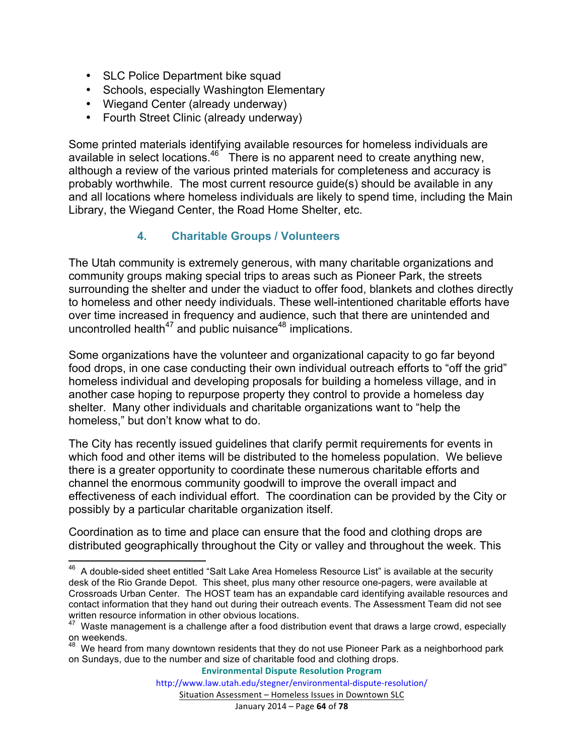- SLC Police Department bike squad
- Schools, especially Washington Elementary
- Wiegand Center (already underway)
- Fourth Street Clinic (already underway)

Some printed materials identifying available resources for homeless individuals are available in select locations.<sup>46</sup> There is no apparent need to create anything new, although a review of the various printed materials for completeness and accuracy is probably worthwhile. The most current resource guide(s) should be available in any and all locations where homeless individuals are likely to spend time, including the Main Library, the Wiegand Center, the Road Home Shelter, etc.

#### **4. Charitable Groups / Volunteers**

The Utah community is extremely generous, with many charitable organizations and community groups making special trips to areas such as Pioneer Park, the streets surrounding the shelter and under the viaduct to offer food, blankets and clothes directly to homeless and other needy individuals. These well-intentioned charitable efforts have over time increased in frequency and audience, such that there are unintended and uncontrolled health<sup>47</sup> and public nuisance<sup>48</sup> implications.

Some organizations have the volunteer and organizational capacity to go far beyond food drops, in one case conducting their own individual outreach efforts to "off the grid" homeless individual and developing proposals for building a homeless village, and in another case hoping to repurpose property they control to provide a homeless day shelter. Many other individuals and charitable organizations want to "help the homeless," but don't know what to do.

The City has recently issued guidelines that clarify permit requirements for events in which food and other items will be distributed to the homeless population. We believe there is a greater opportunity to coordinate these numerous charitable efforts and channel the enormous community goodwill to improve the overall impact and effectiveness of each individual effort. The coordination can be provided by the City or possibly by a particular charitable organization itself.

Coordination as to time and place can ensure that the food and clothing drops are distributed geographically throughout the City or valley and throughout the week. This

**Environmental Dispute Resolution Program**

<sup>&</sup>lt;sup>46</sup> A double-sided sheet entitled "Salt Lake Area Homeless Resource List" is available at the security desk of the Rio Grande Depot. This sheet, plus many other resource one-pagers, were available at Crossroads Urban Center. The HOST team has an expandable card identifying available resources and contact information that they hand out during their outreach events. The Assessment Team did not see written resource information in other obvious locations.

 $47$  Waste management is a challenge after a food distribution event that draws a large crowd, especially on weekends.

 $48$  We heard from many downtown residents that they do not use Pioneer Park as a neighborhood park on Sundays, due to the number and size of charitable food and clothing drops.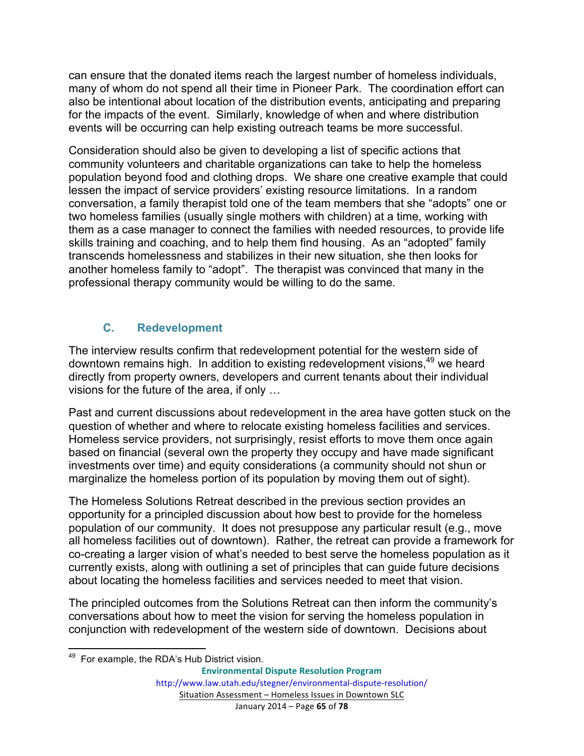can ensure that the donated items reach the largest number of homeless individuals, many of whom do not spend all their time in Pioneer Park. The coordination effort can also be intentional about location of the distribution events, anticipating and preparing for the impacts of the event. Similarly, knowledge of when and where distribution events will be occurring can help existing outreach teams be more successful.

Consideration should also be given to developing a list of specific actions that community volunteers and charitable organizations can take to help the homeless population beyond food and clothing drops. We share one creative example that could lessen the impact of service providers' existing resource limitations. In a random conversation, a family therapist told one of the team members that she "adopts" one or two homeless families (usually single mothers with children) at a time, working with them as a case manager to connect the families with needed resources, to provide life skills training and coaching, and to help them find housing. As an "adopted" family transcends homelessness and stabilizes in their new situation, she then looks for another homeless family to "adopt". The therapist was convinced that many in the professional therapy community would be willing to do the same.

#### **C. Redevelopment**

The interview results confirm that redevelopment potential for the western side of downtown remains high. In addition to existing redevelopment visions,<sup>49</sup> we heard directly from property owners, developers and current tenants about their individual visions for the future of the area, if only …

Past and current discussions about redevelopment in the area have gotten stuck on the question of whether and where to relocate existing homeless facilities and services. Homeless service providers, not surprisingly, resist efforts to move them once again based on financial (several own the property they occupy and have made significant investments over time) and equity considerations (a community should not shun or marginalize the homeless portion of its population by moving them out of sight).

The Homeless Solutions Retreat described in the previous section provides an opportunity for a principled discussion about how best to provide for the homeless population of our community. It does not presuppose any particular result (e.g., move all homeless facilities out of downtown). Rather, the retreat can provide a framework for co-creating a larger vision of what's needed to best serve the homeless population as it currently exists, along with outlining a set of principles that can guide future decisions about locating the homeless facilities and services needed to meet that vision.

The principled outcomes from the Solutions Retreat can then inform the community's conversations about how to meet the vision for serving the homeless population in conjunction with redevelopment of the western side of downtown. Decisions about

<sup>&</sup>lt;sup>49</sup> For example, the RDA's Hub District vision.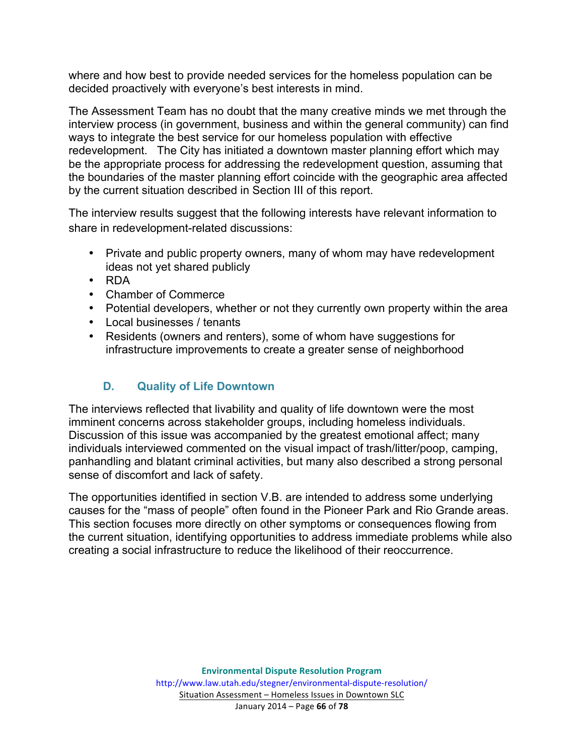where and how best to provide needed services for the homeless population can be decided proactively with everyone's best interests in mind.

The Assessment Team has no doubt that the many creative minds we met through the interview process (in government, business and within the general community) can find ways to integrate the best service for our homeless population with effective redevelopment. The City has initiated a downtown master planning effort which may be the appropriate process for addressing the redevelopment question, assuming that the boundaries of the master planning effort coincide with the geographic area affected by the current situation described in Section III of this report.

The interview results suggest that the following interests have relevant information to share in redevelopment-related discussions:

- Private and public property owners, many of whom may have redevelopment ideas not yet shared publicly
- RDA
- Chamber of Commerce
- Potential developers, whether or not they currently own property within the area
- Local businesses / tenants
- Residents (owners and renters), some of whom have suggestions for infrastructure improvements to create a greater sense of neighborhood

# **D. Quality of Life Downtown**

The interviews reflected that livability and quality of life downtown were the most imminent concerns across stakeholder groups, including homeless individuals. Discussion of this issue was accompanied by the greatest emotional affect; many individuals interviewed commented on the visual impact of trash/litter/poop, camping, panhandling and blatant criminal activities, but many also described a strong personal sense of discomfort and lack of safety.

The opportunities identified in section V.B. are intended to address some underlying causes for the "mass of people" often found in the Pioneer Park and Rio Grande areas. This section focuses more directly on other symptoms or consequences flowing from the current situation, identifying opportunities to address immediate problems while also creating a social infrastructure to reduce the likelihood of their reoccurrence.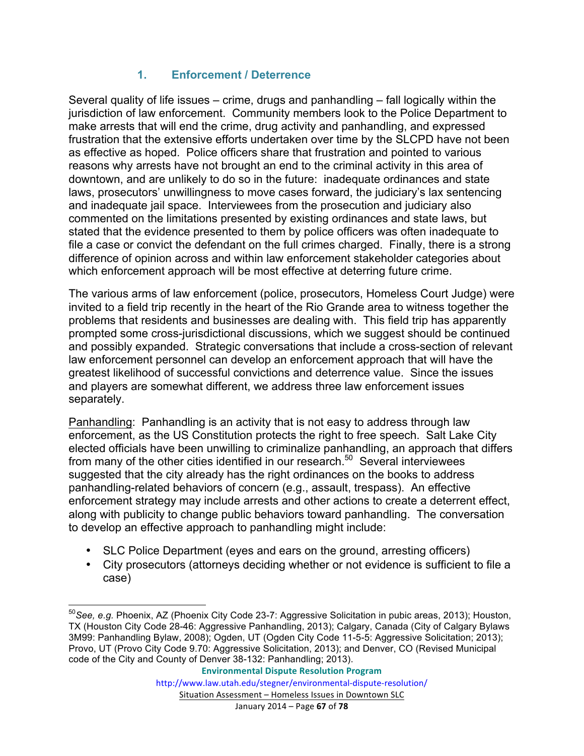### **1. Enforcement / Deterrence**

Several quality of life issues – crime, drugs and panhandling – fall logically within the jurisdiction of law enforcement. Community members look to the Police Department to make arrests that will end the crime, drug activity and panhandling, and expressed frustration that the extensive efforts undertaken over time by the SLCPD have not been as effective as hoped. Police officers share that frustration and pointed to various reasons why arrests have not brought an end to the criminal activity in this area of downtown, and are unlikely to do so in the future: inadequate ordinances and state laws, prosecutors' unwillingness to move cases forward, the judiciary's lax sentencing and inadequate jail space. Interviewees from the prosecution and judiciary also commented on the limitations presented by existing ordinances and state laws, but stated that the evidence presented to them by police officers was often inadequate to file a case or convict the defendant on the full crimes charged. Finally, there is a strong difference of opinion across and within law enforcement stakeholder categories about which enforcement approach will be most effective at deterring future crime.

The various arms of law enforcement (police, prosecutors, Homeless Court Judge) were invited to a field trip recently in the heart of the Rio Grande area to witness together the problems that residents and businesses are dealing with. This field trip has apparently prompted some cross-jurisdictional discussions, which we suggest should be continued and possibly expanded. Strategic conversations that include a cross-section of relevant law enforcement personnel can develop an enforcement approach that will have the greatest likelihood of successful convictions and deterrence value. Since the issues and players are somewhat different, we address three law enforcement issues separately.

Panhandling: Panhandling is an activity that is not easy to address through law enforcement, as the US Constitution protects the right to free speech. Salt Lake City elected officials have been unwilling to criminalize panhandling, an approach that differs from many of the other cities identified in our research.<sup>50</sup> Several interviewees suggested that the city already has the right ordinances on the books to address panhandling-related behaviors of concern (e.g., assault, trespass). An effective enforcement strategy may include arrests and other actions to create a deterrent effect, along with publicity to change public behaviors toward panhandling. The conversation to develop an effective approach to panhandling might include:

- SLC Police Department (eyes and ears on the ground, arresting officers)
- City prosecutors (attorneys deciding whether or not evidence is sufficient to file a case)

 <sup>50</sup>*See, e.g.* Phoenix, AZ (Phoenix City Code 23-7: Aggressive Solicitation in pubic areas, 2013); Houston, TX (Houston City Code 28-46: Aggressive Panhandling, 2013); Calgary, Canada (City of Calgary Bylaws 3M99: Panhandling Bylaw, 2008); Ogden, UT (Ogden City Code 11-5-5: Aggressive Solicitation; 2013); Provo, UT (Provo City Code 9.70: Aggressive Solicitation, 2013); and Denver, CO (Revised Municipal code of the City and County of Denver 38-132: Panhandling; 2013).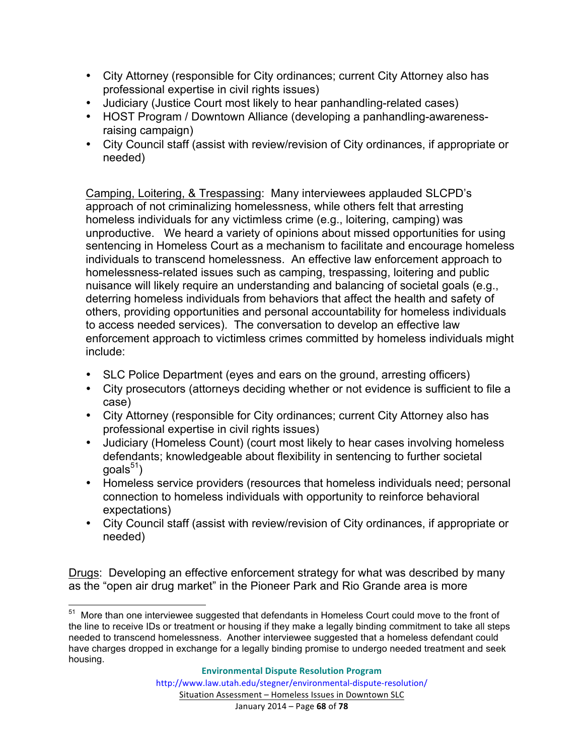- City Attorney (responsible for City ordinances; current City Attorney also has professional expertise in civil rights issues)
- Judiciary (Justice Court most likely to hear panhandling-related cases)
- HOST Program / Downtown Alliance (developing a panhandling-awarenessraising campaign)
- City Council staff (assist with review/revision of City ordinances, if appropriate or needed)

Camping, Loitering, & Trespassing: Many interviewees applauded SLCPD's approach of not criminalizing homelessness, while others felt that arresting homeless individuals for any victimless crime (e.g., loitering, camping) was unproductive. We heard a variety of opinions about missed opportunities for using sentencing in Homeless Court as a mechanism to facilitate and encourage homeless individuals to transcend homelessness. An effective law enforcement approach to homelessness-related issues such as camping, trespassing, loitering and public nuisance will likely require an understanding and balancing of societal goals (e.g., deterring homeless individuals from behaviors that affect the health and safety of others, providing opportunities and personal accountability for homeless individuals to access needed services). The conversation to develop an effective law enforcement approach to victimless crimes committed by homeless individuals might include:

- SLC Police Department (eyes and ears on the ground, arresting officers)
- City prosecutors (attorneys deciding whether or not evidence is sufficient to file a case)
- City Attorney (responsible for City ordinances; current City Attorney also has professional expertise in civil rights issues)
- Judiciary (Homeless Count) (court most likely to hear cases involving homeless defendants; knowledgeable about flexibility in sentencing to further societal  $g$ oals $51$ )
- Homeless service providers (resources that homeless individuals need; personal connection to homeless individuals with opportunity to reinforce behavioral expectations)
- City Council staff (assist with review/revision of City ordinances, if appropriate or needed)

Drugs: Developing an effective enforcement strategy for what was described by many as the "open air drug market" in the Pioneer Park and Rio Grande area is more

<sup>&</sup>lt;sup>51</sup> More than one interviewee suggested that defendants in Homeless Court could move to the front of the line to receive IDs or treatment or housing if they make a legally binding commitment to take all steps needed to transcend homelessness. Another interviewee suggested that a homeless defendant could have charges dropped in exchange for a legally binding promise to undergo needed treatment and seek housing.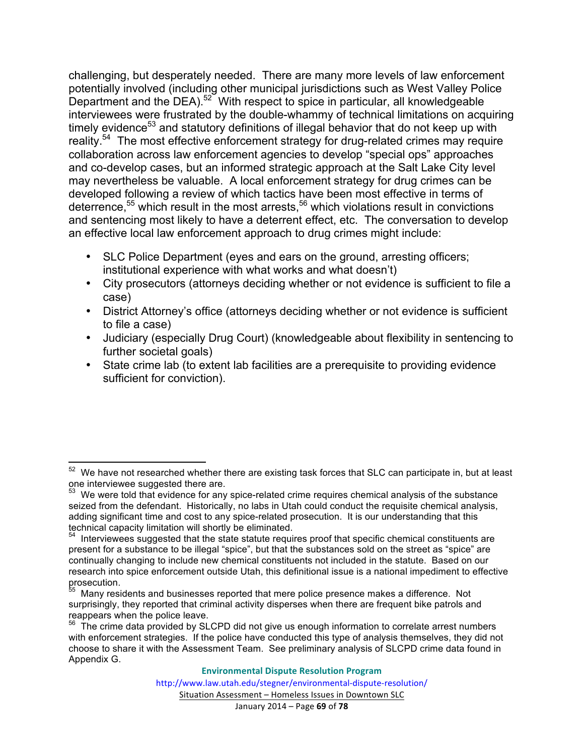challenging, but desperately needed. There are many more levels of law enforcement potentially involved (including other municipal jurisdictions such as West Valley Police Department and the DEA).<sup>52</sup> With respect to spice in particular, all knowledgeable interviewees were frustrated by the double-whammy of technical limitations on acquiring timely evidence<sup>53</sup> and statutory definitions of illegal behavior that do not keep up with reality.<sup>54</sup> The most effective enforcement strategy for drug-related crimes may require collaboration across law enforcement agencies to develop "special ops" approaches and co-develop cases, but an informed strategic approach at the Salt Lake City level may nevertheless be valuable. A local enforcement strategy for drug crimes can be developed following a review of which tactics have been most effective in terms of deterrence, $55$  which result in the most arrests, $56$  which violations result in convictions and sentencing most likely to have a deterrent effect, etc. The conversation to develop an effective local law enforcement approach to drug crimes might include:

- SLC Police Department (eyes and ears on the ground, arresting officers; institutional experience with what works and what doesn't)
- City prosecutors (attorneys deciding whether or not evidence is sufficient to file a case)
- District Attorney's office (attorneys deciding whether or not evidence is sufficient to file a case)
- Judiciary (especially Drug Court) (knowledgeable about flexibility in sentencing to further societal goals)
- State crime lab (to extent lab facilities are a prerequisite to providing evidence sufficient for conviction).

We have not researched whether there are existing task forces that SLC can participate in, but at least one interviewee suggested there are.

 $53$  We were told that evidence for any spice-related crime requires chemical analysis of the substance seized from the defendant. Historically, no labs in Utah could conduct the requisite chemical analysis, adding significant time and cost to any spice-related prosecution. It is our understanding that this technical capacity limitation will shortly be eliminated.

 $54$  Interviewees suggested that the state statute requires proof that specific chemical constituents are present for a substance to be illegal "spice", but that the substances sold on the street as "spice" are continually changing to include new chemical constituents not included in the statute. Based on our research into spice enforcement outside Utah, this definitional issue is a national impediment to effective prosecution.

Many residents and businesses reported that mere police presence makes a difference. Not surprisingly, they reported that criminal activity disperses when there are frequent bike patrols and reappears when the police leave.

 $56$  The crime data provided by SLCPD did not give us enough information to correlate arrest numbers with enforcement strategies. If the police have conducted this type of analysis themselves, they did not choose to share it with the Assessment Team. See preliminary analysis of SLCPD crime data found in Appendix G.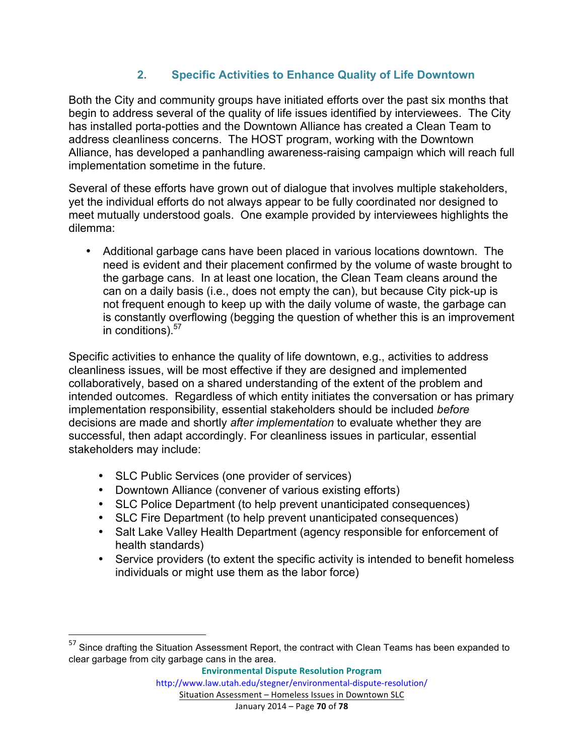# **2. Specific Activities to Enhance Quality of Life Downtown**

Both the City and community groups have initiated efforts over the past six months that begin to address several of the quality of life issues identified by interviewees. The City has installed porta-potties and the Downtown Alliance has created a Clean Team to address cleanliness concerns. The HOST program, working with the Downtown Alliance, has developed a panhandling awareness-raising campaign which will reach full implementation sometime in the future.

Several of these efforts have grown out of dialogue that involves multiple stakeholders, yet the individual efforts do not always appear to be fully coordinated nor designed to meet mutually understood goals. One example provided by interviewees highlights the dilemma:

• Additional garbage cans have been placed in various locations downtown. The need is evident and their placement confirmed by the volume of waste brought to the garbage cans. In at least one location, the Clean Team cleans around the can on a daily basis (i.e., does not empty the can), but because City pick-up is not frequent enough to keep up with the daily volume of waste, the garbage can is constantly overflowing (begging the question of whether this is an improvement in conditions).<sup>57</sup>

Specific activities to enhance the quality of life downtown, e.g., activities to address cleanliness issues, will be most effective if they are designed and implemented collaboratively, based on a shared understanding of the extent of the problem and intended outcomes. Regardless of which entity initiates the conversation or has primary implementation responsibility, essential stakeholders should be included *before* decisions are made and shortly *after implementation* to evaluate whether they are successful, then adapt accordingly. For cleanliness issues in particular, essential stakeholders may include:

• SLC Public Services (one provider of services)

<u> 1989 - Johann Stein, markin film yn y breninn y breninn y breninn y breninn y breninn y breninn y breninn y b</u>

- Downtown Alliance (convener of various existing efforts)
- SLC Police Department (to help prevent unanticipated consequences)
- SLC Fire Department (to help prevent unanticipated consequences)
- Salt Lake Valley Health Department (agency responsible for enforcement of health standards)
- Service providers (to extent the specific activity is intended to benefit homeless individuals or might use them as the labor force)

<sup>&</sup>lt;sup>57</sup> Since drafting the Situation Assessment Report, the contract with Clean Teams has been expanded to clear garbage from city garbage cans in the area.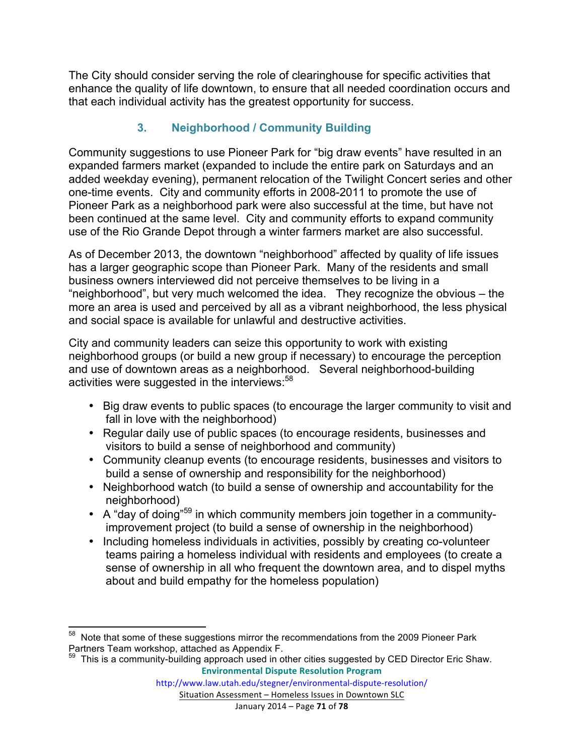The City should consider serving the role of clearinghouse for specific activities that enhance the quality of life downtown, to ensure that all needed coordination occurs and that each individual activity has the greatest opportunity for success.

# **3. Neighborhood / Community Building**

Community suggestions to use Pioneer Park for "big draw events" have resulted in an expanded farmers market (expanded to include the entire park on Saturdays and an added weekday evening), permanent relocation of the Twilight Concert series and other one-time events. City and community efforts in 2008-2011 to promote the use of Pioneer Park as a neighborhood park were also successful at the time, but have not been continued at the same level. City and community efforts to expand community use of the Rio Grande Depot through a winter farmers market are also successful.

As of December 2013, the downtown "neighborhood" affected by quality of life issues has a larger geographic scope than Pioneer Park. Many of the residents and small business owners interviewed did not perceive themselves to be living in a "neighborhood", but very much welcomed the idea. They recognize the obvious – the more an area is used and perceived by all as a vibrant neighborhood, the less physical and social space is available for unlawful and destructive activities.

City and community leaders can seize this opportunity to work with existing neighborhood groups (or build a new group if necessary) to encourage the perception and use of downtown areas as a neighborhood. Several neighborhood-building activities were suggested in the interviews:<sup>58</sup>

- Big draw events to public spaces (to encourage the larger community to visit and fall in love with the neighborhood)
- Regular daily use of public spaces (to encourage residents, businesses and visitors to build a sense of neighborhood and community)
- Community cleanup events (to encourage residents, businesses and visitors to build a sense of ownership and responsibility for the neighborhood)
- Neighborhood watch (to build a sense of ownership and accountability for the neighborhood)
- A "day of doing"59 in which community members join together in a communityimprovement project (to build a sense of ownership in the neighborhood)
- Including homeless individuals in activities, possibly by creating co-volunteer teams pairing a homeless individual with residents and employees (to create a sense of ownership in all who frequent the downtown area, and to dispel myths about and build empathy for the homeless population)

<sup>&</sup>lt;sup>58</sup> Note that some of these suggestions mirror the recommendations from the 2009 Pioneer Park Partners Team workshop, attached as Appendix F.

**Environmental Dispute Resolution Program**  $59$  This is a community-building approach used in other cities suggested by CED Director Eric Shaw.

Situation Assessment - Homeless Issues in Downtown SLC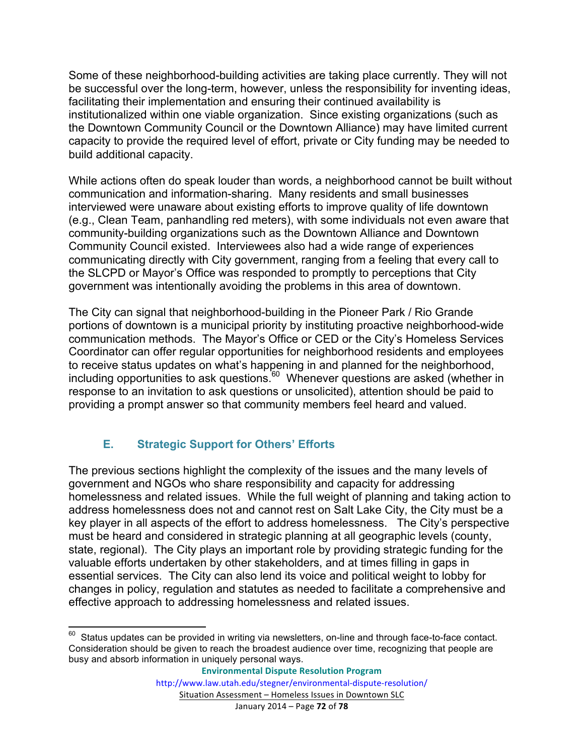Some of these neighborhood-building activities are taking place currently. They will not be successful over the long-term, however, unless the responsibility for inventing ideas, facilitating their implementation and ensuring their continued availability is institutionalized within one viable organization. Since existing organizations (such as the Downtown Community Council or the Downtown Alliance) may have limited current capacity to provide the required level of effort, private or City funding may be needed to build additional capacity.

While actions often do speak louder than words, a neighborhood cannot be built without communication and information-sharing. Many residents and small businesses interviewed were unaware about existing efforts to improve quality of life downtown (e.g., Clean Team, panhandling red meters), with some individuals not even aware that community-building organizations such as the Downtown Alliance and Downtown Community Council existed. Interviewees also had a wide range of experiences communicating directly with City government, ranging from a feeling that every call to the SLCPD or Mayor's Office was responded to promptly to perceptions that City government was intentionally avoiding the problems in this area of downtown.

The City can signal that neighborhood-building in the Pioneer Park / Rio Grande portions of downtown is a municipal priority by instituting proactive neighborhood-wide communication methods. The Mayor's Office or CED or the City's Homeless Services Coordinator can offer regular opportunities for neighborhood residents and employees to receive status updates on what's happening in and planned for the neighborhood, including opportunities to ask questions.<sup>60</sup> Whenever questions are asked (whether in response to an invitation to ask questions or unsolicited), attention should be paid to providing a prompt answer so that community members feel heard and valued.

## **E. Strategic Support for Others' Efforts**

The previous sections highlight the complexity of the issues and the many levels of government and NGOs who share responsibility and capacity for addressing homelessness and related issues. While the full weight of planning and taking action to address homelessness does not and cannot rest on Salt Lake City, the City must be a key player in all aspects of the effort to address homelessness. The City's perspective must be heard and considered in strategic planning at all geographic levels (county, state, regional). The City plays an important role by providing strategic funding for the valuable efforts undertaken by other stakeholders, and at times filling in gaps in essential services. The City can also lend its voice and political weight to lobby for changes in policy, regulation and statutes as needed to facilitate a comprehensive and effective approach to addressing homelessness and related issues.

 $60$  Status updates can be provided in writing via newsletters, on-line and through face-to-face contact. Consideration should be given to reach the broadest audience over time, recognizing that people are busy and absorb information in uniquely personal ways.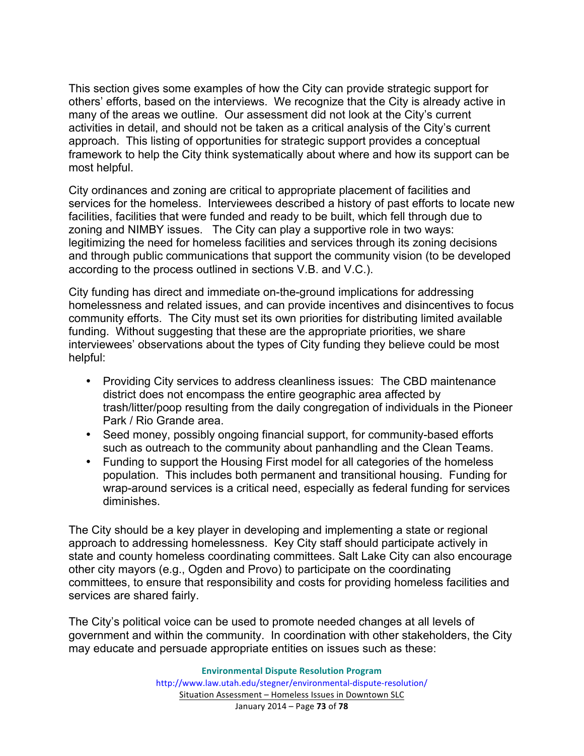This section gives some examples of how the City can provide strategic support for others' efforts, based on the interviews. We recognize that the City is already active in many of the areas we outline. Our assessment did not look at the City's current activities in detail, and should not be taken as a critical analysis of the City's current approach. This listing of opportunities for strategic support provides a conceptual framework to help the City think systematically about where and how its support can be most helpful.

City ordinances and zoning are critical to appropriate placement of facilities and services for the homeless. Interviewees described a history of past efforts to locate new facilities, facilities that were funded and ready to be built, which fell through due to zoning and NIMBY issues. The City can play a supportive role in two ways: legitimizing the need for homeless facilities and services through its zoning decisions and through public communications that support the community vision (to be developed according to the process outlined in sections V.B. and V.C.).

City funding has direct and immediate on-the-ground implications for addressing homelessness and related issues, and can provide incentives and disincentives to focus community efforts. The City must set its own priorities for distributing limited available funding. Without suggesting that these are the appropriate priorities, we share interviewees' observations about the types of City funding they believe could be most helpful:

- Providing City services to address cleanliness issues: The CBD maintenance district does not encompass the entire geographic area affected by trash/litter/poop resulting from the daily congregation of individuals in the Pioneer Park / Rio Grande area.
- Seed money, possibly ongoing financial support, for community-based efforts such as outreach to the community about panhandling and the Clean Teams.
- Funding to support the Housing First model for all categories of the homeless population. This includes both permanent and transitional housing. Funding for wrap-around services is a critical need, especially as federal funding for services diminishes.

The City should be a key player in developing and implementing a state or regional approach to addressing homelessness. Key City staff should participate actively in state and county homeless coordinating committees. Salt Lake City can also encourage other city mayors (e.g., Ogden and Provo) to participate on the coordinating committees, to ensure that responsibility and costs for providing homeless facilities and services are shared fairly.

The City's political voice can be used to promote needed changes at all levels of government and within the community. In coordination with other stakeholders, the City may educate and persuade appropriate entities on issues such as these: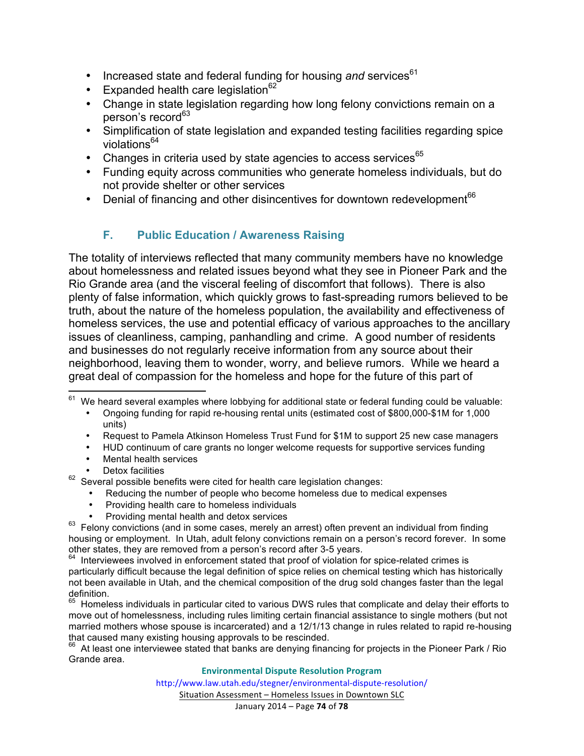- Increased state and federal funding for housing and services<sup>61</sup>
- Expanded health care legislation $62$
- Change in state legislation regarding how long felony convictions remain on a person's record<sup>63</sup>
- Simplification of state legislation and expanded testing facilities regarding spice violations<sup>64</sup>
- Changes in criteria used by state agencies to access services $65$
- Funding equity across communities who generate homeless individuals, but do not provide shelter or other services
- Denial of financing and other disincentives for downtown redevelopment $66$

## **F. Public Education / Awareness Raising**

The totality of interviews reflected that many community members have no knowledge about homelessness and related issues beyond what they see in Pioneer Park and the Rio Grande area (and the visceral feeling of discomfort that follows). There is also plenty of false information, which quickly grows to fast-spreading rumors believed to be truth, about the nature of the homeless population, the availability and effectiveness of homeless services, the use and potential efficacy of various approaches to the ancillary issues of cleanliness, camping, panhandling and crime. A good number of residents and businesses do not regularly receive information from any source about their neighborhood, leaving them to wonder, worry, and believe rumors. While we heard a great deal of compassion for the homeless and hope for the future of this part of

- Ongoing funding for rapid re-housing rental units (estimated cost of \$800,000-\$1M for 1,000 units)
- Request to Pamela Atkinson Homeless Trust Fund for \$1M to support 25 new case managers
- HUD continuum of care grants no longer welcome requests for supportive services funding
- Mental health services
- Detox facilities

 $62$  Several possible benefits were cited for health care legislation changes:

- Reducing the number of people who become homeless due to medical expenses
- Providing health care to homeless individuals<br>Providing mental health and detox services
- 

 $63$  Felony convictions (and in some cases, merely an arrest) often prevent an individual from finding housing or employment. In Utah, adult felony convictions remain on a person's record forever. In some other states, they are removed from a person's record after 3-5 years.<br><sup>64</sup> Interviewees involved in enforcement stated that proof of violation for spice-related crimes is

65 Homeless individuals in particular cited to various DWS rules that complicate and delay their efforts to move out of homelessness, including rules limiting certain financial assistance to single mothers (but not married mothers whose spouse is incarcerated) and a 12/1/13 change in rules related to rapid re-housing

that caused many existing housing approvals to be rescinded.<br><sup>66</sup> At least one interviewee stated that banks are denying financing for projects in the Pioneer Park / Rio Grande area.

## **Environmental Dispute Resolution Program**

http://www.law.utah.edu/stegner/environmental-dispute-resolution/

Situation Assessment - Homeless Issues in Downtown SLC

We heard several examples where lobbying for additional state or federal funding could be valuable:

particularly difficult because the legal definition of spice relies on chemical testing which has historically not been available in Utah, and the chemical composition of the drug sold changes faster than the legal definition.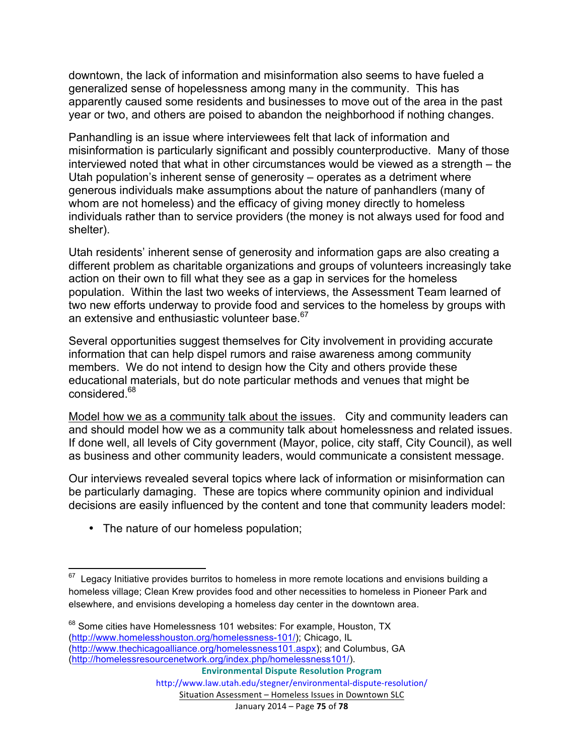downtown, the lack of information and misinformation also seems to have fueled a generalized sense of hopelessness among many in the community. This has apparently caused some residents and businesses to move out of the area in the past year or two, and others are poised to abandon the neighborhood if nothing changes.

Panhandling is an issue where interviewees felt that lack of information and misinformation is particularly significant and possibly counterproductive. Many of those interviewed noted that what in other circumstances would be viewed as a strength – the Utah population's inherent sense of generosity – operates as a detriment where generous individuals make assumptions about the nature of panhandlers (many of whom are not homeless) and the efficacy of giving money directly to homeless individuals rather than to service providers (the money is not always used for food and shelter).

Utah residents' inherent sense of generosity and information gaps are also creating a different problem as charitable organizations and groups of volunteers increasingly take action on their own to fill what they see as a gap in services for the homeless population. Within the last two weeks of interviews, the Assessment Team learned of two new efforts underway to provide food and services to the homeless by groups with an extensive and enthusiastic volunteer base.<sup>67</sup>

Several opportunities suggest themselves for City involvement in providing accurate information that can help dispel rumors and raise awareness among community members. We do not intend to design how the City and others provide these educational materials, but do note particular methods and venues that might be considered.<sup>68</sup>

Model how we as a community talk about the issues. City and community leaders can and should model how we as a community talk about homelessness and related issues. If done well, all levels of City government (Mayor, police, city staff, City Council), as well as business and other community leaders, would communicate a consistent message.

Our interviews revealed several topics where lack of information or misinformation can be particularly damaging. These are topics where community opinion and individual decisions are easily influenced by the content and tone that community leaders model:

• The nature of our homeless population;

 $67$  Legacy Initiative provides burritos to homeless in more remote locations and envisions building a homeless village; Clean Krew provides food and other necessities to homeless in Pioneer Park and elsewhere, and envisions developing a homeless day center in the downtown area.

<sup>68</sup> Some cities have Homelessness 101 websites: For example, Houston, TX (http://www.homelesshouston.org/homelessness-101/); Chicago, IL (http://www.thechicagoalliance.org/homelessness101.aspx); and Columbus, GA (http://homelessresourcenetwork.org/index.php/homelessness101/).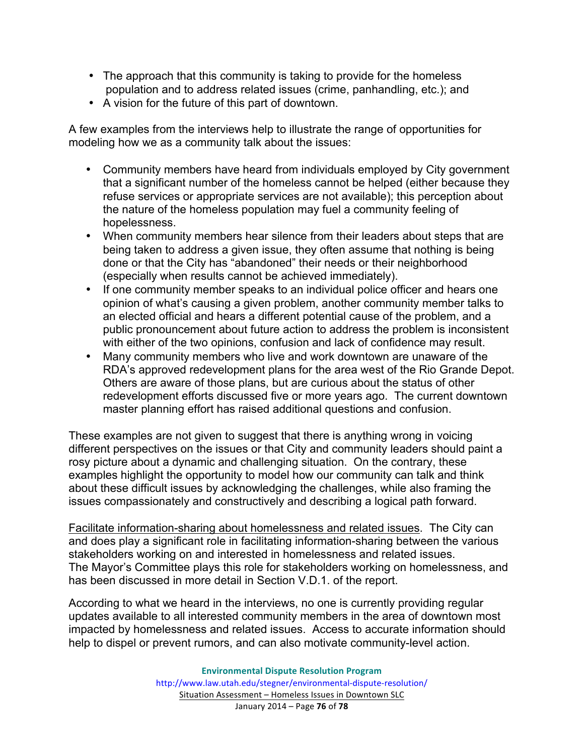- The approach that this community is taking to provide for the homeless population and to address related issues (crime, panhandling, etc.); and
- A vision for the future of this part of downtown.

A few examples from the interviews help to illustrate the range of opportunities for modeling how we as a community talk about the issues:

- Community members have heard from individuals employed by City government that a significant number of the homeless cannot be helped (either because they refuse services or appropriate services are not available); this perception about the nature of the homeless population may fuel a community feeling of hopelessness.
- When community members hear silence from their leaders about steps that are being taken to address a given issue, they often assume that nothing is being done or that the City has "abandoned" their needs or their neighborhood (especially when results cannot be achieved immediately).
- If one community member speaks to an individual police officer and hears one opinion of what's causing a given problem, another community member talks to an elected official and hears a different potential cause of the problem, and a public pronouncement about future action to address the problem is inconsistent with either of the two opinions, confusion and lack of confidence may result.
- Many community members who live and work downtown are unaware of the RDA's approved redevelopment plans for the area west of the Rio Grande Depot. Others are aware of those plans, but are curious about the status of other redevelopment efforts discussed five or more years ago. The current downtown master planning effort has raised additional questions and confusion.

These examples are not given to suggest that there is anything wrong in voicing different perspectives on the issues or that City and community leaders should paint a rosy picture about a dynamic and challenging situation. On the contrary, these examples highlight the opportunity to model how our community can talk and think about these difficult issues by acknowledging the challenges, while also framing the issues compassionately and constructively and describing a logical path forward.

Facilitate information-sharing about homelessness and related issues. The City can and does play a significant role in facilitating information-sharing between the various stakeholders working on and interested in homelessness and related issues. The Mayor's Committee plays this role for stakeholders working on homelessness, and has been discussed in more detail in Section V.D.1. of the report.

According to what we heard in the interviews, no one is currently providing regular updates available to all interested community members in the area of downtown most impacted by homelessness and related issues. Access to accurate information should help to dispel or prevent rumors, and can also motivate community-level action.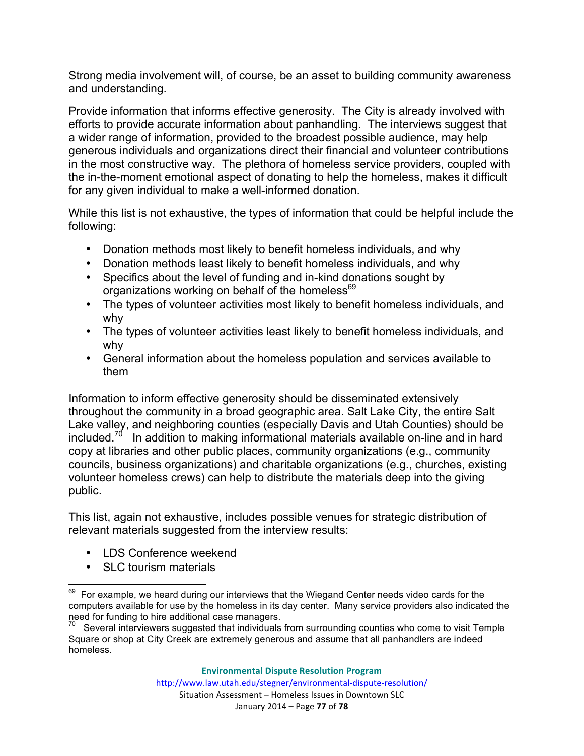Strong media involvement will, of course, be an asset to building community awareness and understanding.

Provide information that informs effective generosity. The City is already involved with efforts to provide accurate information about panhandling. The interviews suggest that a wider range of information, provided to the broadest possible audience, may help generous individuals and organizations direct their financial and volunteer contributions in the most constructive way. The plethora of homeless service providers, coupled with the in-the-moment emotional aspect of donating to help the homeless, makes it difficult for any given individual to make a well-informed donation.

While this list is not exhaustive, the types of information that could be helpful include the following:

- Donation methods most likely to benefit homeless individuals, and why
- Donation methods least likely to benefit homeless individuals, and why
- Specifics about the level of funding and in-kind donations sought by organizations working on behalf of the homeless<sup>69</sup>
- The types of volunteer activities most likely to benefit homeless individuals, and why
- The types of volunteer activities least likely to benefit homeless individuals, and why
- General information about the homeless population and services available to them

Information to inform effective generosity should be disseminated extensively throughout the community in a broad geographic area. Salt Lake City, the entire Salt Lake valley, and neighboring counties (especially Davis and Utah Counties) should be included.<sup>70</sup> In addition to making informational materials available on-line and in hard copy at libraries and other public places, community organizations (e.g., community councils, business organizations) and charitable organizations (e.g., churches, existing volunteer homeless crews) can help to distribute the materials deep into the giving public.

This list, again not exhaustive, includes possible venues for strategic distribution of relevant materials suggested from the interview results:

- LDS Conference weekend
- SLC tourism materials

 $69$  For example, we heard during our interviews that the Wiegand Center needs video cards for the computers available for use by the homeless in its day center. Many service providers also indicated the

 $70$  Several interviewers suggested that individuals from surrounding counties who come to visit Temple Square or shop at City Creek are extremely generous and assume that all panhandlers are indeed homeless.